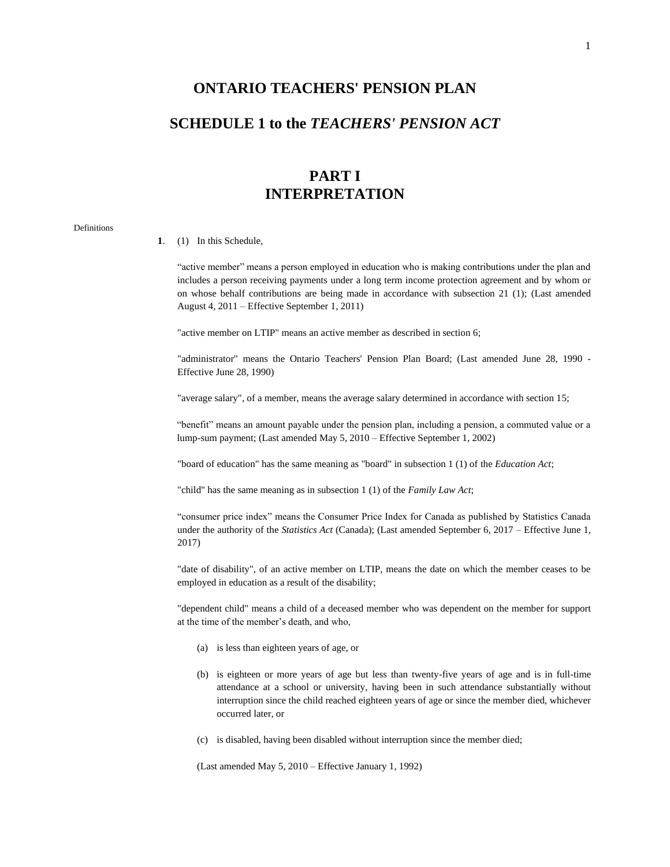### **ONTARIO TEACHERS' PENSION PLAN**

## **SCHEDULE 1 to the** *TEACHERS' PENSION ACT*

## **PART I INTERPRETATION**

#### Definitions

#### **1**. (1) In this Schedule,

"active member" means a person employed in education who is making contributions under the plan and includes a person receiving payments under a long term income protection agreement and by whom or on whose behalf contributions are being made in accordance with subsection 21 (1); (Last amended August 4, 2011 – Effective September 1, 2011)

"active member on LTIP" means an active member as described in section 6;

"administrator" means the Ontario Teachers' Pension Plan Board; (Last amended June 28, 1990 - Effective June 28, 1990)

"average salary", of a member, means the average salary determined in accordance with section 15;

"benefit" means an amount payable under the pension plan, including a pension, a commuted value or a lump-sum payment; (Last amended May 5, 2010 – Effective September 1, 2002)

"board of education" has the same meaning as "board" in subsection 1 (1) of the *Education Act*;

"child" has the same meaning as in subsection 1 (1) of the *Family Law Act*;

"consumer price index" means the Consumer Price Index for Canada as published by Statistics Canada under the authority of the *Statistics Act* (Canada); (Last amended September 6, 2017 – Effective June 1, 2017)

"date of disability", of an active member on LTIP, means the date on which the member ceases to be employed in education as a result of the disability;

"dependent child" means a child of a deceased member who was dependent on the member for support at the time of the member's death, and who,

- (a) is less than eighteen years of age, or
- (b) is eighteen or more years of age but less than twenty-five years of age and is in full-time attendance at a school or university, having been in such attendance substantially without interruption since the child reached eighteen years of age or since the member died, whichever occurred later, or
- (c) is disabled, having been disabled without interruption since the member died;

(Last amended May 5, 2010 – Effective January 1, 1992)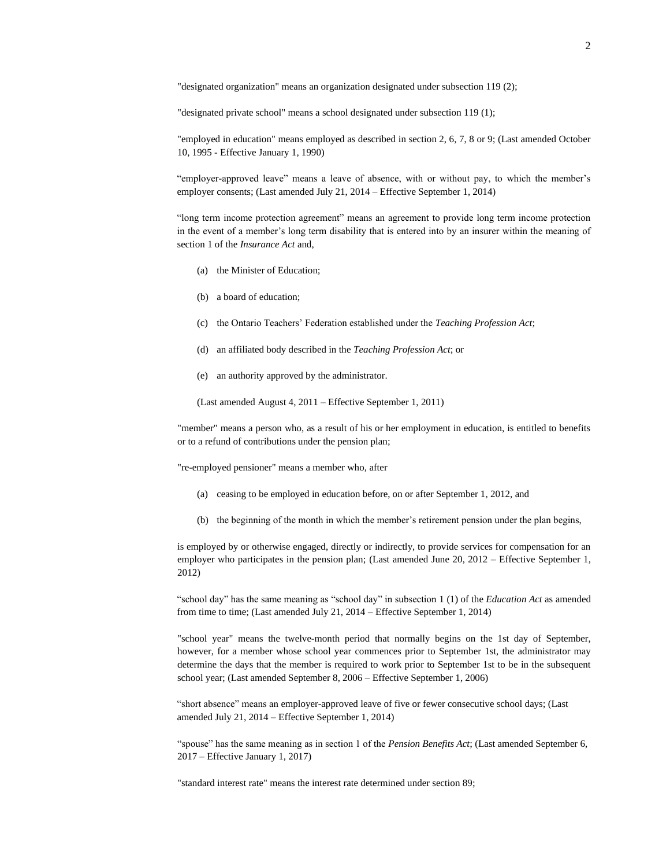"designated organization" means an organization designated under subsection 119 (2);

"designated private school" means a school designated under subsection 119 (1);

"employed in education" means employed as described in section 2, 6, 7, 8 or 9; (Last amended October 10, 1995 - Effective January 1, 1990)

"employer-approved leave" means a leave of absence, with or without pay, to which the member's employer consents; (Last amended July 21, 2014 – Effective September 1, 2014)

"long term income protection agreement" means an agreement to provide long term income protection in the event of a member's long term disability that is entered into by an insurer within the meaning of section 1 of the *Insurance Act* and,

- (a) the Minister of Education;
- (b) a board of education;
- (c) the Ontario Teachers' Federation established under the *Teaching Profession Act*;
- (d) an affiliated body described in the *Teaching Profession Act*; or
- (e) an authority approved by the administrator.
- (Last amended August 4, 2011 Effective September 1, 2011)

"member" means a person who, as a result of his or her employment in education, is entitled to benefits or to a refund of contributions under the pension plan;

"re-employed pensioner" means a member who, after

- (a) ceasing to be employed in education before, on or after September 1, 2012, and
- (b) the beginning of the month in which the member's retirement pension under the plan begins,

is employed by or otherwise engaged, directly or indirectly, to provide services for compensation for an employer who participates in the pension plan; (Last amended June 20, 2012 – Effective September 1, 2012)

"school day" has the same meaning as "school day" in subsection 1 (1) of the *Education Act* as amended from time to time; (Last amended July 21, 2014 – Effective September 1, 2014)

"school year" means the twelve-month period that normally begins on the 1st day of September, however, for a member whose school year commences prior to September 1st, the administrator may determine the days that the member is required to work prior to September 1st to be in the subsequent school year; (Last amended September 8, 2006 – Effective September 1, 2006)

"short absence" means an employer-approved leave of five or fewer consecutive school days; (Last amended July 21, 2014 – Effective September 1, 2014)

"spouse" has the same meaning as in section 1 of the *Pension Benefits Act*; (Last amended September 6, 2017 – Effective January 1, 2017)

"standard interest rate" means the interest rate determined under section 89;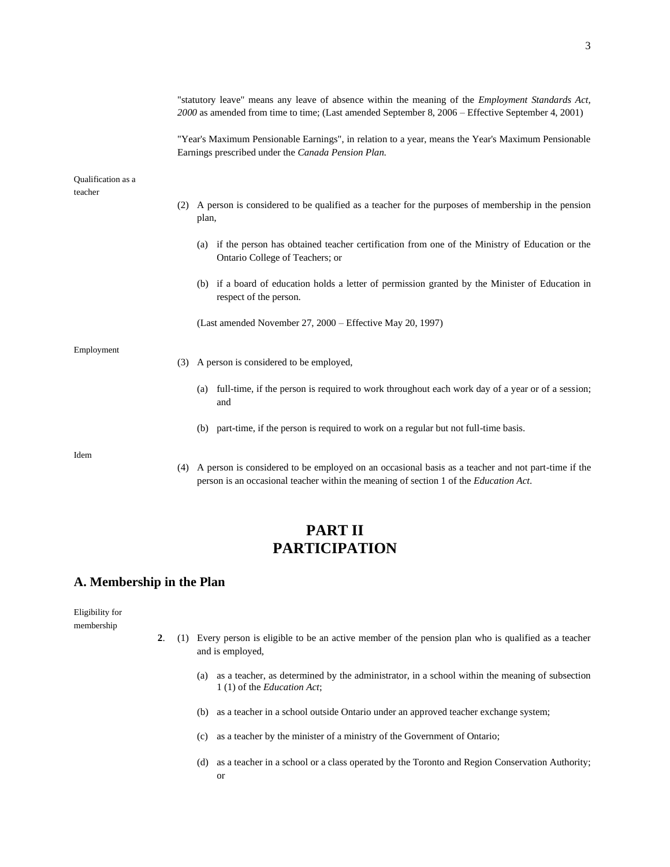|                                      | "statutory leave" means any leave of absence within the meaning of the <i>Employment Standards Act</i> ,<br>2000 as amended from time to time; (Last amended September 8, 2006 – Effective September 4, 2001) |
|--------------------------------------|---------------------------------------------------------------------------------------------------------------------------------------------------------------------------------------------------------------|
|                                      | "Year's Maximum Pensionable Earnings", in relation to a year, means the Year's Maximum Pensionable<br>Earnings prescribed under the Canada Pension Plan.                                                      |
| <b>Oualification</b> as a<br>teacher |                                                                                                                                                                                                               |
|                                      | (2) A person is considered to be qualified as a teacher for the purposes of membership in the pension<br>plan,                                                                                                |
|                                      | (a) if the person has obtained teacher certification from one of the Ministry of Education or the<br>Ontario College of Teachers; or                                                                          |
|                                      | (b) if a board of education holds a letter of permission granted by the Minister of Education in<br>respect of the person.                                                                                    |
|                                      | (Last amended November 27, 2000 – Effective May 20, 1997)                                                                                                                                                     |
| Employment                           | (3) A person is considered to be employed,                                                                                                                                                                    |
|                                      | full-time, if the person is required to work throughout each work day of a year or of a session;<br>(a)<br>and                                                                                                |
|                                      | part-time, if the person is required to work on a regular but not full-time basis.<br>(b)                                                                                                                     |
| Idem                                 |                                                                                                                                                                                                               |

(4) A person is considered to be employed on an occasional basis as a teacher and not part-time if the person is an occasional teacher within the meaning of section 1 of the *Education Act*.

## **PART II PARTICIPATION**

### **A. Membership in the Plan**

Eligibility for membership

- **2**. (1) Every person is eligible to be an active member of the pension plan who is qualified as a teacher and is employed,
	- (a) as a teacher, as determined by the administrator, in a school within the meaning of subsection 1 (1) of the *Education Act*;
	- (b) as a teacher in a school outside Ontario under an approved teacher exchange system;
	- (c) as a teacher by the minister of a ministry of the Government of Ontario;
	- (d) as a teacher in a school or a class operated by the Toronto and Region Conservation Authority; or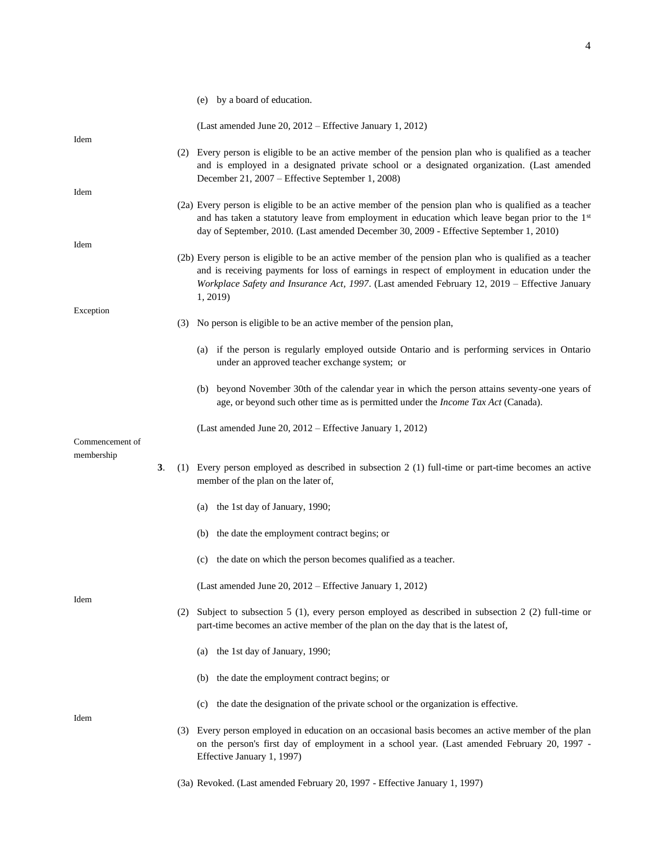4

|                 |    | (e) by a board of education.                                                                                                                                                                                                                                                                                    |
|-----------------|----|-----------------------------------------------------------------------------------------------------------------------------------------------------------------------------------------------------------------------------------------------------------------------------------------------------------------|
|                 |    | (Last amended June 20, 2012 – Effective January 1, 2012)                                                                                                                                                                                                                                                        |
| Idem            |    | (2) Every person is eligible to be an active member of the pension plan who is qualified as a teacher<br>and is employed in a designated private school or a designated organization. (Last amended<br>December 21, 2007 – Effective September 1, 2008)                                                         |
| Idem            |    | (2a) Every person is eligible to be an active member of the pension plan who is qualified as a teacher<br>and has taken a statutory leave from employment in education which leave began prior to the 1 <sup>st</sup><br>day of September, 2010. (Last amended December 30, 2009 - Effective September 1, 2010) |
| Idem            |    | (2b) Every person is eligible to be an active member of the pension plan who is qualified as a teacher<br>and is receiving payments for loss of earnings in respect of employment in education under the<br>Workplace Safety and Insurance Act, 1997. (Last amended February 12, 2019 – Effective January       |
| Exception       |    | 1, 2019)<br>(3) No person is eligible to be an active member of the pension plan,                                                                                                                                                                                                                               |
|                 |    | (a) if the person is regularly employed outside Ontario and is performing services in Ontario<br>under an approved teacher exchange system; or                                                                                                                                                                  |
|                 |    | (b) beyond November 30th of the calendar year in which the person attains seventy-one years of<br>age, or beyond such other time as is permitted under the <i>Income Tax Act</i> (Canada).                                                                                                                      |
| Commencement of |    | (Last amended June 20, 2012 – Effective January 1, 2012)                                                                                                                                                                                                                                                        |
| membership      | 3. | (1) Every person employed as described in subsection 2 (1) full-time or part-time becomes an active<br>member of the plan on the later of,                                                                                                                                                                      |
|                 |    | (a) the 1st day of January, 1990;                                                                                                                                                                                                                                                                               |
|                 |    | (b) the date the employment contract begins; or                                                                                                                                                                                                                                                                 |
|                 |    | (c) the date on which the person becomes qualified as a teacher.                                                                                                                                                                                                                                                |
| Idem            |    | (Last amended June 20, 2012 – Effective January 1, 2012)                                                                                                                                                                                                                                                        |
|                 |    | (2) Subject to subsection 5 (1), every person employed as described in subsection 2 (2) full-time or<br>part-time becomes an active member of the plan on the day that is the latest of,                                                                                                                        |
|                 |    | the 1st day of January, 1990;<br>(a)                                                                                                                                                                                                                                                                            |
|                 |    | the date the employment contract begins; or<br>(b)                                                                                                                                                                                                                                                              |
| Idem            |    | the date the designation of the private school or the organization is effective.<br>(c)                                                                                                                                                                                                                         |
|                 |    | (3) Every person employed in education on an occasional basis becomes an active member of the plan<br>on the person's first day of employment in a school year. (Last amended February 20, 1997 -<br>Effective January 1, 1997)                                                                                 |

(3a) Revoked. (Last amended February 20, 1997 - Effective January 1, 1997)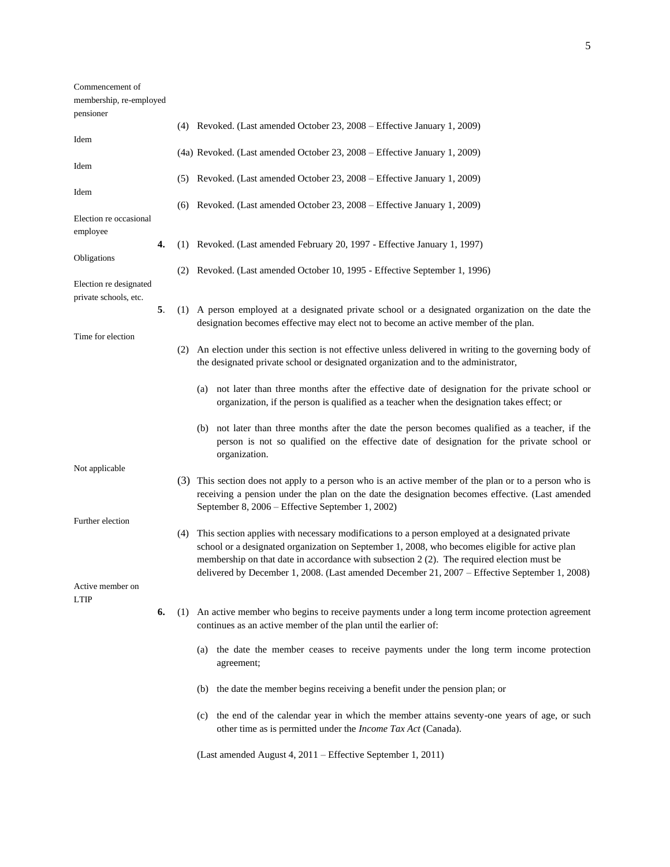| Commencement of                                 |    |     |                                                                                                                                                                                                                                                                                                                                                                                                 |
|-------------------------------------------------|----|-----|-------------------------------------------------------------------------------------------------------------------------------------------------------------------------------------------------------------------------------------------------------------------------------------------------------------------------------------------------------------------------------------------------|
| membership, re-employed                         |    |     |                                                                                                                                                                                                                                                                                                                                                                                                 |
| pensioner                                       |    |     |                                                                                                                                                                                                                                                                                                                                                                                                 |
|                                                 |    |     | (4) Revoked. (Last amended October 23, 2008 – Effective January 1, 2009)                                                                                                                                                                                                                                                                                                                        |
| Idem                                            |    |     | (4a) Revoked. (Last amended October 23, 2008 – Effective January 1, 2009)                                                                                                                                                                                                                                                                                                                       |
| Idem                                            |    |     | (5) Revoked. (Last amended October 23, 2008 – Effective January 1, 2009)                                                                                                                                                                                                                                                                                                                        |
| Idem                                            |    |     | (6) Revoked. (Last amended October 23, 2008 – Effective January 1, 2009)                                                                                                                                                                                                                                                                                                                        |
| Election re occasional<br>employee              |    |     |                                                                                                                                                                                                                                                                                                                                                                                                 |
|                                                 | 4. |     | (1) Revoked. (Last amended February 20, 1997 - Effective January 1, 1997)                                                                                                                                                                                                                                                                                                                       |
| Obligations                                     |    |     | (2) Revoked. (Last amended October 10, 1995 - Effective September 1, 1996)                                                                                                                                                                                                                                                                                                                      |
| Election re designated<br>private schools, etc. |    |     |                                                                                                                                                                                                                                                                                                                                                                                                 |
|                                                 | 5. |     | (1) A person employed at a designated private school or a designated organization on the date the<br>designation becomes effective may elect not to become an active member of the plan.                                                                                                                                                                                                        |
| Time for election                               |    |     | (2) An election under this section is not effective unless delivered in writing to the governing body of<br>the designated private school or designated organization and to the administrator,                                                                                                                                                                                                  |
|                                                 |    |     | not later than three months after the effective date of designation for the private school or<br>(a)<br>organization, if the person is qualified as a teacher when the designation takes effect; or                                                                                                                                                                                             |
|                                                 |    |     | (b) not later than three months after the date the person becomes qualified as a teacher, if the<br>person is not so qualified on the effective date of designation for the private school or<br>organization.                                                                                                                                                                                  |
| Not applicable                                  |    |     |                                                                                                                                                                                                                                                                                                                                                                                                 |
|                                                 |    |     | (3) This section does not apply to a person who is an active member of the plan or to a person who is<br>receiving a pension under the plan on the date the designation becomes effective. (Last amended<br>September 8, 2006 – Effective September 1, 2002)                                                                                                                                    |
| Further election                                |    |     |                                                                                                                                                                                                                                                                                                                                                                                                 |
|                                                 |    | (4) | This section applies with necessary modifications to a person employed at a designated private<br>school or a designated organization on September 1, 2008, who becomes eligible for active plan<br>membership on that date in accordance with subsection 2 (2). The required election must be<br>delivered by December 1, 2008. (Last amended December 21, 2007 – Effective September 1, 2008) |
| Active member on<br><b>LTIP</b>                 |    |     |                                                                                                                                                                                                                                                                                                                                                                                                 |
|                                                 | 6. |     | (1) An active member who begins to receive payments under a long term income protection agreement<br>continues as an active member of the plan until the earlier of:                                                                                                                                                                                                                            |
|                                                 |    |     | the date the member ceases to receive payments under the long term income protection<br>(a)<br>agreement;                                                                                                                                                                                                                                                                                       |
|                                                 |    |     | the date the member begins receiving a benefit under the pension plan; or<br>(b)                                                                                                                                                                                                                                                                                                                |
|                                                 |    |     | the end of the calendar year in which the member attains seventy-one years of age, or such<br>(c)<br>other time as is permitted under the <i>Income Tax Act</i> (Canada).                                                                                                                                                                                                                       |
|                                                 |    |     |                                                                                                                                                                                                                                                                                                                                                                                                 |

(Last amended August 4, 2011 – Effective September 1, 2011)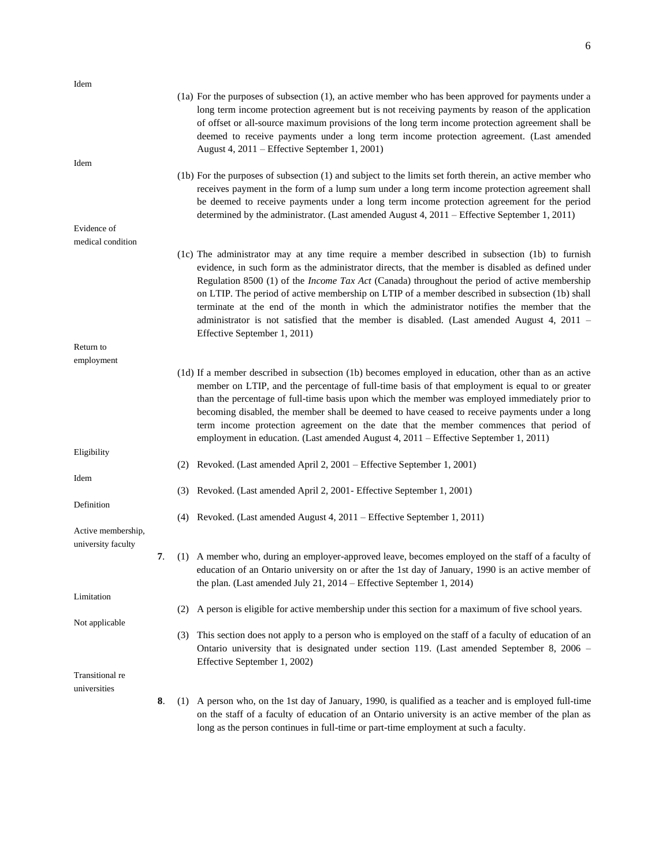| Idem                                     |    |     |                                                                                                                                                                                                                                                                                                                                                                                                                                                                                                                                                                                                                                            |
|------------------------------------------|----|-----|--------------------------------------------------------------------------------------------------------------------------------------------------------------------------------------------------------------------------------------------------------------------------------------------------------------------------------------------------------------------------------------------------------------------------------------------------------------------------------------------------------------------------------------------------------------------------------------------------------------------------------------------|
|                                          |    |     | (1a) For the purposes of subsection (1), an active member who has been approved for payments under a<br>long term income protection agreement but is not receiving payments by reason of the application<br>of offset or all-source maximum provisions of the long term income protection agreement shall be<br>deemed to receive payments under a long term income protection agreement. (Last amended<br>August 4, 2011 – Effective September 1, 2001)                                                                                                                                                                                   |
| Idem                                     |    |     |                                                                                                                                                                                                                                                                                                                                                                                                                                                                                                                                                                                                                                            |
|                                          |    |     | (1b) For the purposes of subsection (1) and subject to the limits set forth therein, an active member who<br>receives payment in the form of a lump sum under a long term income protection agreement shall<br>be deemed to receive payments under a long term income protection agreement for the period<br>determined by the administrator. (Last amended August 4, 2011 – Effective September 1, 2011)                                                                                                                                                                                                                                  |
| Evidence of                              |    |     |                                                                                                                                                                                                                                                                                                                                                                                                                                                                                                                                                                                                                                            |
| medical condition                        |    |     |                                                                                                                                                                                                                                                                                                                                                                                                                                                                                                                                                                                                                                            |
|                                          |    |     | (1c) The administrator may at any time require a member described in subsection (1b) to furnish<br>evidence, in such form as the administrator directs, that the member is disabled as defined under<br>Regulation 8500 (1) of the <i>Income Tax Act</i> (Canada) throughout the period of active membership<br>on LTIP. The period of active membership on LTIP of a member described in subsection (1b) shall<br>terminate at the end of the month in which the administrator notifies the member that the<br>administrator is not satisfied that the member is disabled. (Last amended August 4, 2011 –<br>Effective September 1, 2011) |
| Return to                                |    |     |                                                                                                                                                                                                                                                                                                                                                                                                                                                                                                                                                                                                                                            |
| employment                               |    |     |                                                                                                                                                                                                                                                                                                                                                                                                                                                                                                                                                                                                                                            |
|                                          |    |     | (1d) If a member described in subsection (1b) becomes employed in education, other than as an active<br>member on LTIP, and the percentage of full-time basis of that employment is equal to or greater<br>than the percentage of full-time basis upon which the member was employed immediately prior to<br>becoming disabled, the member shall be deemed to have ceased to receive payments under a long<br>term income protection agreement on the date that the member commences that period of<br>employment in education. (Last amended August 4, 2011 – Effective September 1, 2011)                                                |
| Eligibility                              |    | (2) | Revoked. (Last amended April 2, 2001 – Effective September 1, 2001)                                                                                                                                                                                                                                                                                                                                                                                                                                                                                                                                                                        |
| Idem                                     |    |     | (3) Revoked. (Last amended April 2, 2001 - Effective September 1, 2001)                                                                                                                                                                                                                                                                                                                                                                                                                                                                                                                                                                    |
| Definition                               |    |     |                                                                                                                                                                                                                                                                                                                                                                                                                                                                                                                                                                                                                                            |
|                                          |    |     | (4) Revoked. (Last amended August 4, 2011 – Effective September 1, 2011)                                                                                                                                                                                                                                                                                                                                                                                                                                                                                                                                                                   |
| Active membership,<br>university faculty |    |     |                                                                                                                                                                                                                                                                                                                                                                                                                                                                                                                                                                                                                                            |
|                                          | 7. |     | (1) A member who, during an employer-approved leave, becomes employed on the staff of a faculty of<br>education of an Ontario university on or after the 1st day of January, 1990 is an active member of<br>the plan. (Last amended July 21, 2014 – Effective September 1, 2014)                                                                                                                                                                                                                                                                                                                                                           |
| Limitation                               |    |     |                                                                                                                                                                                                                                                                                                                                                                                                                                                                                                                                                                                                                                            |
|                                          |    | (2) | A person is eligible for active membership under this section for a maximum of five school years.                                                                                                                                                                                                                                                                                                                                                                                                                                                                                                                                          |
| Not applicable                           |    |     |                                                                                                                                                                                                                                                                                                                                                                                                                                                                                                                                                                                                                                            |
|                                          |    | (3) | This section does not apply to a person who is employed on the staff of a faculty of education of an<br>Ontario university that is designated under section 119. (Last amended September 8, 2006 –<br>Effective September 1, 2002)                                                                                                                                                                                                                                                                                                                                                                                                         |
| Transitional re<br>universities          |    |     |                                                                                                                                                                                                                                                                                                                                                                                                                                                                                                                                                                                                                                            |
|                                          | 8. | (1) | A person who, on the 1st day of January, 1990, is qualified as a teacher and is employed full-time<br>on the staff of a faculty of education of an Ontario university is an active member of the plan as                                                                                                                                                                                                                                                                                                                                                                                                                                   |

long as the person continues in full-time or part-time employment at such a faculty.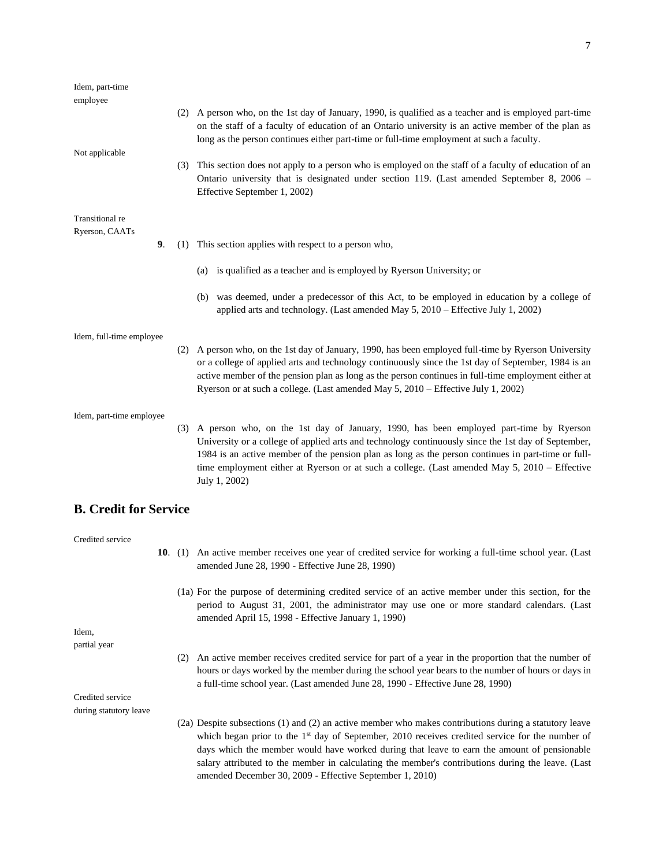| Idem, part-time              |     |                                                                                                                                                                                                                                                                                                                                                                                                                          |
|------------------------------|-----|--------------------------------------------------------------------------------------------------------------------------------------------------------------------------------------------------------------------------------------------------------------------------------------------------------------------------------------------------------------------------------------------------------------------------|
| employee                     |     | (2) A person who, on the 1st day of January, 1990, is qualified as a teacher and is employed part-time<br>on the staff of a faculty of education of an Ontario university is an active member of the plan as<br>long as the person continues either part-time or full-time employment at such a faculty.                                                                                                                 |
| Not applicable               |     | (3) This section does not apply to a person who is employed on the staff of a faculty of education of an<br>Ontario university that is designated under section 119. (Last amended September 8, 2006 -<br>Effective September 1, 2002)                                                                                                                                                                                   |
| Transitional re              |     |                                                                                                                                                                                                                                                                                                                                                                                                                          |
| Ryerson, CAATs<br>9.         | (1) | This section applies with respect to a person who,                                                                                                                                                                                                                                                                                                                                                                       |
|                              |     | (a) is qualified as a teacher and is employed by Ryerson University; or                                                                                                                                                                                                                                                                                                                                                  |
|                              |     | (b) was deemed, under a predecessor of this Act, to be employed in education by a college of<br>applied arts and technology. (Last amended May 5, 2010 - Effective July 1, 2002)                                                                                                                                                                                                                                         |
| Idem, full-time employee     |     | (2) A person who, on the 1st day of January, 1990, has been employed full-time by Ryerson University<br>or a college of applied arts and technology continuously since the 1st day of September, 1984 is an<br>active member of the pension plan as long as the person continues in full-time employment either at<br>Ryerson or at such a college. (Last amended May 5, 2010 – Effective July 1, 2002)                  |
| Idem, part-time employee     |     | (3) A person who, on the 1st day of January, 1990, has been employed part-time by Ryerson<br>University or a college of applied arts and technology continuously since the 1st day of September,<br>1984 is an active member of the pension plan as long as the person continues in part-time or full-<br>time employment either at Ryerson or at such a college. (Last amended May 5, 2010 – Effective<br>July 1, 2002) |
| <b>B. Credit for Service</b> |     |                                                                                                                                                                                                                                                                                                                                                                                                                          |
| Credited service             |     | 10. (1) An active member receives one year of credited service for working a full-time school year. (Last<br>amended June 28, 1990 - Effective June 28, 1990)                                                                                                                                                                                                                                                            |
|                              |     | (1a) For the purpose of determining credited service of an active member under this section, for the<br>period to August 31, 2001, the administrator may use one or more standard calendars. (Last                                                                                                                                                                                                                       |

Idem, partial year

(2) An active member receives credited service for part of a year in the proportion that the number of hours or days worked by the member during the school year bears to the number of hours or days in a full-time school year. (Last amended June 28, 1990 - Effective June 28, 1990)

amended April 15, 1998 - Effective January 1, 1990)

Credited service during statutory leave

> (2a) Despite subsections (1) and (2) an active member who makes contributions during a statutory leave which began prior to the  $1<sup>st</sup>$  day of September, 2010 receives credited service for the number of days which the member would have worked during that leave to earn the amount of pensionable salary attributed to the member in calculating the member's contributions during the leave. (Last amended December 30, 2009 - Effective September 1, 2010)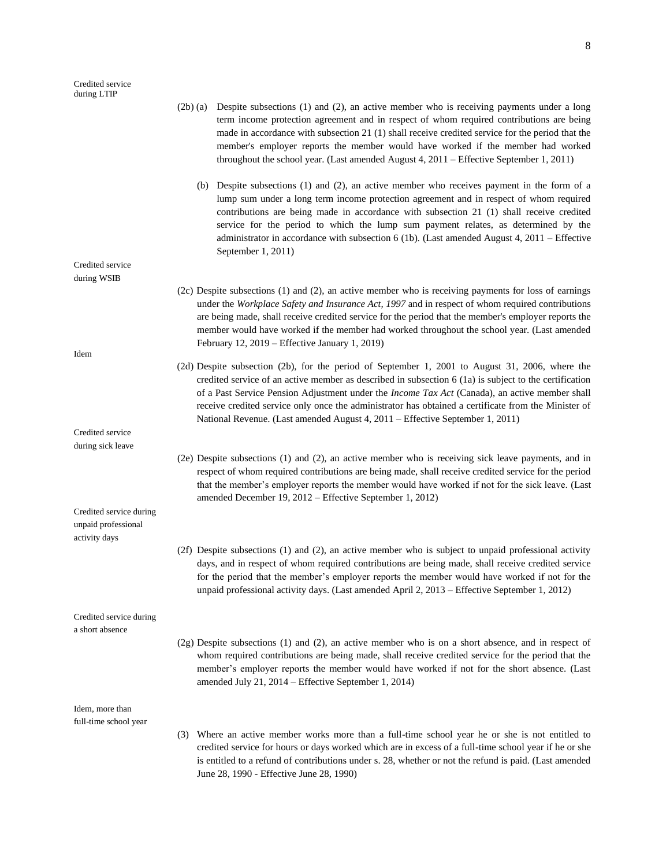|                                                                 |     | (2b) (a) Despite subsections (1) and (2), an active member who is receiving payments under a long<br>term income protection agreement and in respect of whom required contributions are being<br>made in accordance with subsection 21 (1) shall receive credited service for the period that the<br>member's employer reports the member would have worked if the member had worked<br>throughout the school year. (Last amended August 4, 2011 – Effective September 1, 2011)                               |
|-----------------------------------------------------------------|-----|---------------------------------------------------------------------------------------------------------------------------------------------------------------------------------------------------------------------------------------------------------------------------------------------------------------------------------------------------------------------------------------------------------------------------------------------------------------------------------------------------------------|
|                                                                 |     | (b) Despite subsections (1) and (2), an active member who receives payment in the form of a<br>lump sum under a long term income protection agreement and in respect of whom required<br>contributions are being made in accordance with subsection 21 (1) shall receive credited<br>service for the period to which the lump sum payment relates, as determined by the<br>administrator in accordance with subsection 6 (1b). (Last amended August 4, 2011 – Effective<br>September 1, 2011)                 |
| Credited service                                                |     |                                                                                                                                                                                                                                                                                                                                                                                                                                                                                                               |
| during WSIB                                                     |     |                                                                                                                                                                                                                                                                                                                                                                                                                                                                                                               |
| Idem                                                            |     | (2c) Despite subsections (1) and (2), an active member who is receiving payments for loss of earnings<br>under the Workplace Safety and Insurance Act, 1997 and in respect of whom required contributions<br>are being made, shall receive credited service for the period that the member's employer reports the<br>member would have worked if the member had worked throughout the school year. (Last amended<br>February 12, 2019 – Effective January 1, 2019)                                            |
|                                                                 |     | (2d) Despite subsection (2b), for the period of September 1, 2001 to August 31, 2006, where the<br>credited service of an active member as described in subsection $6$ (1a) is subject to the certification<br>of a Past Service Pension Adjustment under the <i>Income Tax Act</i> (Canada), an active member shall<br>receive credited service only once the administrator has obtained a certificate from the Minister of<br>National Revenue. (Last amended August 4, 2011 - Effective September 1, 2011) |
| Credited service                                                |     |                                                                                                                                                                                                                                                                                                                                                                                                                                                                                                               |
| during sick leave                                               |     |                                                                                                                                                                                                                                                                                                                                                                                                                                                                                                               |
|                                                                 |     | (2e) Despite subsections (1) and (2), an active member who is receiving sick leave payments, and in<br>respect of whom required contributions are being made, shall receive credited service for the period<br>that the member's employer reports the member would have worked if not for the sick leave. (Last<br>amended December 19, 2012 - Effective September 1, 2012)                                                                                                                                   |
| Credited service during<br>unpaid professional<br>activity days |     |                                                                                                                                                                                                                                                                                                                                                                                                                                                                                                               |
|                                                                 |     | (2f) Despite subsections (1) and (2), an active member who is subject to unpaid professional activity<br>days, and in respect of whom required contributions are being made, shall receive credited service<br>for the period that the member's employer reports the member would have worked if not for the<br>unpaid professional activity days. (Last amended April 2, 2013 – Effective September 1, 2012)                                                                                                 |
| Credited service during<br>a short absence                      |     |                                                                                                                                                                                                                                                                                                                                                                                                                                                                                                               |
|                                                                 |     | (2g) Despite subsections (1) and (2), an active member who is on a short absence, and in respect of<br>whom required contributions are being made, shall receive credited service for the period that the<br>member's employer reports the member would have worked if not for the short absence. (Last<br>amended July 21, 2014 – Effective September 1, 2014)                                                                                                                                               |
| Idem, more than<br>full-time school year                        |     |                                                                                                                                                                                                                                                                                                                                                                                                                                                                                                               |
|                                                                 | (3) | Where an active member works more than a full-time school year he or she is not entitled to<br>credited service for hours or days worked which are in excess of a full-time school year if he or she<br>is entitled to a refund of contributions under s. 28, whether or not the refund is paid. (Last amended<br>June 28, 1990 - Effective June 28, 1990)                                                                                                                                                    |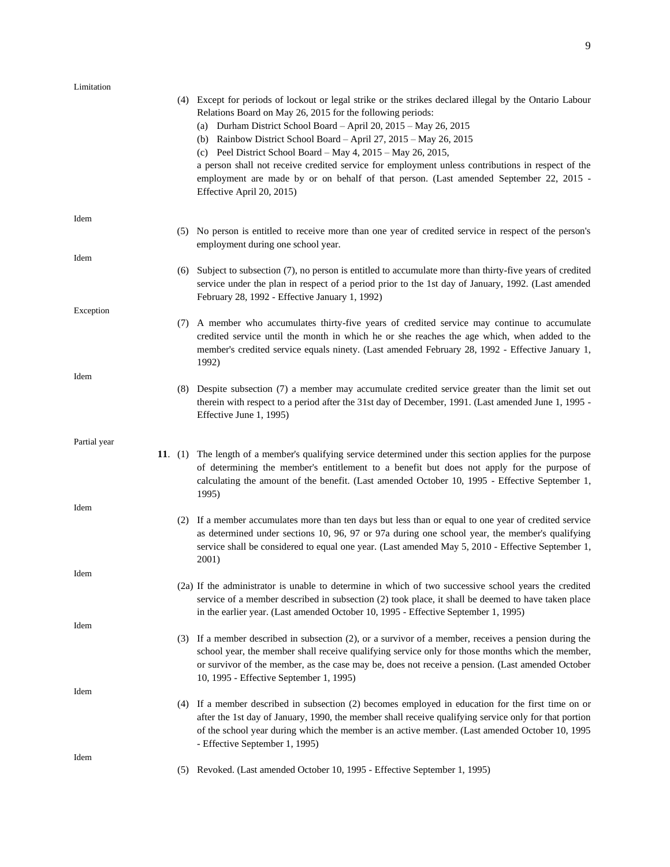| Limitation   |                                                                                                                                                                                                                                                                                                                                                                                                                                                                                                                                                                                                                                 |
|--------------|---------------------------------------------------------------------------------------------------------------------------------------------------------------------------------------------------------------------------------------------------------------------------------------------------------------------------------------------------------------------------------------------------------------------------------------------------------------------------------------------------------------------------------------------------------------------------------------------------------------------------------|
|              | (4) Except for periods of lockout or legal strike or the strikes declared illegal by the Ontario Labour<br>Relations Board on May 26, 2015 for the following periods:<br>(a) Durham District School Board - April 20, $2015 - May\ 26, 2015$<br>(b) Rainbow District School Board - April $27$ , $2015$ - May 26, $2015$<br>(c) Peel District School Board - May $4$ , $2015$ - May $26$ , $2015$ ,<br>a person shall not receive credited service for employment unless contributions in respect of the<br>employment are made by or on behalf of that person. (Last amended September 22, 2015 -<br>Effective April 20, 2015) |
| Idem         | (5) No person is entitled to receive more than one year of credited service in respect of the person's<br>employment during one school year.                                                                                                                                                                                                                                                                                                                                                                                                                                                                                    |
| Idem         |                                                                                                                                                                                                                                                                                                                                                                                                                                                                                                                                                                                                                                 |
|              | (6) Subject to subsection (7), no person is entitled to accumulate more than thirty-five years of credited<br>service under the plan in respect of a period prior to the 1st day of January, 1992. (Last amended<br>February 28, 1992 - Effective January 1, 1992)                                                                                                                                                                                                                                                                                                                                                              |
| Exception    |                                                                                                                                                                                                                                                                                                                                                                                                                                                                                                                                                                                                                                 |
|              | (7) A member who accumulates thirty-five years of credited service may continue to accumulate<br>credited service until the month in which he or she reaches the age which, when added to the<br>member's credited service equals ninety. (Last amended February 28, 1992 - Effective January 1,<br>1992)                                                                                                                                                                                                                                                                                                                       |
| Idem         | (8) Despite subsection (7) a member may accumulate credited service greater than the limit set out<br>therein with respect to a period after the 31st day of December, 1991. (Last amended June 1, 1995 -<br>Effective June 1, 1995)                                                                                                                                                                                                                                                                                                                                                                                            |
| Partial year |                                                                                                                                                                                                                                                                                                                                                                                                                                                                                                                                                                                                                                 |
|              | 11. (1) The length of a member's qualifying service determined under this section applies for the purpose<br>of determining the member's entitlement to a benefit but does not apply for the purpose of<br>calculating the amount of the benefit. (Last amended October 10, 1995 - Effective September 1,<br>1995)                                                                                                                                                                                                                                                                                                              |
| Idem         | (2) If a member accumulates more than ten days but less than or equal to one year of credited service<br>as determined under sections 10, 96, 97 or 97a during one school year, the member's qualifying<br>service shall be considered to equal one year. (Last amended May 5, 2010 - Effective September 1,<br>2001)                                                                                                                                                                                                                                                                                                           |
| Idem         |                                                                                                                                                                                                                                                                                                                                                                                                                                                                                                                                                                                                                                 |
|              | (2a) If the administrator is unable to determine in which of two successive school years the credited<br>service of a member described in subsection (2) took place, it shall be deemed to have taken place<br>in the earlier year. (Last amended October 10, 1995 - Effective September 1, 1995)                                                                                                                                                                                                                                                                                                                               |
| Idem         | (3) If a member described in subsection (2), or a survivor of a member, receives a pension during the<br>school year, the member shall receive qualifying service only for those months which the member,<br>or survivor of the member, as the case may be, does not receive a pension. (Last amended October<br>10, 1995 - Effective September 1, 1995)                                                                                                                                                                                                                                                                        |
| Idem         |                                                                                                                                                                                                                                                                                                                                                                                                                                                                                                                                                                                                                                 |
|              | (4) If a member described in subsection (2) becomes employed in education for the first time on or<br>after the 1st day of January, 1990, the member shall receive qualifying service only for that portion<br>of the school year during which the member is an active member. (Last amended October 10, 1995<br>- Effective September 1, 1995)                                                                                                                                                                                                                                                                                 |
| Idem         | (5) Revoked. (Last amended October 10, 1995 - Effective September 1, 1995)                                                                                                                                                                                                                                                                                                                                                                                                                                                                                                                                                      |
|              |                                                                                                                                                                                                                                                                                                                                                                                                                                                                                                                                                                                                                                 |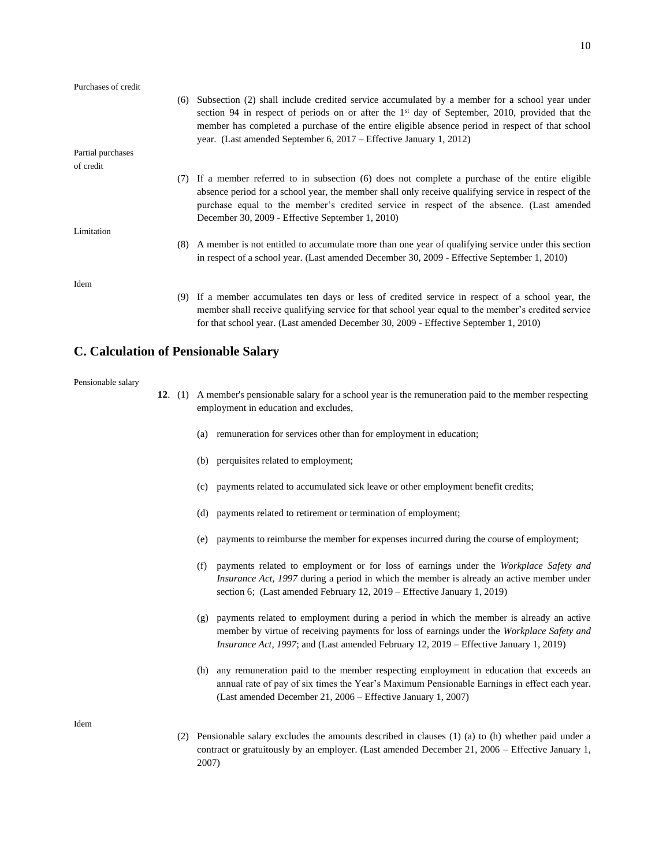| Purchases of credit |                                                                                                                                                                                                                                                                                                                                                                                  |
|---------------------|----------------------------------------------------------------------------------------------------------------------------------------------------------------------------------------------------------------------------------------------------------------------------------------------------------------------------------------------------------------------------------|
|                     | (6) Subsection (2) shall include credited service accumulated by a member for a school year under<br>section 94 in respect of periods on or after the $1st$ day of September, 2010, provided that the<br>member has completed a purchase of the entire eligible absence period in respect of that school<br>year. (Last amended September 6, $2017$ – Effective January 1, 2012) |
| Partial purchases   |                                                                                                                                                                                                                                                                                                                                                                                  |
| of credit           |                                                                                                                                                                                                                                                                                                                                                                                  |
|                     | (7) If a member referred to in subsection (6) does not complete a purchase of the entire eligible<br>absence period for a school year, the member shall only receive qualifying service in respect of the<br>purchase equal to the member's credited service in respect of the absence. (Last amended<br>December 30, 2009 - Effective September 1, 2010)                        |
| Limitation          |                                                                                                                                                                                                                                                                                                                                                                                  |
|                     | (8) A member is not entitled to accumulate more than one year of qualifying service under this section<br>in respect of a school year. (Last amended December 30, 2009 - Effective September 1, 2010)                                                                                                                                                                            |
| Idem                |                                                                                                                                                                                                                                                                                                                                                                                  |
|                     | (9) If a member accumulates ten days or less of credited service in respect of a school year, the<br>member shall receive qualifying service for that school year equal to the member's credited service                                                                                                                                                                         |

### **C. Calculation of Pensionable Salary**

#### Pensionable salary

**12**. (1) A member's pensionable salary for a school year is the remuneration paid to the member respecting employment in education and excludes,

for that school year. (Last amended December 30, 2009 - Effective September 1, 2010)

- (a) remuneration for services other than for employment in education;
- (b) perquisites related to employment;
- (c) payments related to accumulated sick leave or other employment benefit credits;
- (d) payments related to retirement or termination of employment;
- (e) payments to reimburse the member for expenses incurred during the course of employment;
- (f) payments related to employment or for loss of earnings under the *Workplace Safety and Insurance Act, 1997* during a period in which the member is already an active member under section 6; (Last amended February 12, 2019 – Effective January 1, 2019)
- (g) payments related to employment during a period in which the member is already an active member by virtue of receiving payments for loss of earnings under the *Workplace Safety and Insurance Act, 1997*; and (Last amended February 12, 2019 – Effective January 1, 2019)
- (h) any remuneration paid to the member respecting employment in education that exceeds an annual rate of pay of six times the Year's Maximum Pensionable Earnings in effect each year. (Last amended December 21, 2006 – Effective January 1, 2007)

Idem

(2) Pensionable salary excludes the amounts described in clauses (1) (a) to (h) whether paid under a contract or gratuitously by an employer. (Last amended December 21, 2006 – Effective January 1, 2007)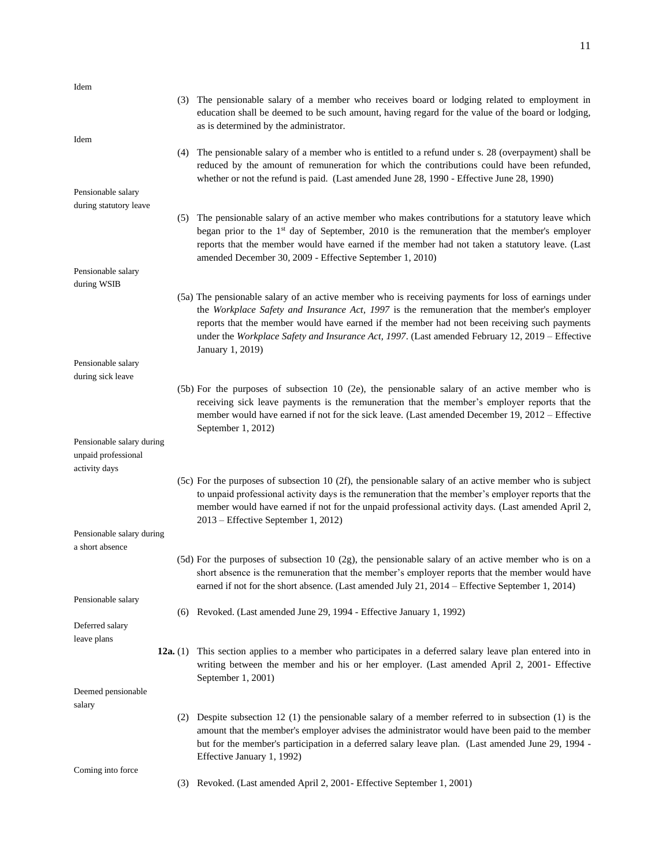| Idem                                                              |            |                                                                                                                                                                                                                                                                                                                                                                                                                            |
|-------------------------------------------------------------------|------------|----------------------------------------------------------------------------------------------------------------------------------------------------------------------------------------------------------------------------------------------------------------------------------------------------------------------------------------------------------------------------------------------------------------------------|
|                                                                   |            | (3) The pensionable salary of a member who receives board or lodging related to employment in<br>education shall be deemed to be such amount, having regard for the value of the board or lodging,<br>as is determined by the administrator.                                                                                                                                                                               |
| Idem                                                              | (4)        | The pensionable salary of a member who is entitled to a refund under s. 28 (overpayment) shall be<br>reduced by the amount of remuneration for which the contributions could have been refunded,<br>whether or not the refund is paid. (Last amended June 28, 1990 - Effective June 28, 1990)                                                                                                                              |
| Pensionable salary                                                |            |                                                                                                                                                                                                                                                                                                                                                                                                                            |
| during statutory leave                                            |            |                                                                                                                                                                                                                                                                                                                                                                                                                            |
|                                                                   |            | (5) The pensionable salary of an active member who makes contributions for a statutory leave which<br>began prior to the 1 <sup>st</sup> day of September, 2010 is the remuneration that the member's employer<br>reports that the member would have earned if the member had not taken a statutory leave. (Last<br>amended December 30, 2009 - Effective September 1, 2010)                                               |
| Pensionable salary                                                |            |                                                                                                                                                                                                                                                                                                                                                                                                                            |
| during WSIB                                                       |            |                                                                                                                                                                                                                                                                                                                                                                                                                            |
|                                                                   |            | (5a) The pensionable salary of an active member who is receiving payments for loss of earnings under<br>the Workplace Safety and Insurance Act, 1997 is the remuneration that the member's employer<br>reports that the member would have earned if the member had not been receiving such payments<br>under the Workplace Safety and Insurance Act, 1997. (Last amended February 12, 2019 - Effective<br>January 1, 2019) |
| Pensionable salary                                                |            |                                                                                                                                                                                                                                                                                                                                                                                                                            |
| during sick leave                                                 |            |                                                                                                                                                                                                                                                                                                                                                                                                                            |
|                                                                   |            | (5b) For the purposes of subsection 10 (2e), the pensionable salary of an active member who is<br>receiving sick leave payments is the remuneration that the member's employer reports that the<br>member would have earned if not for the sick leave. (Last amended December 19, 2012 – Effective<br>September 1, 2012)                                                                                                   |
| Pensionable salary during<br>unpaid professional<br>activity days |            |                                                                                                                                                                                                                                                                                                                                                                                                                            |
|                                                                   |            | (5c) For the purposes of subsection 10 (2f), the pensionable salary of an active member who is subject<br>to unpaid professional activity days is the remuneration that the member's employer reports that the<br>member would have earned if not for the unpaid professional activity days. (Last amended April 2,<br>2013 – Effective September 1, 2012)                                                                 |
| Pensionable salary during                                         |            |                                                                                                                                                                                                                                                                                                                                                                                                                            |
| a short absence                                                   |            |                                                                                                                                                                                                                                                                                                                                                                                                                            |
|                                                                   |            | $(5d)$ For the purposes of subsection 10 (2g), the pensionable salary of an active member who is on a<br>short absence is the remuneration that the member's employer reports that the member would have<br>earned if not for the short absence. (Last amended July 21, 2014 – Effective September 1, 2014)                                                                                                                |
| Pensionable salary                                                |            |                                                                                                                                                                                                                                                                                                                                                                                                                            |
|                                                                   |            | (6) Revoked. (Last amended June 29, 1994 - Effective January 1, 1992)                                                                                                                                                                                                                                                                                                                                                      |
| Deferred salary                                                   |            |                                                                                                                                                                                                                                                                                                                                                                                                                            |
| leave plans                                                       |            |                                                                                                                                                                                                                                                                                                                                                                                                                            |
|                                                                   | 12a. $(1)$ | This section applies to a member who participates in a deferred salary leave plan entered into in<br>writing between the member and his or her employer. (Last amended April 2, 2001- Effective<br>September 1, 2001)                                                                                                                                                                                                      |
| Deemed pensionable                                                |            |                                                                                                                                                                                                                                                                                                                                                                                                                            |
| salary                                                            |            |                                                                                                                                                                                                                                                                                                                                                                                                                            |
|                                                                   |            | (2) Despite subsection 12 (1) the pensionable salary of a member referred to in subsection (1) is the<br>amount that the member's employer advises the administrator would have been paid to the member<br>but for the member's participation in a deferred salary leave plan. (Last amended June 29, 1994 -<br>Effective January 1, 1992)                                                                                 |
| Coming into force                                                 |            |                                                                                                                                                                                                                                                                                                                                                                                                                            |
|                                                                   | (3)        | Revoked. (Last amended April 2, 2001- Effective September 1, 2001)                                                                                                                                                                                                                                                                                                                                                         |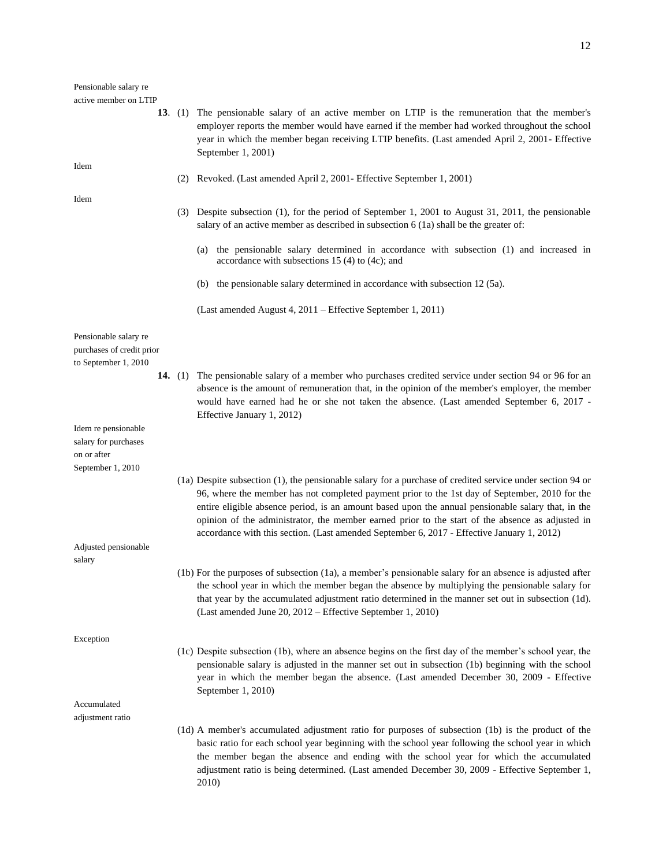#### Pensionable salary re active member on LTIP

| active member on LTIP                                                           |  |                                                                                                                                                                                                                                                                                                                                                                                                                                                                                                                      |
|---------------------------------------------------------------------------------|--|----------------------------------------------------------------------------------------------------------------------------------------------------------------------------------------------------------------------------------------------------------------------------------------------------------------------------------------------------------------------------------------------------------------------------------------------------------------------------------------------------------------------|
|                                                                                 |  | 13. (1) The pensionable salary of an active member on LTIP is the remuneration that the member's<br>employer reports the member would have earned if the member had worked throughout the school<br>year in which the member began receiving LTIP benefits. (Last amended April 2, 2001- Effective<br>September 1, 2001)                                                                                                                                                                                             |
| Idem                                                                            |  | (2) Revoked. (Last amended April 2, 2001 - Effective September 1, 2001)                                                                                                                                                                                                                                                                                                                                                                                                                                              |
| Idem                                                                            |  | (3) Despite subsection (1), for the period of September 1, 2001 to August 31, 2011, the pensionable<br>salary of an active member as described in subsection 6 (1a) shall be the greater of:                                                                                                                                                                                                                                                                                                                         |
|                                                                                 |  | the pensionable salary determined in accordance with subsection (1) and increased in<br>(a)<br>accordance with subsections $15(4)$ to $(4c)$ ; and                                                                                                                                                                                                                                                                                                                                                                   |
|                                                                                 |  | the pensionable salary determined in accordance with subsection 12 (5a).<br>(b)                                                                                                                                                                                                                                                                                                                                                                                                                                      |
|                                                                                 |  | (Last amended August 4, 2011 – Effective September 1, 2011)                                                                                                                                                                                                                                                                                                                                                                                                                                                          |
| Pensionable salary re<br>purchases of credit prior<br>to September 1, 2010      |  |                                                                                                                                                                                                                                                                                                                                                                                                                                                                                                                      |
|                                                                                 |  | 14. (1) The pensionable salary of a member who purchases credited service under section 94 or 96 for an<br>absence is the amount of remuneration that, in the opinion of the member's employer, the member<br>would have earned had he or she not taken the absence. (Last amended September 6, 2017 -<br>Effective January 1, 2012)                                                                                                                                                                                 |
| Idem re pensionable<br>salary for purchases<br>on or after<br>September 1, 2010 |  |                                                                                                                                                                                                                                                                                                                                                                                                                                                                                                                      |
|                                                                                 |  | (1a) Despite subsection (1), the pensionable salary for a purchase of credited service under section 94 or<br>96, where the member has not completed payment prior to the 1st day of September, 2010 for the<br>entire eligible absence period, is an amount based upon the annual pensionable salary that, in the<br>opinion of the administrator, the member earned prior to the start of the absence as adjusted in<br>accordance with this section. (Last amended September 6, 2017 - Effective January 1, 2012) |
| Adjusted pensionable<br>salary                                                  |  |                                                                                                                                                                                                                                                                                                                                                                                                                                                                                                                      |
|                                                                                 |  | (1b) For the purposes of subsection (1a), a member's pensionable salary for an absence is adjusted after<br>the school year in which the member began the absence by multiplying the pensionable salary for<br>that year by the accumulated adjustment ratio determined in the manner set out in subsection (1d).<br>(Last amended June 20, 2012 – Effective September 1, 2010)                                                                                                                                      |
| Exception                                                                       |  |                                                                                                                                                                                                                                                                                                                                                                                                                                                                                                                      |
|                                                                                 |  | (1c) Despite subsection (1b), where an absence begins on the first day of the member's school year, the<br>pensionable salary is adjusted in the manner set out in subsection (1b) beginning with the school<br>year in which the member began the absence. (Last amended December 30, 2009 - Effective<br>September 1, 2010)                                                                                                                                                                                        |
| Accumulated<br>adjustment ratio                                                 |  |                                                                                                                                                                                                                                                                                                                                                                                                                                                                                                                      |
|                                                                                 |  | (1d) A member's accumulated adjustment ratio for purposes of subsection (1b) is the product of the<br>basic ratio for each school year beginning with the school year following the school year in which<br>the member began the absence and ending with the school year for which the accumulated<br>adjustment ratio is being determined. (Last amended December 30, 2009 - Effective September 1,                                                                                                                 |

2010)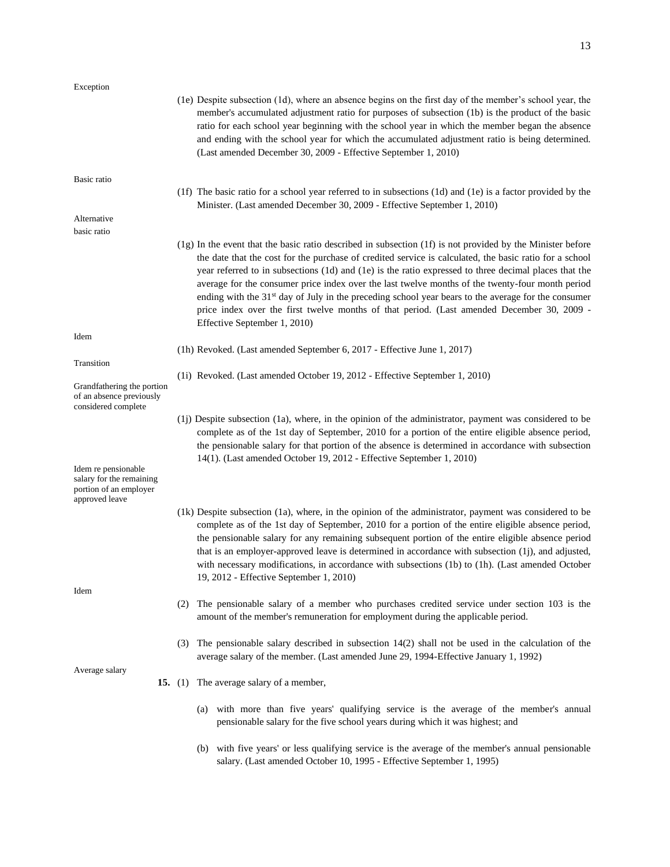Exception (1e) Despite subsection (1d), where an absence begins on the first day of the member's school year, the member's accumulated adjustment ratio for purposes of subsection (1b) is the product of the basic ratio for each school year beginning with the school year in which the member began the absence and ending with the school year for which the accumulated adjustment ratio is being determined. (Last amended December 30, 2009 - Effective September 1, 2010) Basic ratio (1f) The basic ratio for a school year referred to in subsections (1d) and (1e) is a factor provided by the Minister. (Last amended December 30, 2009 - Effective September 1, 2010) Alternative basic ratio (1g) In the event that the basic ratio described in subsection (1f) is not provided by the Minister before the date that the cost for the purchase of credited service is calculated, the basic ratio for a school year referred to in subsections (1d) and (1e) is the ratio expressed to three decimal places that the average for the consumer price index over the last twelve months of the twenty-four month period ending with the  $31<sup>st</sup>$  day of July in the preceding school year bears to the average for the consumer price index over the first twelve months of that period. (Last amended December 30, 2009 - Effective September 1, 2010) Idem (1h) Revoked. (Last amended September 6, 2017 - Effective June 1, 2017) Transition (1i) Revoked. (Last amended October 19, 2012 - Effective September 1, 2010) Grandfathering the portion of an absence previously considered complete (1j) Despite subsection (1a), where, in the opinion of the administrator, payment was considered to be complete as of the 1st day of September, 2010 for a portion of the entire eligible absence period, the pensionable salary for that portion of the absence is determined in accordance with subsection 14(1). (Last amended October 19, 2012 - Effective September 1, 2010) Idem re pensionable salary for the remaining portion of an employer approved leave (1k) Despite subsection (1a), where, in the opinion of the administrator, payment was considered to be complete as of the 1st day of September, 2010 for a portion of the entire eligible absence period, the pensionable salary for any remaining subsequent portion of the entire eligible absence period that is an employer-approved leave is determined in accordance with subsection (1j), and adjusted, with necessary modifications, in accordance with subsections (1b) to (1h). (Last amended October 19, 2012 - Effective September 1, 2010) Idem (2) The pensionable salary of a member who purchases credited service under section 103 is the amount of the member's remuneration for employment during the applicable period. (3) The pensionable salary described in subsection 14(2) shall not be used in the calculation of the average salary of the member. (Last amended June 29, 1994-Effective January 1, 1992) Average salary

- **15.** (1) The average salary of a member,
	- (a) with more than five years' qualifying service is the average of the member's annual pensionable salary for the five school years during which it was highest; and
	- (b) with five years' or less qualifying service is the average of the member's annual pensionable salary. (Last amended October 10, 1995 - Effective September 1, 1995)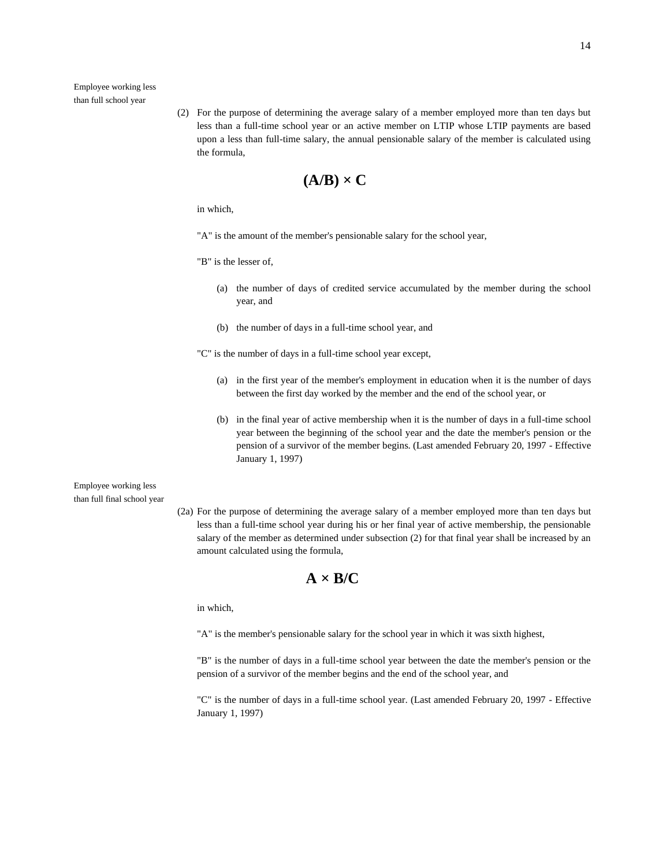Employee working less than full school year

> (2) For the purpose of determining the average salary of a member employed more than ten days but less than a full-time school year or an active member on LTIP whose LTIP payments are based upon a less than full-time salary, the annual pensionable salary of the member is calculated using the formula,

$$
(\mathbf{A}/\mathbf{B}) \times \mathbf{C}
$$

in which,

"A" is the amount of the member's pensionable salary for the school year,

"B" is the lesser of,

- (a) the number of days of credited service accumulated by the member during the school year, and
- (b) the number of days in a full-time school year, and

"C" is the number of days in a full-time school year except,

- (a) in the first year of the member's employment in education when it is the number of days between the first day worked by the member and the end of the school year, or
- (b) in the final year of active membership when it is the number of days in a full-time school year between the beginning of the school year and the date the member's pension or the pension of a survivor of the member begins. (Last amended February 20, 1997 - Effective January 1, 1997)

### Employee working less than full final school year

(2a) For the purpose of determining the average salary of a member employed more than ten days but less than a full-time school year during his or her final year of active membership, the pensionable salary of the member as determined under subsection (2) for that final year shall be increased by an amount calculated using the formula,

## $A \times B/C$

in which,

"A" is the member's pensionable salary for the school year in which it was sixth highest,

"B" is the number of days in a full-time school year between the date the member's pension or the pension of a survivor of the member begins and the end of the school year, and

"C" is the number of days in a full-time school year. (Last amended February 20, 1997 - Effective January 1, 1997)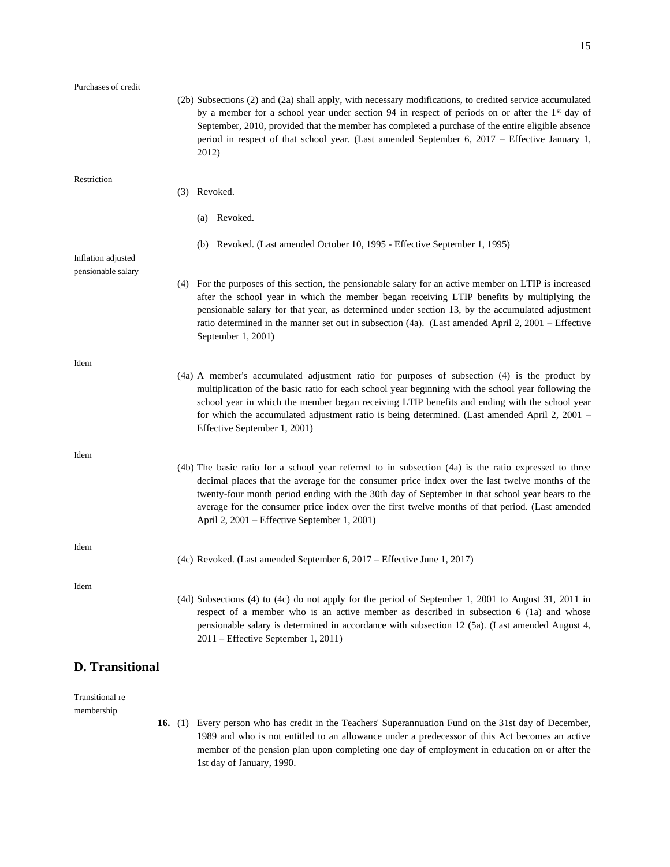| Purchases of credit    |                                                                                                                                                                                                                                                                                                                                                                                                                                                                |
|------------------------|----------------------------------------------------------------------------------------------------------------------------------------------------------------------------------------------------------------------------------------------------------------------------------------------------------------------------------------------------------------------------------------------------------------------------------------------------------------|
|                        | (2b) Subsections (2) and (2a) shall apply, with necessary modifications, to credited service accumulated<br>by a member for a school year under section 94 in respect of periods on or after the $1st$ day of<br>September, 2010, provided that the member has completed a purchase of the entire eligible absence<br>period in respect of that school year. (Last amended September 6, 2017 – Effective January 1,<br>2012)                                   |
| Restriction            | (3) Revoked.                                                                                                                                                                                                                                                                                                                                                                                                                                                   |
|                        | (a) Revoked.                                                                                                                                                                                                                                                                                                                                                                                                                                                   |
| Inflation adjusted     | (b) Revoked. (Last amended October 10, 1995 - Effective September 1, 1995)                                                                                                                                                                                                                                                                                                                                                                                     |
| pensionable salary     | (4) For the purposes of this section, the pensionable salary for an active member on LTIP is increased<br>after the school year in which the member began receiving LTIP benefits by multiplying the<br>pensionable salary for that year, as determined under section 13, by the accumulated adjustment<br>ratio determined in the manner set out in subsection (4a). (Last amended April 2, 2001 - Effective<br>September 1, 2001)                            |
| Idem                   | (4a) A member's accumulated adjustment ratio for purposes of subsection (4) is the product by<br>multiplication of the basic ratio for each school year beginning with the school year following the<br>school year in which the member began receiving LTIP benefits and ending with the school year<br>for which the accumulated adjustment ratio is being determined. (Last amended April 2, 2001 –<br>Effective September 1, 2001)                         |
| Idem                   |                                                                                                                                                                                                                                                                                                                                                                                                                                                                |
|                        | (4b) The basic ratio for a school year referred to in subsection (4a) is the ratio expressed to three<br>decimal places that the average for the consumer price index over the last twelve months of the<br>twenty-four month period ending with the 30th day of September in that school year bears to the<br>average for the consumer price index over the first twelve months of that period. (Last amended<br>April 2, 2001 – Effective September 1, 2001) |
| Idem                   | (4c) Revoked. (Last amended September 6, $2017$ – Effective June 1, 2017)                                                                                                                                                                                                                                                                                                                                                                                      |
| Idem                   | (4d) Subsections (4) to (4c) do not apply for the period of September 1, 2001 to August 31, 2011 in<br>respect of a member who is an active member as described in subsection 6 (1a) and whose<br>pensionable salary is determined in accordance with subsection 12 (5a). (Last amended August 4,<br>2011 – Effective September 1, 2011)                                                                                                                       |
| <b>D.</b> Transitional |                                                                                                                                                                                                                                                                                                                                                                                                                                                                |

Transitional re membership

> **16.** (1) Every person who has credit in the Teachers' Superannuation Fund on the 31st day of December, 1989 and who is not entitled to an allowance under a predecessor of this Act becomes an active member of the pension plan upon completing one day of employment in education on or after the 1st day of January, 1990.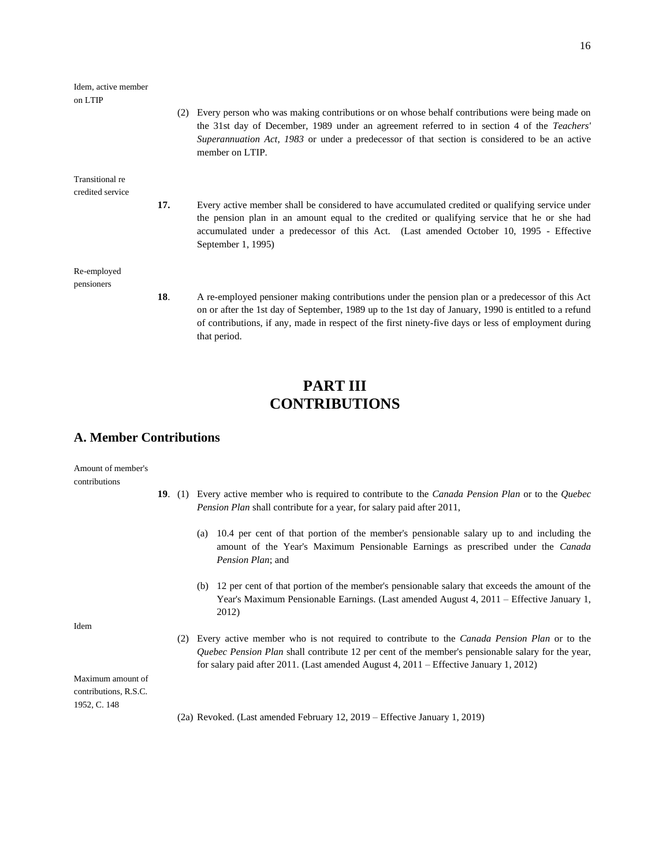| Idem, active member<br>on LTIP |     |                                                                                                                                                                                                                                                                                                                                   |
|--------------------------------|-----|-----------------------------------------------------------------------------------------------------------------------------------------------------------------------------------------------------------------------------------------------------------------------------------------------------------------------------------|
|                                |     | Every person who was making contributions or on whose behalf contributions were being made on<br>(2)<br>the 31st day of December, 1989 under an agreement referred to in section 4 of the Teachers'<br>Superannuation Act, 1983 or under a predecessor of that section is considered to be an active<br>member on LTIP.           |
| Transitional re                |     |                                                                                                                                                                                                                                                                                                                                   |
| credited service               | 17. | Every active member shall be considered to have accumulated credited or qualifying service under<br>the pension plan in an amount equal to the credited or qualifying service that he or she had<br>accumulated under a predecessor of this Act. (Last amended October 10, 1995 - Effective<br>September 1, 1995)                 |
| Re-employed<br>pensioners      |     |                                                                                                                                                                                                                                                                                                                                   |
|                                | 18. | A re-employed pensioner making contributions under the pension plan or a predecessor of this Act<br>on or after the 1st day of September, 1989 up to the 1st day of January, 1990 is entitled to a refund<br>of contributions, if any, made in respect of the first ninety-five days or less of employment during<br>that period. |
|                                |     |                                                                                                                                                                                                                                                                                                                                   |

# **PART III CONTRIBUTIONS**

### **A. Member Contributions**

Amount of member's contributions

- **19**. (1) Every active member who is required to contribute to the *Canada Pension Plan* or to the *Quebec Pension Plan* shall contribute for a year, for salary paid after 2011,
	- (a) 10.4 per cent of that portion of the member's pensionable salary up to and including the amount of the Year's Maximum Pensionable Earnings as prescribed under the *Canada Pension Plan*; and
	- (b) 12 per cent of that portion of the member's pensionable salary that exceeds the amount of the Year's Maximum Pensionable Earnings. (Last amended August 4, 2011 – Effective January 1, 2012)

(2) Every active member who is not required to contribute to the *Canada Pension Plan* or to the *Quebec Pension Plan* shall contribute 12 per cent of the member's pensionable salary for the year,

for salary paid after 2011. (Last amended August 4, 2011 – Effective January 1, 2012)

Idem

Maximum amount of contributions, R.S.C. 1952, C. 148

(2a) Revoked. (Last amended February 12, 2019 – Effective January 1, 2019)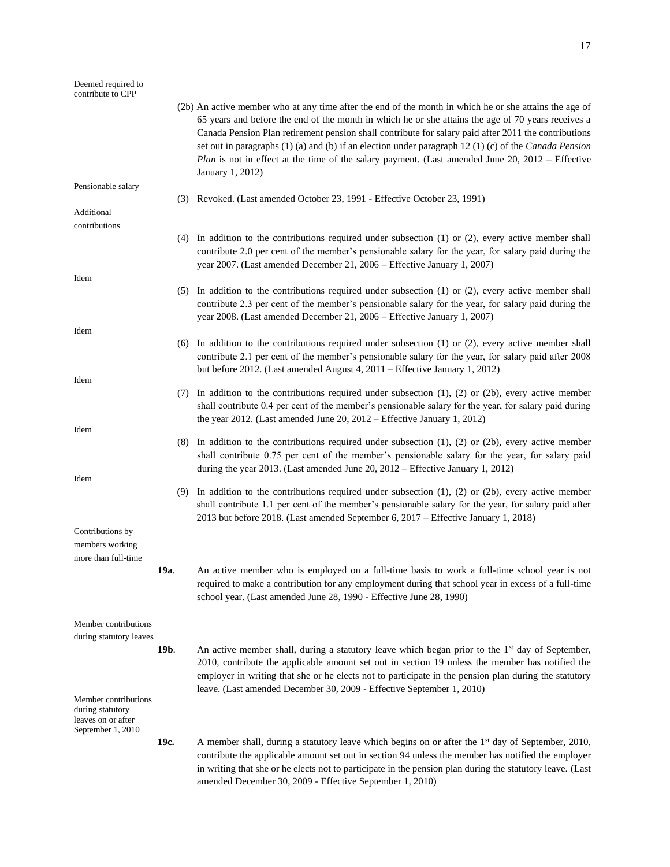### Deemed required to contribute to CPP (2b) An active member who at any time after the end of the month in which he or she attains the age of 65 years and before the end of the month in which he or she attains the age of 70 years receives a Canada Pension Plan retirement pension shall contribute for salary paid after 2011 the contributions set out in paragraphs (1) (a) and (b) if an election under paragraph 12 (1) (c) of the *Canada Pension Plan* is not in effect at the time of the salary payment. (Last amended June 20, 2012 – Effective January 1, 2012) Pensionable salary (3) Revoked. (Last amended October 23, 1991 - Effective October 23, 1991) Additional contributions (4) In addition to the contributions required under subsection (1) or (2), every active member shall contribute 2.0 per cent of the member's pensionable salary for the year, for salary paid during the year 2007. (Last amended December 21, 2006 – Effective January 1, 2007) Idem (5) In addition to the contributions required under subsection (1) or (2), every active member shall contribute 2.3 per cent of the member's pensionable salary for the year, for salary paid during the year 2008. (Last amended December 21, 2006 – Effective January 1, 2007) Idem (6) In addition to the contributions required under subsection (1) or (2), every active member shall contribute 2.1 per cent of the member's pensionable salary for the year, for salary paid after 2008 but before 2012. (Last amended August 4, 2011 – Effective January 1, 2012) Idem (7) In addition to the contributions required under subsection (1), (2) or (2b), every active member shall contribute 0.4 per cent of the member's pensionable salary for the year, for salary paid during the year 2012. (Last amended June 20, 2012 – Effective January 1, 2012) Idem (8) In addition to the contributions required under subsection (1), (2) or (2b), every active member shall contribute 0.75 per cent of the member's pensionable salary for the year, for salary paid during the year 2013. (Last amended June 20, 2012 – Effective January 1, 2012) Idem (9) In addition to the contributions required under subsection (1), (2) or (2b), every active member shall contribute 1.1 per cent of the member's pensionable salary for the year, for salary paid after 2013 but before 2018. (Last amended September 6, 2017 – Effective January 1, 2018) Contributions by members working more than full-time **19a**. An active member who is employed on a full-time basis to work a full-time school year is not required to make a contribution for any employment during that school year in excess of a full-time school year. (Last amended June 28, 1990 - Effective June 28, 1990) Member contributions during statutory leaves **19b.** An active member shall, during a statutory leave which began prior to the 1<sup>st</sup> day of September, 2010, contribute the applicable amount set out in section 19 unless the member has notified the employer in writing that she or he elects not to participate in the pension plan during the statutory leave. (Last amended December 30, 2009 - Effective September 1, 2010) Member contributions during statutory leaves on or after September 1, 2010 **19c.** A member shall, during a statutory leave which begins on or after the 1<sup>st</sup> day of September, 2010, contribute the applicable amount set out in section 94 unless the member has notified the employer in writing that she or he elects not to participate in the pension plan during the statutory leave. (Last amended December 30, 2009 - Effective September 1, 2010)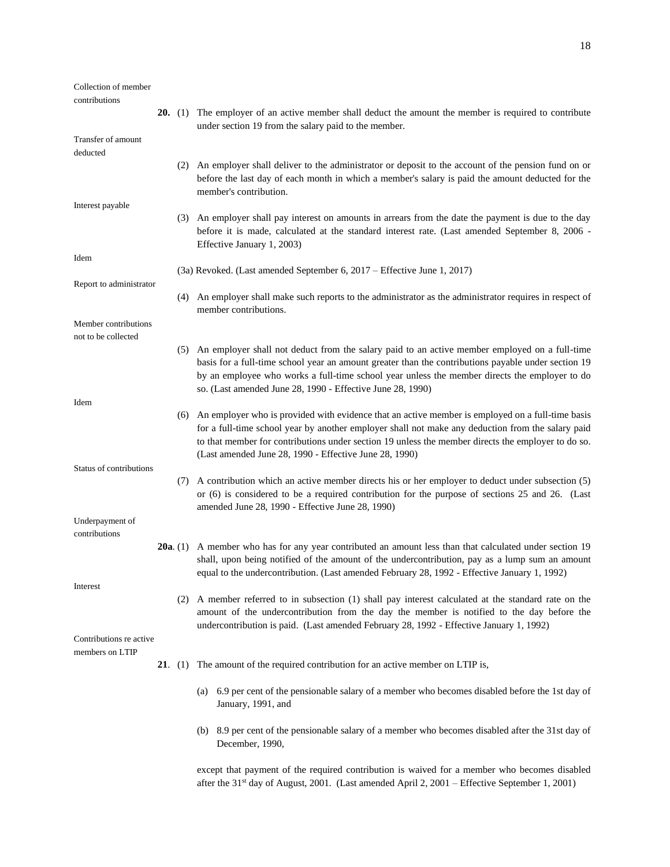| Collection of member    |                |                                                                                                                                                                                                                                                                                                                                                                         |
|-------------------------|----------------|-------------------------------------------------------------------------------------------------------------------------------------------------------------------------------------------------------------------------------------------------------------------------------------------------------------------------------------------------------------------------|
| contributions           |                |                                                                                                                                                                                                                                                                                                                                                                         |
|                         |                | 20. (1) The employer of an active member shall deduct the amount the member is required to contribute<br>under section 19 from the salary paid to the member.                                                                                                                                                                                                           |
| Transfer of amount      |                |                                                                                                                                                                                                                                                                                                                                                                         |
| deducted                |                |                                                                                                                                                                                                                                                                                                                                                                         |
|                         |                | (2) An employer shall deliver to the administrator or deposit to the account of the pension fund on or<br>before the last day of each month in which a member's salary is paid the amount deducted for the<br>member's contribution.                                                                                                                                    |
| Interest payable        |                |                                                                                                                                                                                                                                                                                                                                                                         |
|                         |                | (3) An employer shall pay interest on amounts in arrears from the date the payment is due to the day<br>before it is made, calculated at the standard interest rate. (Last amended September 8, 2006 -<br>Effective January 1, 2003)                                                                                                                                    |
| Idem                    |                |                                                                                                                                                                                                                                                                                                                                                                         |
|                         |                | (3a) Revoked. (Last amended September 6, 2017 – Effective June 1, 2017)                                                                                                                                                                                                                                                                                                 |
| Report to administrator |                | (4) An employer shall make such reports to the administrator as the administrator requires in respect of<br>member contributions.                                                                                                                                                                                                                                       |
| Member contributions    |                |                                                                                                                                                                                                                                                                                                                                                                         |
| not to be collected     |                |                                                                                                                                                                                                                                                                                                                                                                         |
|                         |                | (5) An employer shall not deduct from the salary paid to an active member employed on a full-time<br>basis for a full-time school year an amount greater than the contributions payable under section 19<br>by an employee who works a full-time school year unless the member directs the employer to do<br>so. (Last amended June 28, 1990 - Effective June 28, 1990) |
| Idem                    |                |                                                                                                                                                                                                                                                                                                                                                                         |
|                         | (6)            | An employer who is provided with evidence that an active member is employed on a full-time basis<br>for a full-time school year by another employer shall not make any deduction from the salary paid<br>to that member for contributions under section 19 unless the member directs the employer to do so.<br>(Last amended June 28, 1990 - Effective June 28, 1990)   |
| Status of contributions |                |                                                                                                                                                                                                                                                                                                                                                                         |
|                         | (7)            | A contribution which an active member directs his or her employer to deduct under subsection (5)<br>or (6) is considered to be a required contribution for the purpose of sections 25 and 26. (Last<br>amended June 28, 1990 - Effective June 28, 1990)                                                                                                                 |
| Underpayment of         |                |                                                                                                                                                                                                                                                                                                                                                                         |
| contributions           |                |                                                                                                                                                                                                                                                                                                                                                                         |
|                         |                | 20a. (1) A member who has for any year contributed an amount less than that calculated under section 19<br>shall, upon being notified of the amount of the undercontribution, pay as a lump sum an amount<br>equal to the undercontribution. (Last amended February 28, 1992 - Effective January 1, 1992)                                                               |
| Interest                |                |                                                                                                                                                                                                                                                                                                                                                                         |
|                         |                | (2) A member referred to in subsection (1) shall pay interest calculated at the standard rate on the<br>amount of the undercontribution from the day the member is notified to the day before the<br>undercontribution is paid. (Last amended February 28, 1992 - Effective January 1, 1992)                                                                            |
| Contributions re active |                |                                                                                                                                                                                                                                                                                                                                                                         |
| members on LTIP         | <b>21.</b> (1) | The amount of the required contribution for an active member on LTIP is,                                                                                                                                                                                                                                                                                                |
|                         |                |                                                                                                                                                                                                                                                                                                                                                                         |
|                         |                | 6.9 per cent of the pensionable salary of a member who becomes disabled before the 1st day of<br>(a)<br>January, 1991, and                                                                                                                                                                                                                                              |
|                         |                | (b) 8.9 per cent of the pensionable salary of a member who becomes disabled after the 31st day of<br>December, 1990,                                                                                                                                                                                                                                                    |
|                         |                | except that payment of the required contribution is waived for a member who becomes disabled<br>after the $31st$ day of August, 2001. (Last amended April 2, 2001 – Effective September 1, 2001)                                                                                                                                                                        |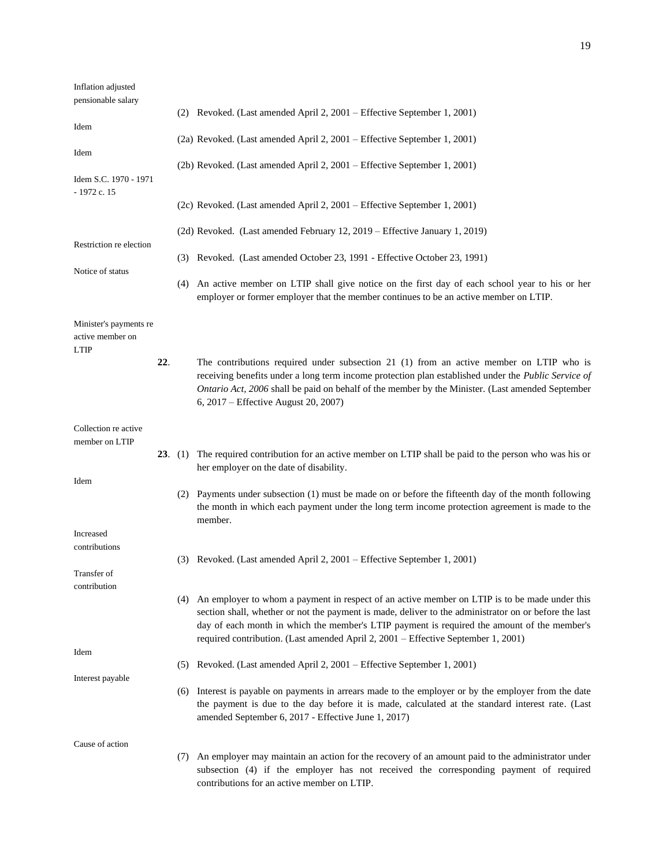| Inflation adjusted<br>pensionable salary   |         |     |                                                                                                                                                                                                                                                                                                                                                                                            |
|--------------------------------------------|---------|-----|--------------------------------------------------------------------------------------------------------------------------------------------------------------------------------------------------------------------------------------------------------------------------------------------------------------------------------------------------------------------------------------------|
|                                            |         |     | (2) Revoked. (Last amended April 2, 2001 – Effective September 1, 2001)                                                                                                                                                                                                                                                                                                                    |
| Idem                                       |         |     | (2a) Revoked. (Last amended April 2, 2001 – Effective September 1, 2001)                                                                                                                                                                                                                                                                                                                   |
| Idem                                       |         |     |                                                                                                                                                                                                                                                                                                                                                                                            |
| Idem S.C. 1970 - 1971<br>- 1972 c. 15      |         |     | (2b) Revoked. (Last amended April 2, 2001 – Effective September 1, 2001)                                                                                                                                                                                                                                                                                                                   |
|                                            |         |     | (2c) Revoked. (Last amended April 2, 2001 – Effective September 1, 2001)                                                                                                                                                                                                                                                                                                                   |
| Restriction re election                    |         |     | (2d) Revoked. (Last amended February 12, 2019 – Effective January 1, 2019)                                                                                                                                                                                                                                                                                                                 |
| Notice of status                           |         |     | (3) Revoked. (Last amended October 23, 1991 - Effective October 23, 1991)                                                                                                                                                                                                                                                                                                                  |
|                                            |         |     | (4) An active member on LTIP shall give notice on the first day of each school year to his or her<br>employer or former employer that the member continues to be an active member on LTIP.                                                                                                                                                                                                 |
| Minister's payments re<br>active member on |         |     |                                                                                                                                                                                                                                                                                                                                                                                            |
| <b>LTIP</b>                                | 22.     |     | The contributions required under subsection 21 (1) from an active member on LTIP who is<br>receiving benefits under a long term income protection plan established under the <i>Public Service of</i><br>Ontario Act, 2006 shall be paid on behalf of the member by the Minister. (Last amended September<br>6, 2017 – Effective August 20, 2007)                                          |
| Collection re active<br>member on LTIP     |         |     |                                                                                                                                                                                                                                                                                                                                                                                            |
|                                            | 23. (1) |     | The required contribution for an active member on LTIP shall be paid to the person who was his or<br>her employer on the date of disability.                                                                                                                                                                                                                                               |
| Idem                                       |         |     | (2) Payments under subsection (1) must be made on or before the fifteenth day of the month following<br>the month in which each payment under the long term income protection agreement is made to the<br>member.                                                                                                                                                                          |
| Increased                                  |         |     |                                                                                                                                                                                                                                                                                                                                                                                            |
| contributions                              |         |     | (3) Revoked. (Last amended April 2, 2001 – Effective September 1, 2001)                                                                                                                                                                                                                                                                                                                    |
| Transfer of<br>contribution                |         |     |                                                                                                                                                                                                                                                                                                                                                                                            |
|                                            |         | (4) | An employer to whom a payment in respect of an active member on LTIP is to be made under this<br>section shall, whether or not the payment is made, deliver to the administrator on or before the last<br>day of each month in which the member's LTIP payment is required the amount of the member's<br>required contribution. (Last amended April 2, 2001 - Effective September 1, 2001) |
| Idem                                       |         |     |                                                                                                                                                                                                                                                                                                                                                                                            |
| Interest payable                           |         | (5) | Revoked. (Last amended April 2, 2001 – Effective September 1, 2001)                                                                                                                                                                                                                                                                                                                        |
|                                            |         |     | (6) Interest is payable on payments in arrears made to the employer or by the employer from the date<br>the payment is due to the day before it is made, calculated at the standard interest rate. (Last<br>amended September 6, 2017 - Effective June 1, 2017)                                                                                                                            |
| Cause of action                            |         |     |                                                                                                                                                                                                                                                                                                                                                                                            |
|                                            |         | (7) | An employer may maintain an action for the recovery of an amount paid to the administrator under<br>subsection (4) if the employer has not received the corresponding payment of required<br>contributions for an active member on LTIP.                                                                                                                                                   |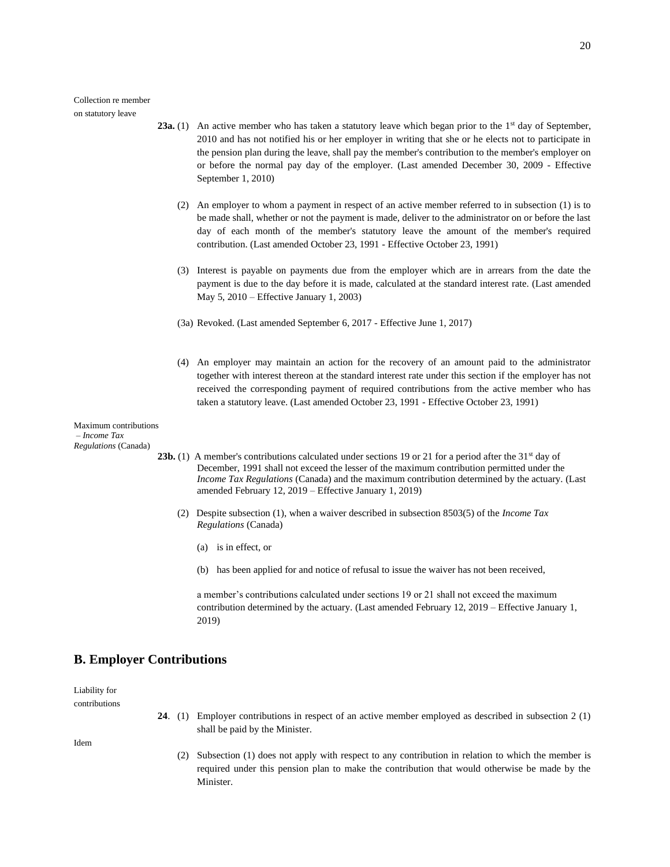Collection re member on statutory leave

- **23a.** (1) An active member who has taken a statutory leave which began prior to the  $1<sup>st</sup>$  day of September, 2010 and has not notified his or her employer in writing that she or he elects not to participate in the pension plan during the leave, shall pay the member's contribution to the member's employer on or before the normal pay day of the employer. (Last amended December 30, 2009 - Effective September 1, 2010)
	- (2) An employer to whom a payment in respect of an active member referred to in subsection (1) is to be made shall, whether or not the payment is made, deliver to the administrator on or before the last day of each month of the member's statutory leave the amount of the member's required contribution. (Last amended October 23, 1991 - Effective October 23, 1991)
	- (3) Interest is payable on payments due from the employer which are in arrears from the date the payment is due to the day before it is made, calculated at the standard interest rate. (Last amended May 5, 2010 – Effective January 1, 2003)
	- (3a) Revoked. (Last amended September 6, 2017 Effective June 1, 2017)
	- (4) An employer may maintain an action for the recovery of an amount paid to the administrator together with interest thereon at the standard interest rate under this section if the employer has not received the corresponding payment of required contributions from the active member who has taken a statutory leave. (Last amended October 23, 1991 - Effective October 23, 1991)

Maximum contributions – *Income Tax Regulations* (Canada)

- **23b.** (1) A member's contributions calculated under sections 19 or 21 for a period after the  $31<sup>st</sup>$  day of December, 1991 shall not exceed the lesser of the maximum contribution permitted under the *Income Tax Regulations* (Canada) and the maximum contribution determined by the actuary. (Last amended February 12, 2019 – Effective January 1, 2019)
	- (2) Despite subsection (1), when a waiver described in subsection 8503(5) of the *Income Tax Regulations* (Canada)
		- (a) is in effect, or
		- (b) has been applied for and notice of refusal to issue the waiver has not been received,

a member's contributions calculated under sections 19 or 21 shall not exceed the maximum contribution determined by the actuary. (Last amended February 12, 2019 – Effective January 1, 2019)

### **B. Employer Contributions**

Liability for contributions

> **24**. (1) Employer contributions in respect of an active member employed as described in subsection 2 (1) shall be paid by the Minister.

Idem

(2) Subsection (1) does not apply with respect to any contribution in relation to which the member is required under this pension plan to make the contribution that would otherwise be made by the **Minister**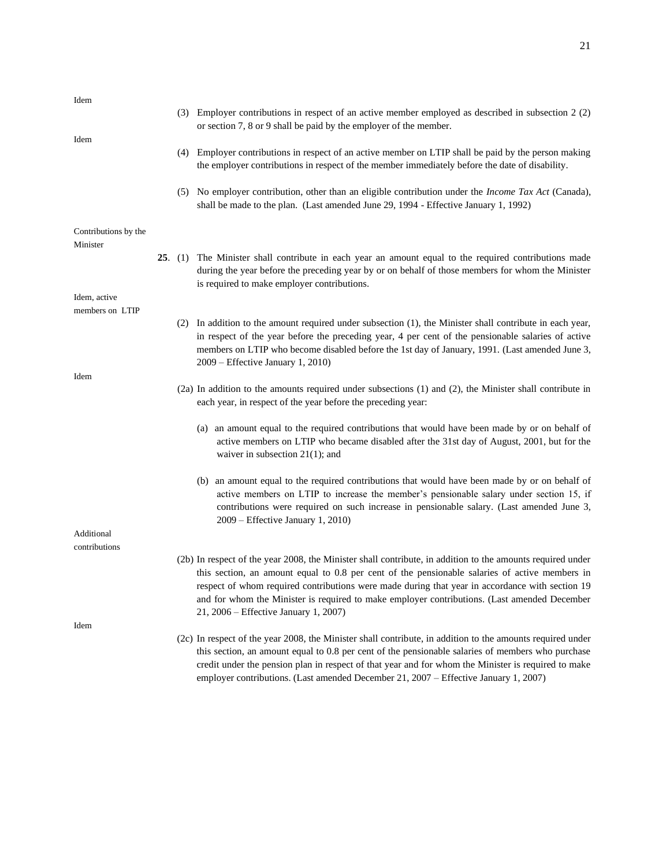| Idem                             |  | (3) Employer contributions in respect of an active member employed as described in subsection 2 (2)                                                                                                                                                                                                                                                                                                                                                      |
|----------------------------------|--|----------------------------------------------------------------------------------------------------------------------------------------------------------------------------------------------------------------------------------------------------------------------------------------------------------------------------------------------------------------------------------------------------------------------------------------------------------|
| Idem                             |  | or section 7, 8 or 9 shall be paid by the employer of the member.                                                                                                                                                                                                                                                                                                                                                                                        |
|                                  |  | (4) Employer contributions in respect of an active member on LTIP shall be paid by the person making<br>the employer contributions in respect of the member immediately before the date of disability.                                                                                                                                                                                                                                                   |
|                                  |  | (5) No employer contribution, other than an eligible contribution under the <i>Income Tax Act</i> (Canada),<br>shall be made to the plan. (Last amended June 29, 1994 - Effective January 1, 1992)                                                                                                                                                                                                                                                       |
| Contributions by the<br>Minister |  |                                                                                                                                                                                                                                                                                                                                                                                                                                                          |
|                                  |  | 25. (1) The Minister shall contribute in each year an amount equal to the required contributions made<br>during the year before the preceding year by or on behalf of those members for whom the Minister<br>is required to make employer contributions.                                                                                                                                                                                                 |
| Idem, active                     |  |                                                                                                                                                                                                                                                                                                                                                                                                                                                          |
| members on LTIP                  |  | (2) In addition to the amount required under subsection (1), the Minister shall contribute in each year,<br>in respect of the year before the preceding year, 4 per cent of the pensionable salaries of active<br>members on LTIP who become disabled before the 1st day of January, 1991. (Last amended June 3,<br>2009 - Effective January 1, 2010)                                                                                                    |
| Idem                             |  | (2a) In addition to the amounts required under subsections (1) and (2), the Minister shall contribute in<br>each year, in respect of the year before the preceding year:                                                                                                                                                                                                                                                                                 |
|                                  |  | (a) an amount equal to the required contributions that would have been made by or on behalf of<br>active members on LTIP who became disabled after the 31st day of August, 2001, but for the<br>waiver in subsection $21(1)$ ; and                                                                                                                                                                                                                       |
|                                  |  | (b) an amount equal to the required contributions that would have been made by or on behalf of<br>active members on LTIP to increase the member's pensionable salary under section 15, if<br>contributions were required on such increase in pensionable salary. (Last amended June 3,<br>2009 – Effective January 1, 2010)                                                                                                                              |
| Additional                       |  |                                                                                                                                                                                                                                                                                                                                                                                                                                                          |
| contributions                    |  |                                                                                                                                                                                                                                                                                                                                                                                                                                                          |
|                                  |  | (2b) In respect of the year 2008, the Minister shall contribute, in addition to the amounts required under<br>this section, an amount equal to 0.8 per cent of the pensionable salaries of active members in<br>respect of whom required contributions were made during that year in accordance with section 19<br>and for whom the Minister is required to make employer contributions. (Last amended December<br>21, 2006 – Effective January 1, 2007) |
| Idem                             |  |                                                                                                                                                                                                                                                                                                                                                                                                                                                          |
|                                  |  | (2c) In respect of the year 2008, the Minister shall contribute, in addition to the amounts required under<br>this section, an amount equal to 0.8 per cent of the pensionable salaries of members who purchase<br>credit under the pension plan in respect of that year and for whom the Minister is required to make<br>employer contributions. (Last amended December 21, 2007 – Effective January 1, 2007)                                           |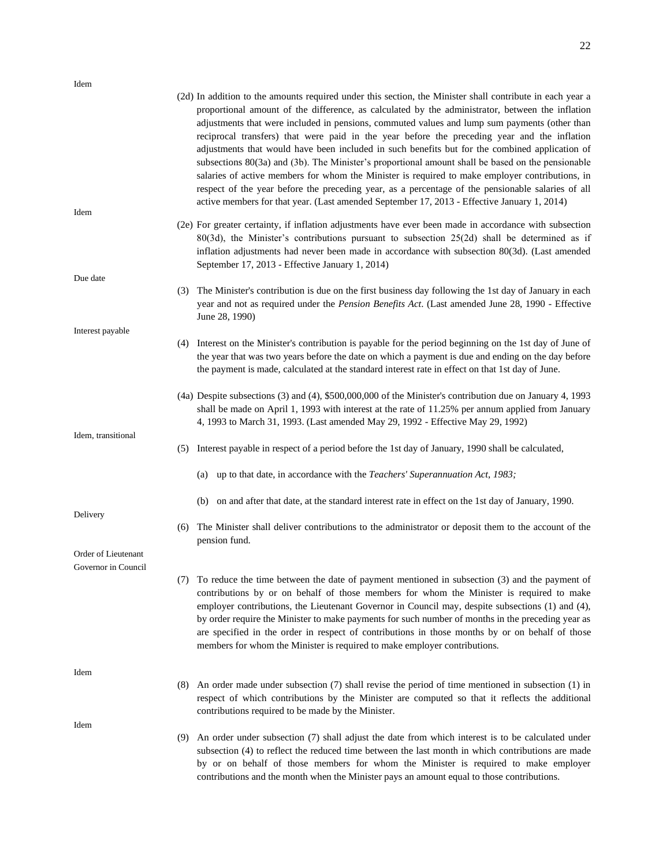|                                            | (2d) In addition to the amounts required under this section, the Minister shall contribute in each year a<br>proportional amount of the difference, as calculated by the administrator, between the inflation<br>adjustments that were included in pensions, commuted values and lump sum payments (other than<br>reciprocal transfers) that were paid in the year before the preceding year and the inflation<br>adjustments that would have been included in such benefits but for the combined application of<br>subsections $80(3a)$ and $(3b)$ . The Minister's proportional amount shall be based on the pensionable<br>salaries of active members for whom the Minister is required to make employer contributions, in<br>respect of the year before the preceding year, as a percentage of the pensionable salaries of all<br>active members for that year. (Last amended September 17, 2013 - Effective January 1, 2014) |
|--------------------------------------------|-----------------------------------------------------------------------------------------------------------------------------------------------------------------------------------------------------------------------------------------------------------------------------------------------------------------------------------------------------------------------------------------------------------------------------------------------------------------------------------------------------------------------------------------------------------------------------------------------------------------------------------------------------------------------------------------------------------------------------------------------------------------------------------------------------------------------------------------------------------------------------------------------------------------------------------|
| Idem                                       | (2e) For greater certainty, if inflation adjustments have ever been made in accordance with subsection<br>$80(3d)$ , the Minister's contributions pursuant to subsection $25(2d)$ shall be determined as if<br>inflation adjustments had never been made in accordance with subsection 80(3d). (Last amended<br>September 17, 2013 - Effective January 1, 2014)                                                                                                                                                                                                                                                                                                                                                                                                                                                                                                                                                                   |
| Due date                                   |                                                                                                                                                                                                                                                                                                                                                                                                                                                                                                                                                                                                                                                                                                                                                                                                                                                                                                                                   |
|                                            | The Minister's contribution is due on the first business day following the 1st day of January in each<br>(3)<br>year and not as required under the Pension Benefits Act. (Last amended June 28, 1990 - Effective<br>June 28, 1990)                                                                                                                                                                                                                                                                                                                                                                                                                                                                                                                                                                                                                                                                                                |
| Interest payable                           | (4) Interest on the Minister's contribution is payable for the period beginning on the 1st day of June of<br>the year that was two years before the date on which a payment is due and ending on the day before<br>the payment is made, calculated at the standard interest rate in effect on that 1st day of June.                                                                                                                                                                                                                                                                                                                                                                                                                                                                                                                                                                                                               |
|                                            | (4a) Despite subsections (3) and (4), \$500,000,000 of the Minister's contribution due on January 4, 1993<br>shall be made on April 1, 1993 with interest at the rate of 11.25% per annum applied from January<br>4, 1993 to March 31, 1993. (Last amended May 29, 1992 - Effective May 29, 1992)                                                                                                                                                                                                                                                                                                                                                                                                                                                                                                                                                                                                                                 |
| Idem, transitional                         | Interest payable in respect of a period before the 1st day of January, 1990 shall be calculated,<br>(5)                                                                                                                                                                                                                                                                                                                                                                                                                                                                                                                                                                                                                                                                                                                                                                                                                           |
|                                            | (a) up to that date, in accordance with the <i>Teachers' Superannuation Act</i> , 1983;                                                                                                                                                                                                                                                                                                                                                                                                                                                                                                                                                                                                                                                                                                                                                                                                                                           |
| Delivery                                   | on and after that date, at the standard interest rate in effect on the 1st day of January, 1990.<br>(b)                                                                                                                                                                                                                                                                                                                                                                                                                                                                                                                                                                                                                                                                                                                                                                                                                           |
|                                            | The Minister shall deliver contributions to the administrator or deposit them to the account of the<br>(6)<br>pension fund.                                                                                                                                                                                                                                                                                                                                                                                                                                                                                                                                                                                                                                                                                                                                                                                                       |
| Order of Lieutenant<br>Governor in Council |                                                                                                                                                                                                                                                                                                                                                                                                                                                                                                                                                                                                                                                                                                                                                                                                                                                                                                                                   |
|                                            | (7) To reduce the time between the date of payment mentioned in subsection (3) and the payment of<br>contributions by or on behalf of those members for whom the Minister is required to make<br>employer contributions, the Lieutenant Governor in Council may, despite subsections (1) and (4),<br>by order require the Minister to make payments for such number of months in the preceding year as<br>are specified in the order in respect of contributions in those months by or on behalf of those<br>members for whom the Minister is required to make employer contributions.                                                                                                                                                                                                                                                                                                                                            |
| Idem                                       | An order made under subsection (7) shall revise the period of time mentioned in subsection (1) in<br>(8)                                                                                                                                                                                                                                                                                                                                                                                                                                                                                                                                                                                                                                                                                                                                                                                                                          |
|                                            | respect of which contributions by the Minister are computed so that it reflects the additional<br>contributions required to be made by the Minister.                                                                                                                                                                                                                                                                                                                                                                                                                                                                                                                                                                                                                                                                                                                                                                              |
| Idem                                       |                                                                                                                                                                                                                                                                                                                                                                                                                                                                                                                                                                                                                                                                                                                                                                                                                                                                                                                                   |
|                                            | An order under subsection (7) shall adjust the date from which interest is to be calculated under<br>(9)<br>subsection (4) to reflect the reduced time between the last month in which contributions are made<br>by or on behalf of those members for whom the Minister is required to make employer                                                                                                                                                                                                                                                                                                                                                                                                                                                                                                                                                                                                                              |

contributions and the month when the Minister pays an amount equal to those contributions.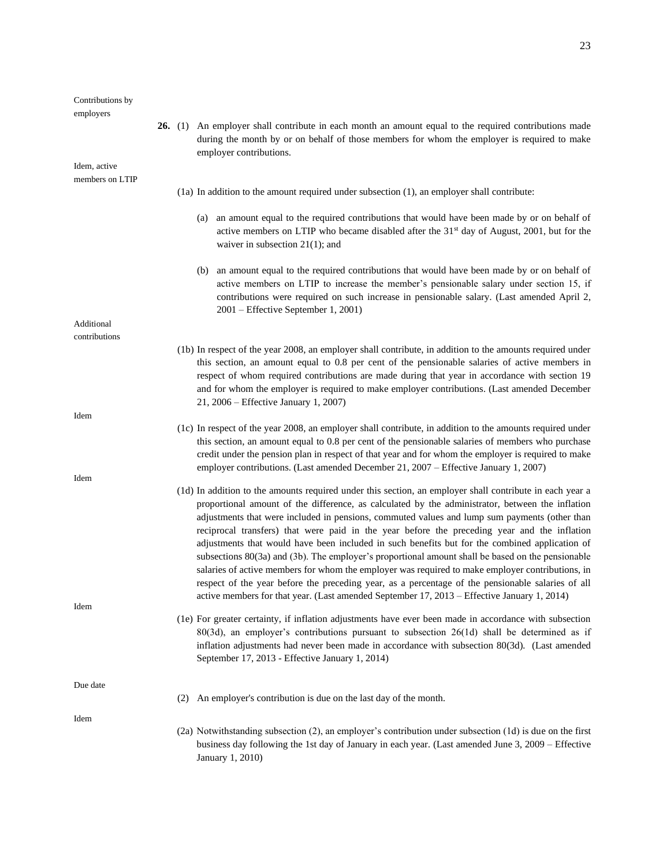| Contributions by<br>employers |                                                                                                                                                                                                                                                                                                                                                                                                                                                                                                                                                                                                                                                                                                                                                                                                                                                                                                                              |
|-------------------------------|------------------------------------------------------------------------------------------------------------------------------------------------------------------------------------------------------------------------------------------------------------------------------------------------------------------------------------------------------------------------------------------------------------------------------------------------------------------------------------------------------------------------------------------------------------------------------------------------------------------------------------------------------------------------------------------------------------------------------------------------------------------------------------------------------------------------------------------------------------------------------------------------------------------------------|
|                               | <b>26.</b> (1) An employer shall contribute in each month an amount equal to the required contributions made<br>during the month by or on behalf of those members for whom the employer is required to make<br>employer contributions.                                                                                                                                                                                                                                                                                                                                                                                                                                                                                                                                                                                                                                                                                       |
| Idem, active                  |                                                                                                                                                                                                                                                                                                                                                                                                                                                                                                                                                                                                                                                                                                                                                                                                                                                                                                                              |
| members on LTIP               | $(1a)$ In addition to the amount required under subsection $(1)$ , an employer shall contribute:                                                                                                                                                                                                                                                                                                                                                                                                                                                                                                                                                                                                                                                                                                                                                                                                                             |
|                               |                                                                                                                                                                                                                                                                                                                                                                                                                                                                                                                                                                                                                                                                                                                                                                                                                                                                                                                              |
|                               | (a) an amount equal to the required contributions that would have been made by or on behalf of<br>active members on LTIP who became disabled after the 31 <sup>st</sup> day of August, 2001, but for the<br>waiver in subsection $21(1)$ ; and                                                                                                                                                                                                                                                                                                                                                                                                                                                                                                                                                                                                                                                                               |
|                               | (b) an amount equal to the required contributions that would have been made by or on behalf of<br>active members on LTIP to increase the member's pensionable salary under section 15, if<br>contributions were required on such increase in pensionable salary. (Last amended April 2,<br>2001 – Effective September 1, 2001)                                                                                                                                                                                                                                                                                                                                                                                                                                                                                                                                                                                               |
| Additional                    |                                                                                                                                                                                                                                                                                                                                                                                                                                                                                                                                                                                                                                                                                                                                                                                                                                                                                                                              |
| contributions                 | (1b) In respect of the year 2008, an employer shall contribute, in addition to the amounts required under<br>this section, an amount equal to 0.8 per cent of the pensionable salaries of active members in<br>respect of whom required contributions are made during that year in accordance with section 19<br>and for whom the employer is required to make employer contributions. (Last amended December<br>21, 2006 – Effective January 1, 2007)                                                                                                                                                                                                                                                                                                                                                                                                                                                                       |
| Idem                          |                                                                                                                                                                                                                                                                                                                                                                                                                                                                                                                                                                                                                                                                                                                                                                                                                                                                                                                              |
|                               | (1c) In respect of the year 2008, an employer shall contribute, in addition to the amounts required under<br>this section, an amount equal to 0.8 per cent of the pensionable salaries of members who purchase<br>credit under the pension plan in respect of that year and for whom the employer is required to make<br>employer contributions. (Last amended December 21, 2007 – Effective January 1, 2007)                                                                                                                                                                                                                                                                                                                                                                                                                                                                                                                |
| Idem                          |                                                                                                                                                                                                                                                                                                                                                                                                                                                                                                                                                                                                                                                                                                                                                                                                                                                                                                                              |
| Idem                          | (1d) In addition to the amounts required under this section, an employer shall contribute in each year a<br>proportional amount of the difference, as calculated by the administrator, between the inflation<br>adjustments that were included in pensions, commuted values and lump sum payments (other than<br>reciprocal transfers) that were paid in the year before the preceding year and the inflation<br>adjustments that would have been included in such benefits but for the combined application of<br>subsections 80(3a) and (3b). The employer's proportional amount shall be based on the pensionable<br>salaries of active members for whom the employer was required to make employer contributions, in<br>respect of the year before the preceding year, as a percentage of the pensionable salaries of all<br>active members for that year. (Last amended September 17, 2013 – Effective January 1, 2014) |
|                               | (1e) For greater certainty, if inflation adjustments have ever been made in accordance with subsection<br>$80(3d)$ , an employer's contributions pursuant to subsection $26(1d)$ shall be determined as if<br>inflation adjustments had never been made in accordance with subsection 80(3d). (Last amended<br>September 17, 2013 - Effective January 1, 2014)                                                                                                                                                                                                                                                                                                                                                                                                                                                                                                                                                               |
| Due date                      | (2) An employer's contribution is due on the last day of the month.                                                                                                                                                                                                                                                                                                                                                                                                                                                                                                                                                                                                                                                                                                                                                                                                                                                          |
|                               |                                                                                                                                                                                                                                                                                                                                                                                                                                                                                                                                                                                                                                                                                                                                                                                                                                                                                                                              |
| Idem                          | (2a) Notwithstanding subsection (2), an employer's contribution under subsection (1d) is due on the first<br>business day following the 1st day of January in each year. (Last amended June 3, 2009 – Effective<br>January 1, 2010)                                                                                                                                                                                                                                                                                                                                                                                                                                                                                                                                                                                                                                                                                          |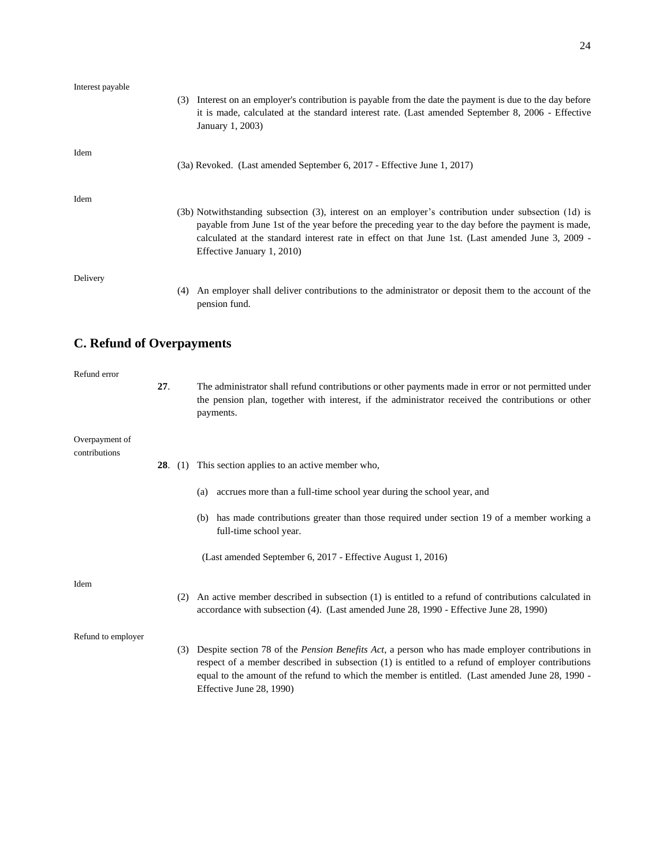| Interest payable |                                                                                                                                                                                                                                                                                                                                               |
|------------------|-----------------------------------------------------------------------------------------------------------------------------------------------------------------------------------------------------------------------------------------------------------------------------------------------------------------------------------------------|
|                  | (3) Interest on an employer's contribution is payable from the date the payment is due to the day before<br>it is made, calculated at the standard interest rate. (Last amended September 8, 2006 - Effective<br>January 1, 2003)                                                                                                             |
| Idem             | (3a) Revoked. (Last amended September 6, 2017 - Effective June 1, 2017)                                                                                                                                                                                                                                                                       |
| Idem             | (3b) Notwithstanding subsection (3), interest on an employer's contribution under subsection (1d) is<br>payable from June 1st of the year before the preceding year to the day before the payment is made,<br>calculated at the standard interest rate in effect on that June 1st. (Last amended June 3, 2009 -<br>Effective January 1, 2010) |
| Delivery         | (4) An employer shall deliver contributions to the administrator or deposit them to the account of the<br>pension fund.                                                                                                                                                                                                                       |

# **C. Refund of Overpayments**

| Refund error                    | 27. |                | The administrator shall refund contributions or other payments made in error or not permitted under<br>the pension plan, together with interest, if the administrator received the contributions or other<br>payments.                                                                                                                       |  |
|---------------------------------|-----|----------------|----------------------------------------------------------------------------------------------------------------------------------------------------------------------------------------------------------------------------------------------------------------------------------------------------------------------------------------------|--|
| Overpayment of<br>contributions |     |                |                                                                                                                                                                                                                                                                                                                                              |  |
|                                 |     | <b>28.</b> (1) | This section applies to an active member who,                                                                                                                                                                                                                                                                                                |  |
|                                 |     |                | accrues more than a full-time school year during the school year, and<br>(a)                                                                                                                                                                                                                                                                 |  |
|                                 |     |                | (b) has made contributions greater than those required under section 19 of a member working a<br>full-time school year.                                                                                                                                                                                                                      |  |
|                                 |     |                | (Last amended September 6, 2017 - Effective August 1, 2016)                                                                                                                                                                                                                                                                                  |  |
| Idem                            |     | (2)            | An active member described in subsection (1) is entitled to a refund of contributions calculated in<br>accordance with subsection (4). (Last amended June 28, 1990 - Effective June 28, 1990)                                                                                                                                                |  |
| Refund to employer              |     | (3)            | Despite section 78 of the <i>Pension Benefits Act</i> , a person who has made employer contributions in<br>respect of a member described in subsection (1) is entitled to a refund of employer contributions<br>equal to the amount of the refund to which the member is entitled. (Last amended June 28, 1990 -<br>Effective June 28, 1990) |  |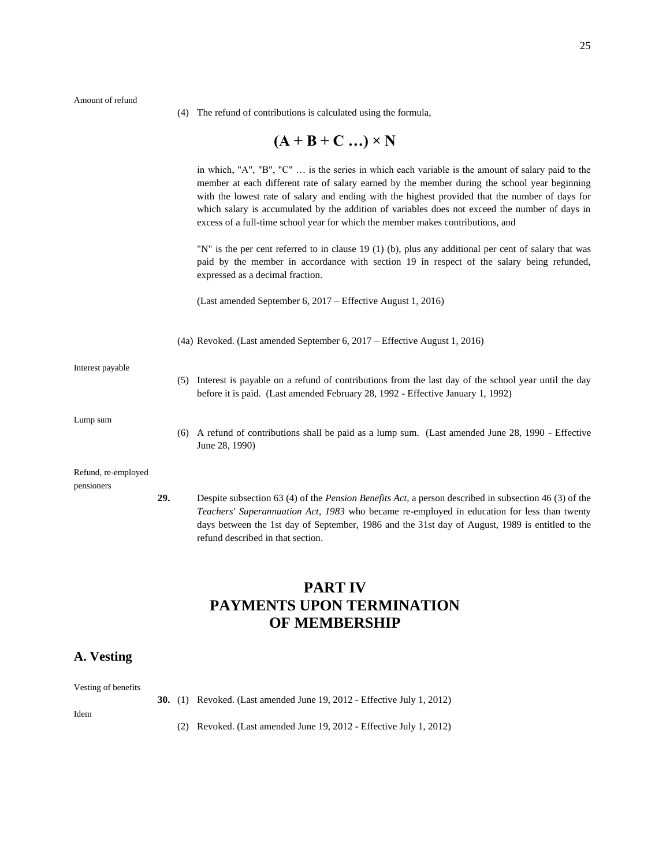Amount of refund

(4) The refund of contributions is calculated using the formula,

# $(A + B + C ...) \times N$

|                                   |     |     | in which, "A", "B", "C"  is the series in which each variable is the amount of salary paid to the<br>member at each different rate of salary earned by the member during the school year beginning<br>with the lowest rate of salary and ending with the highest provided that the number of days for<br>which salary is accumulated by the addition of variables does not exceed the number of days in<br>excess of a full-time school year for which the member makes contributions, and<br>"N" is the per cent referred to in clause 19 (1) (b), plus any additional per cent of salary that was |
|-----------------------------------|-----|-----|-----------------------------------------------------------------------------------------------------------------------------------------------------------------------------------------------------------------------------------------------------------------------------------------------------------------------------------------------------------------------------------------------------------------------------------------------------------------------------------------------------------------------------------------------------------------------------------------------------|
|                                   |     |     | paid by the member in accordance with section 19 in respect of the salary being refunded,<br>expressed as a decimal fraction.                                                                                                                                                                                                                                                                                                                                                                                                                                                                       |
|                                   |     |     | (Last amended September 6, 2017 – Effective August 1, 2016)                                                                                                                                                                                                                                                                                                                                                                                                                                                                                                                                         |
|                                   |     |     | (4a) Revoked. (Last amended September 6, 2017 – Effective August 1, 2016)                                                                                                                                                                                                                                                                                                                                                                                                                                                                                                                           |
| Interest payable                  |     | (5) | Interest is payable on a refund of contributions from the last day of the school year until the day<br>before it is paid. (Last amended February 28, 1992 - Effective January 1, 1992)                                                                                                                                                                                                                                                                                                                                                                                                              |
| Lump sum                          |     | (6) | A refund of contributions shall be paid as a lump sum. (Last amended June 28, 1990 - Effective<br>June 28, 1990)                                                                                                                                                                                                                                                                                                                                                                                                                                                                                    |
| Refund, re-employed<br>pensioners |     |     |                                                                                                                                                                                                                                                                                                                                                                                                                                                                                                                                                                                                     |
|                                   | 29. |     | Despite subsection 63 (4) of the <i>Pension Benefits Act</i> , a person described in subsection 46 (3) of the<br>Teachers' Superannuation Act, 1983 who became re-employed in education for less than twenty<br>days between the 1st day of September, 1986 and the 31st day of August, 1989 is entitled to the<br>refund described in that section.                                                                                                                                                                                                                                                |

# **PART IV PAYMENTS UPON TERMINATION OF MEMBERSHIP**

## **A. Vesting**

Vesting of benefits

- **30.** (1) Revoked. (Last amended June 19, 2012 Effective July 1, 2012)
- Idem
- (2) Revoked. (Last amended June 19, 2012 Effective July 1, 2012)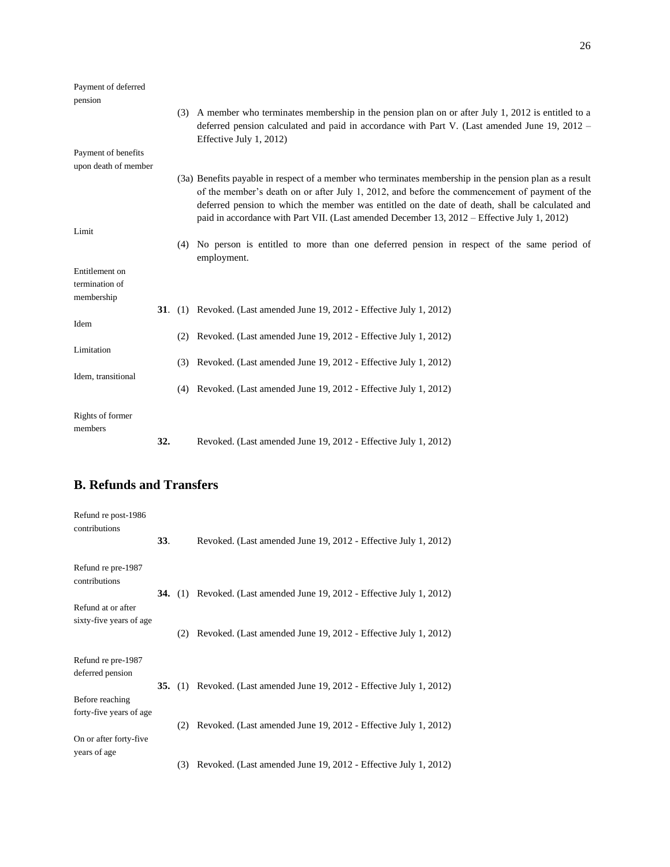| Payment of deferred<br>pension                 |     |     |                                                                                                                                                                                                                                                                                                                                                                                                           |
|------------------------------------------------|-----|-----|-----------------------------------------------------------------------------------------------------------------------------------------------------------------------------------------------------------------------------------------------------------------------------------------------------------------------------------------------------------------------------------------------------------|
|                                                |     |     | (3) A member who terminates membership in the pension plan on or after July 1, 2012 is entitled to a<br>deferred pension calculated and paid in accordance with Part V. (Last amended June 19, 2012 –<br>Effective July 1, 2012)                                                                                                                                                                          |
| Payment of benefits                            |     |     |                                                                                                                                                                                                                                                                                                                                                                                                           |
| upon death of member                           |     |     |                                                                                                                                                                                                                                                                                                                                                                                                           |
|                                                |     |     | (3a) Benefits payable in respect of a member who terminates membership in the pension plan as a result<br>of the member's death on or after July 1, 2012, and before the commencement of payment of the<br>deferred pension to which the member was entitled on the date of death, shall be calculated and<br>paid in accordance with Part VII. (Last amended December 13, 2012 – Effective July 1, 2012) |
| Limit                                          |     |     |                                                                                                                                                                                                                                                                                                                                                                                                           |
|                                                |     | (4) | No person is entitled to more than one deferred pension in respect of the same period of<br>employment.                                                                                                                                                                                                                                                                                                   |
| Entitlement on<br>termination of<br>membership |     |     |                                                                                                                                                                                                                                                                                                                                                                                                           |
|                                                |     |     | <b>31.</b> (1) Revoked. (Last amended June 19, 2012 - Effective July 1, 2012)                                                                                                                                                                                                                                                                                                                             |
| Idem                                           |     |     |                                                                                                                                                                                                                                                                                                                                                                                                           |
|                                                |     | (2) | Revoked. (Last amended June 19, 2012 - Effective July 1, 2012)                                                                                                                                                                                                                                                                                                                                            |
| Limitation                                     |     | (3) | Revoked. (Last amended June 19, 2012 - Effective July 1, 2012)                                                                                                                                                                                                                                                                                                                                            |
| Idem, transitional                             |     |     |                                                                                                                                                                                                                                                                                                                                                                                                           |
|                                                |     | (4) | Revoked. (Last amended June 19, 2012 - Effective July 1, 2012)                                                                                                                                                                                                                                                                                                                                            |
| Rights of former<br>members                    |     |     |                                                                                                                                                                                                                                                                                                                                                                                                           |
|                                                | 32. |     | Revoked. (Last amended June 19, 2012 - Effective July 1, 2012)                                                                                                                                                                                                                                                                                                                                            |

# **B. Refunds and Transfers**

| Refund re post-1986<br>contributions | <b>33.</b> |     | Revoked. (Last amended June 19, 2012 - Effective July 1, 2012)                |
|--------------------------------------|------------|-----|-------------------------------------------------------------------------------|
|                                      |            |     |                                                                               |
| Refund re pre-1987<br>contributions  |            |     |                                                                               |
|                                      |            |     | <b>34.</b> (1) Revoked. (Last amended June 19, 2012 - Effective July 1, 2012) |
| Refund at or after                   |            |     |                                                                               |
| sixty-five years of age              |            | (2) | Revoked. (Last amended June 19, 2012 - Effective July 1, 2012)                |
| Refund re pre-1987                   |            |     |                                                                               |
| deferred pension                     |            |     |                                                                               |
|                                      |            |     | <b>35.</b> (1) Revoked. (Last amended June 19, 2012 - Effective July 1, 2012) |
| Before reaching                      |            |     |                                                                               |
| forty-five years of age              |            |     |                                                                               |
|                                      |            | (2) | Revoked. (Last amended June 19, 2012 - Effective July 1, 2012)                |
| On or after forty-five               |            |     |                                                                               |
| years of age                         |            |     |                                                                               |
|                                      |            | (3) | Revoked. (Last amended June 19, 2012 - Effective July 1, 2012)                |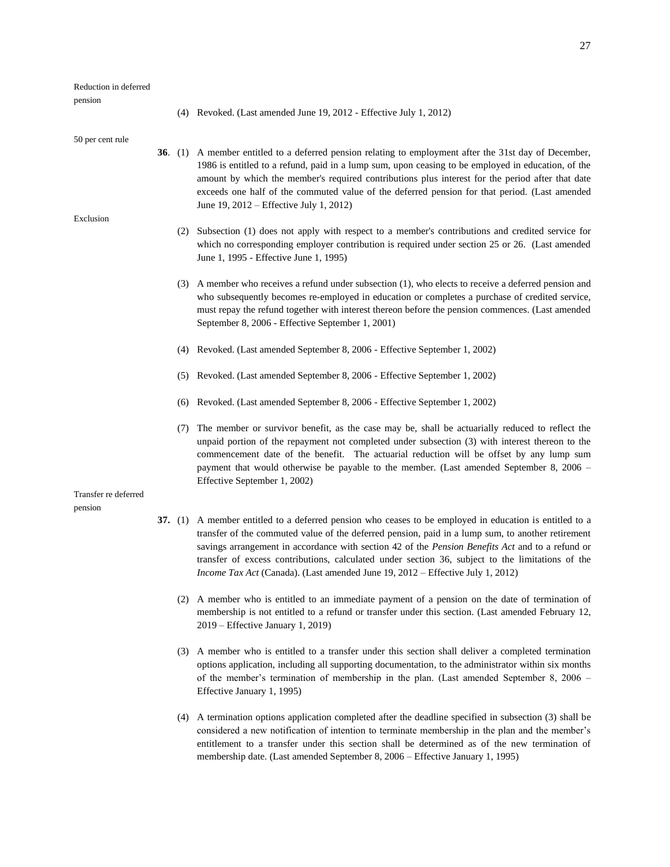#### Reduction in deferred

pension

(4) Revoked. (Last amended June 19, 2012 - Effective July 1, 2012)

50 per cent rule

- **36**. (1) A member entitled to a deferred pension relating to employment after the 31st day of December, 1986 is entitled to a refund, paid in a lump sum, upon ceasing to be employed in education, of the amount by which the member's required contributions plus interest for the period after that date exceeds one half of the commuted value of the deferred pension for that period. (Last amended June 19, 2012 – Effective July 1, 2012)
- Exclusion
- (2) Subsection (1) does not apply with respect to a member's contributions and credited service for which no corresponding employer contribution is required under section 25 or 26. (Last amended June 1, 1995 - Effective June 1, 1995)
- (3) A member who receives a refund under subsection (1), who elects to receive a deferred pension and who subsequently becomes re-employed in education or completes a purchase of credited service, must repay the refund together with interest thereon before the pension commences. (Last amended September 8, 2006 - Effective September 1, 2001)
- (4) Revoked. (Last amended September 8, 2006 Effective September 1, 2002)
- (5) Revoked. (Last amended September 8, 2006 Effective September 1, 2002)
- (6) Revoked. (Last amended September 8, 2006 Effective September 1, 2002)
- (7) The member or survivor benefit, as the case may be, shall be actuarially reduced to reflect the unpaid portion of the repayment not completed under subsection (3) with interest thereon to the commencement date of the benefit. The actuarial reduction will be offset by any lump sum payment that would otherwise be payable to the member. (Last amended September 8, 2006 – Effective September 1, 2002)

Transfer re deferred pension

- **37.** (1) A member entitled to a deferred pension who ceases to be employed in education is entitled to a transfer of the commuted value of the deferred pension, paid in a lump sum, to another retirement savings arrangement in accordance with section 42 of the *Pension Benefits Act* and to a refund or transfer of excess contributions, calculated under section 36, subject to the limitations of the *Income Tax Act* (Canada). (Last amended June 19, 2012 – Effective July 1, 2012)
	- (2) A member who is entitled to an immediate payment of a pension on the date of termination of membership is not entitled to a refund or transfer under this section. (Last amended February 12, 2019 – Effective January 1, 2019)
	- (3) A member who is entitled to a transfer under this section shall deliver a completed termination options application, including all supporting documentation, to the administrator within six months of the member's termination of membership in the plan. (Last amended September 8, 2006 – Effective January 1, 1995)
	- (4) A termination options application completed after the deadline specified in subsection (3) shall be considered a new notification of intention to terminate membership in the plan and the member's entitlement to a transfer under this section shall be determined as of the new termination of membership date. (Last amended September 8, 2006 – Effective January 1, 1995)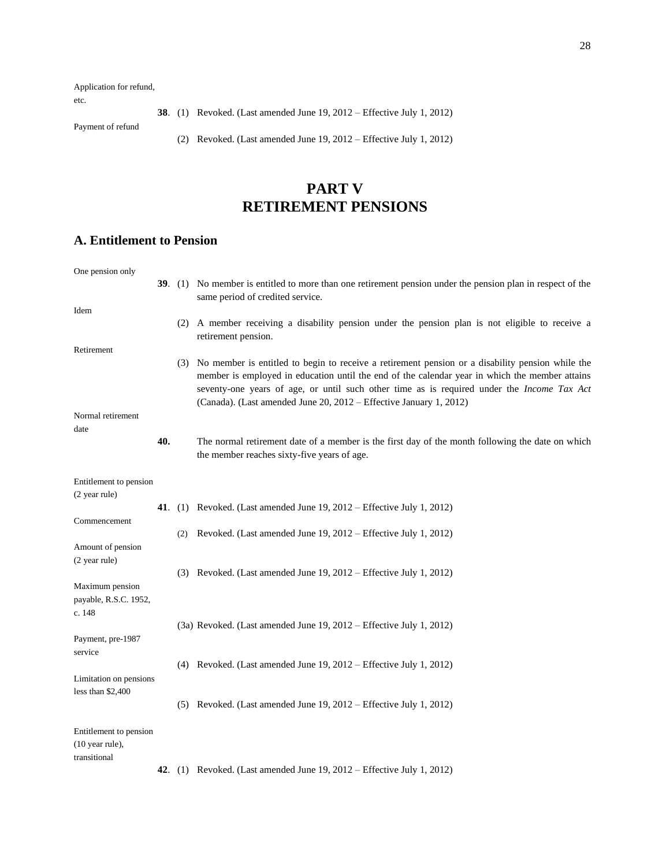Application for refund,

etc.

**38**. (1) Revoked. (Last amended June 19, 2012 – Effective July 1, 2012)

Payment of refund

(2) Revoked. (Last amended June 19, 2012 – Effective July 1, 2012)

# **PART V RETIREMENT PENSIONS**

## **A. Entitlement to Pension**

| One pension only       |     |     |                                                                                                                                                                                                                                                                                                                                                                            |
|------------------------|-----|-----|----------------------------------------------------------------------------------------------------------------------------------------------------------------------------------------------------------------------------------------------------------------------------------------------------------------------------------------------------------------------------|
|                        |     |     | 39. (1) No member is entitled to more than one retirement pension under the pension plan in respect of the<br>same period of credited service.                                                                                                                                                                                                                             |
| Idem                   |     |     |                                                                                                                                                                                                                                                                                                                                                                            |
|                        |     |     | (2) A member receiving a disability pension under the pension plan is not eligible to receive a<br>retirement pension.                                                                                                                                                                                                                                                     |
| Retirement             |     |     |                                                                                                                                                                                                                                                                                                                                                                            |
|                        |     |     | (3) No member is entitled to begin to receive a retirement pension or a disability pension while the<br>member is employed in education until the end of the calendar year in which the member attains<br>seventy-one years of age, or until such other time as is required under the Income Tax Act<br>(Canada). (Last amended June 20, 2012 - Effective January 1, 2012) |
| Normal retirement      |     |     |                                                                                                                                                                                                                                                                                                                                                                            |
| date                   |     |     |                                                                                                                                                                                                                                                                                                                                                                            |
|                        | 40. |     | The normal retirement date of a member is the first day of the month following the date on which<br>the member reaches sixty-five years of age.                                                                                                                                                                                                                            |
| Entitlement to pension |     |     |                                                                                                                                                                                                                                                                                                                                                                            |
| (2 year rule)          |     |     |                                                                                                                                                                                                                                                                                                                                                                            |
|                        |     |     | 41. (1) Revoked. (Last amended June 19, $2012$ – Effective July 1, $2012$ )                                                                                                                                                                                                                                                                                                |
| Commencement           |     |     |                                                                                                                                                                                                                                                                                                                                                                            |
|                        |     | (2) | Revoked. (Last amended June 19, 2012 – Effective July 1, 2012)                                                                                                                                                                                                                                                                                                             |
| Amount of pension      |     |     |                                                                                                                                                                                                                                                                                                                                                                            |
| (2 year rule)          |     |     |                                                                                                                                                                                                                                                                                                                                                                            |
|                        |     |     | (3) Revoked. (Last amended June 19, 2012 – Effective July 1, 2012)                                                                                                                                                                                                                                                                                                         |
| Maximum pension        |     |     |                                                                                                                                                                                                                                                                                                                                                                            |
| payable, R.S.C. 1952,  |     |     |                                                                                                                                                                                                                                                                                                                                                                            |
| c. 148                 |     |     |                                                                                                                                                                                                                                                                                                                                                                            |
|                        |     |     | (3a) Revoked. (Last amended June 19, 2012 – Effective July 1, 2012)                                                                                                                                                                                                                                                                                                        |
| Payment, pre-1987      |     |     |                                                                                                                                                                                                                                                                                                                                                                            |
| service                |     |     |                                                                                                                                                                                                                                                                                                                                                                            |
|                        |     |     | (4) Revoked. (Last amended June 19, $2012$ – Effective July 1, 2012)                                                                                                                                                                                                                                                                                                       |
| Limitation on pensions |     |     |                                                                                                                                                                                                                                                                                                                                                                            |
| less than $$2,400$     |     |     |                                                                                                                                                                                                                                                                                                                                                                            |
|                        |     |     | (5) Revoked. (Last amended June $19, 2012$ – Effective July 1, 2012)                                                                                                                                                                                                                                                                                                       |
| Entitlement to pension |     |     |                                                                                                                                                                                                                                                                                                                                                                            |
| (10 year rule),        |     |     |                                                                                                                                                                                                                                                                                                                                                                            |
| transitional           |     |     |                                                                                                                                                                                                                                                                                                                                                                            |
|                        |     |     | <b>42.</b> (1) Revoked. (Last amended June 19, 2012 – Effective July 1, 2012)                                                                                                                                                                                                                                                                                              |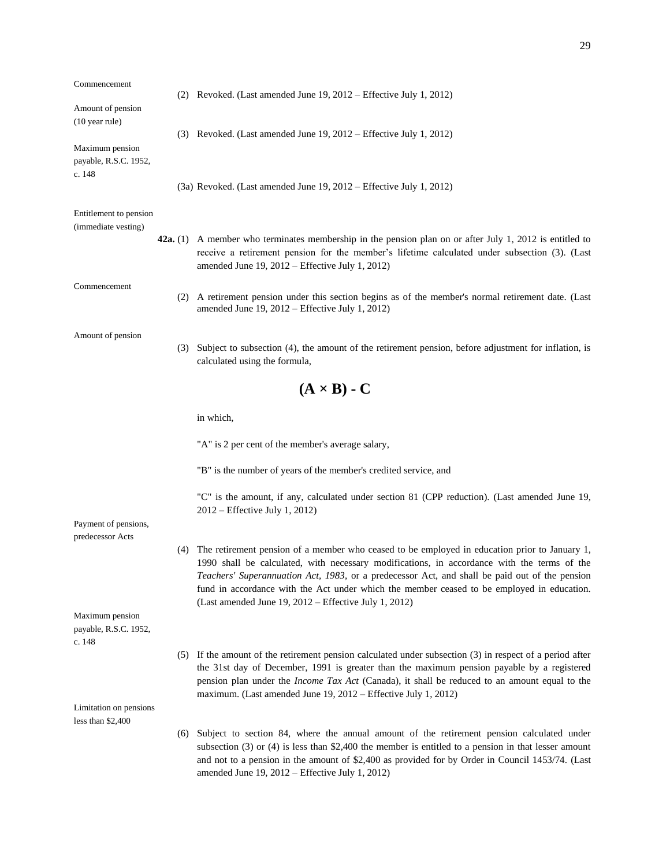| Commencement                                       |            | (2) Revoked. (Last amended June $19, 2012$ – Effective July 1, 2012)                                                                                                                                                                                                                                                                                                                                                                                    |
|----------------------------------------------------|------------|---------------------------------------------------------------------------------------------------------------------------------------------------------------------------------------------------------------------------------------------------------------------------------------------------------------------------------------------------------------------------------------------------------------------------------------------------------|
| Amount of pension<br>$(10 \text{ year rule})$      |            |                                                                                                                                                                                                                                                                                                                                                                                                                                                         |
| Maximum pension<br>payable, R.S.C. 1952,<br>c. 148 |            | (3) Revoked. (Last amended June 19, 2012 – Effective July 1, 2012)                                                                                                                                                                                                                                                                                                                                                                                      |
|                                                    |            | (3a) Revoked. (Last amended June 19, 2012 – Effective July 1, 2012)                                                                                                                                                                                                                                                                                                                                                                                     |
| Entitlement to pension<br>(immediate vesting)      |            |                                                                                                                                                                                                                                                                                                                                                                                                                                                         |
|                                                    | 42a. $(1)$ | A member who terminates membership in the pension plan on or after July 1, 2012 is entitled to<br>receive a retirement pension for the member's lifetime calculated under subsection (3). (Last<br>amended June 19, $2012$ – Effective July 1, 2012)                                                                                                                                                                                                    |
| Commencement                                       |            | (2) A retirement pension under this section begins as of the member's normal retirement date. (Last<br>amended June 19, 2012 - Effective July 1, 2012)                                                                                                                                                                                                                                                                                                  |
| Amount of pension                                  |            | (3) Subject to subsection (4), the amount of the retirement pension, before adjustment for inflation, is<br>calculated using the formula,                                                                                                                                                                                                                                                                                                               |
|                                                    |            | $(A \times B)$ - C                                                                                                                                                                                                                                                                                                                                                                                                                                      |
|                                                    | in which,  |                                                                                                                                                                                                                                                                                                                                                                                                                                                         |
|                                                    |            | "A" is 2 per cent of the member's average salary,                                                                                                                                                                                                                                                                                                                                                                                                       |
|                                                    |            | "B" is the number of years of the member's credited service, and                                                                                                                                                                                                                                                                                                                                                                                        |
|                                                    |            | "C" is the amount, if any, calculated under section 81 (CPP reduction). (Last amended June 19,<br>2012 – Effective July 1, 2012)                                                                                                                                                                                                                                                                                                                        |
| Payment of pensions,<br>predecessor Acts           |            |                                                                                                                                                                                                                                                                                                                                                                                                                                                         |
|                                                    | (4)        | The retirement pension of a member who ceased to be employed in education prior to January 1,<br>1990 shall be calculated, with necessary modifications, in accordance with the terms of the<br>Teachers' Superannuation Act, 1983, or a predecessor Act, and shall be paid out of the pension<br>fund in accordance with the Act under which the member ceased to be employed in education.<br>(Last amended June 19, $2012$ – Effective July 1, 2012) |
| Maximum pension<br>payable, R.S.C. 1952,<br>c. 148 |            |                                                                                                                                                                                                                                                                                                                                                                                                                                                         |
|                                                    | (5)        | If the amount of the retirement pension calculated under subsection $(3)$ in respect of a period after<br>the 31st day of December, 1991 is greater than the maximum pension payable by a registered<br>pension plan under the <i>Income Tax Act</i> (Canada), it shall be reduced to an amount equal to the<br>maximum. (Last amended June 19, 2012 – Effective July 1, 2012)                                                                          |
| Limitation on pensions<br>less than $$2,400$       |            |                                                                                                                                                                                                                                                                                                                                                                                                                                                         |
|                                                    | (6)        | Subject to section 84, where the annual amount of the retirement pension calculated under<br>subsection $(3)$ or $(4)$ is less than \$2,400 the member is entitled to a pension in that lesser amount<br>and not to a pension in the amount of \$2,400 as provided for by Order in Council 1453/74. (Last<br>amended June 19, 2012 - Effective July 1, 2012)                                                                                            |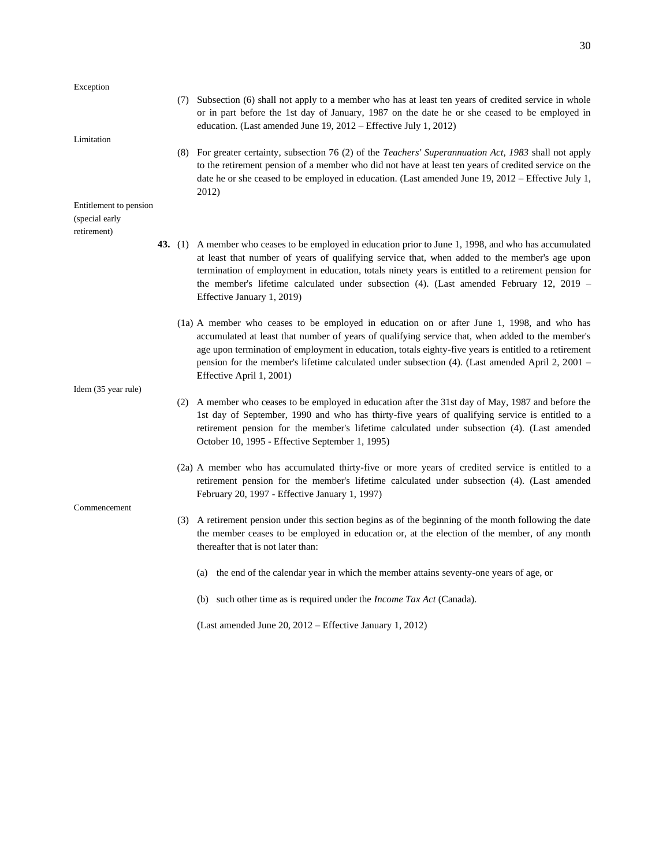Exception (7) Subsection (6) shall not apply to a member who has at least ten years of credited service in whole or in part before the 1st day of January, 1987 on the date he or she ceased to be employed in education. (Last amended June 19, 2012 – Effective July 1, 2012) Limitation (8) For greater certainty, subsection 76 (2) of the *Teachers' Superannuation Act, 1983* shall not apply to the retirement pension of a member who did not have at least ten years of credited service on the date he or she ceased to be employed in education. (Last amended June 19, 2012 – Effective July 1, 2012) Entitlement to pension (special early retirement) **43.** (1) A member who ceases to be employed in education prior to June 1, 1998, and who has accumulated at least that number of years of qualifying service that, when added to the member's age upon termination of employment in education, totals ninety years is entitled to a retirement pension for the member's lifetime calculated under subsection (4). (Last amended February 12, 2019 – Effective January 1, 2019) (1a) A member who ceases to be employed in education on or after June 1, 1998, and who has accumulated at least that number of years of qualifying service that, when added to the member's age upon termination of employment in education, totals eighty-five years is entitled to a retirement pension for the member's lifetime calculated under subsection (4). (Last amended April 2, 2001 – Effective April 1, 2001) Idem (35 year rule) (2) A member who ceases to be employed in education after the 31st day of May, 1987 and before the 1st day of September, 1990 and who has thirty-five years of qualifying service is entitled to a retirement pension for the member's lifetime calculated under subsection (4). (Last amended October 10, 1995 - Effective September 1, 1995) (2a) A member who has accumulated thirty-five or more years of credited service is entitled to a retirement pension for the member's lifetime calculated under subsection (4). (Last amended February 20, 1997 - Effective January 1, 1997) Commencement (3) A retirement pension under this section begins as of the beginning of the month following the date the member ceases to be employed in education or, at the election of the member, of any month thereafter that is not later than: (a) the end of the calendar year in which the member attains seventy-one years of age, or (b) such other time as is required under the *Income Tax Act* (Canada).

(Last amended June 20, 2012 – Effective January 1, 2012)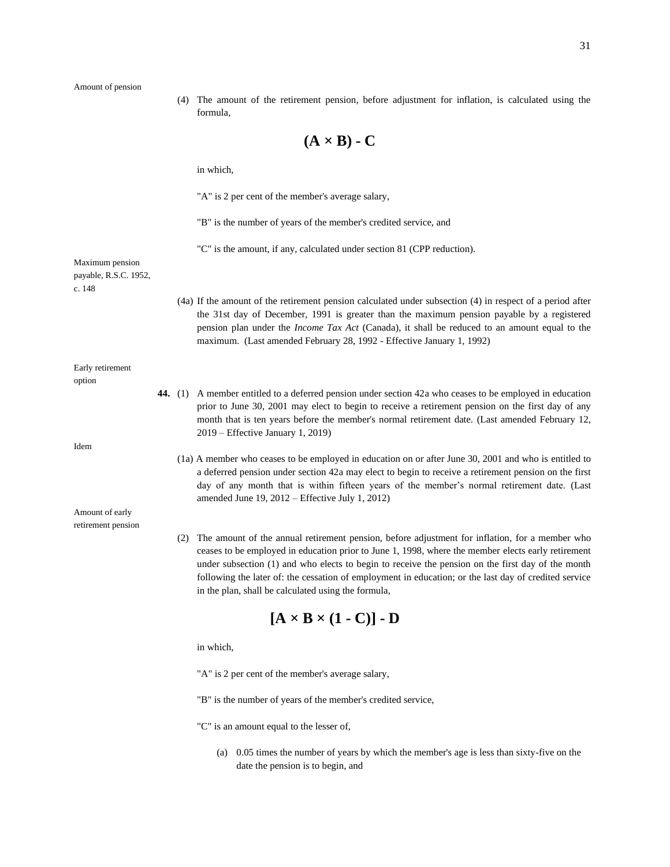(4) The amount of the retirement pension, before adjustment for inflation, is calculated using the formula,

$$
(\mathbf{A} \times \mathbf{B}) \cdot \mathbf{C}
$$

|                                          |  |  | in which,                                                                                                                                                                                                                                                                                                                                                                                                                                                                     |  |  |
|------------------------------------------|--|--|-------------------------------------------------------------------------------------------------------------------------------------------------------------------------------------------------------------------------------------------------------------------------------------------------------------------------------------------------------------------------------------------------------------------------------------------------------------------------------|--|--|
|                                          |  |  | "A" is 2 per cent of the member's average salary,                                                                                                                                                                                                                                                                                                                                                                                                                             |  |  |
|                                          |  |  | "B" is the number of years of the member's credited service, and                                                                                                                                                                                                                                                                                                                                                                                                              |  |  |
| Maximum pension<br>payable, R.S.C. 1952, |  |  | "C" is the amount, if any, calculated under section 81 (CPP reduction).                                                                                                                                                                                                                                                                                                                                                                                                       |  |  |
| c. 148                                   |  |  | (4a) If the amount of the retirement pension calculated under subsection (4) in respect of a period after<br>the 31st day of December, 1991 is greater than the maximum pension payable by a registered<br>pension plan under the <i>Income Tax Act</i> (Canada), it shall be reduced to an amount equal to the<br>maximum. (Last amended February 28, 1992 - Effective January 1, 1992)                                                                                      |  |  |
| Early retirement<br>option               |  |  |                                                                                                                                                                                                                                                                                                                                                                                                                                                                               |  |  |
|                                          |  |  | 44. (1) A member entitled to a deferred pension under section 42a who ceases to be employed in education<br>prior to June 30, 2001 may elect to begin to receive a retirement pension on the first day of any<br>month that is ten years before the member's normal retirement date. (Last amended February 12,<br>2019 – Effective January 1, 2019)                                                                                                                          |  |  |
| Idem                                     |  |  |                                                                                                                                                                                                                                                                                                                                                                                                                                                                               |  |  |
|                                          |  |  | (1a) A member who ceases to be employed in education on or after June 30, 2001 and who is entitled to<br>a deferred pension under section 42a may elect to begin to receive a retirement pension on the first<br>day of any month that is within fifteen years of the member's normal retirement date. (Last<br>amended June $19$ , $2012$ – Effective July 1, 2012)                                                                                                          |  |  |
| Amount of early                          |  |  |                                                                                                                                                                                                                                                                                                                                                                                                                                                                               |  |  |
| retirement pension                       |  |  |                                                                                                                                                                                                                                                                                                                                                                                                                                                                               |  |  |
|                                          |  |  | (2) The amount of the annual retirement pension, before adjustment for inflation, for a member who<br>ceases to be employed in education prior to June 1, 1998, where the member elects early retirement<br>under subsection (1) and who elects to begin to receive the pension on the first day of the month<br>following the later of: the cessation of employment in education; or the last day of credited service<br>in the plan, shall be calculated using the formula, |  |  |
| $[A \times B \times (1 - C)] - D$        |  |  |                                                                                                                                                                                                                                                                                                                                                                                                                                                                               |  |  |
|                                          |  |  | in which,                                                                                                                                                                                                                                                                                                                                                                                                                                                                     |  |  |
|                                          |  |  | "A" is 2 per cent of the member's average salary,                                                                                                                                                                                                                                                                                                                                                                                                                             |  |  |

- "B" is the number of years of the member's credited service,
- "C" is an amount equal to the lesser of,
	- (a) 0.05 times the number of years by which the member's age is less than sixty-five on the date the pension is to begin, and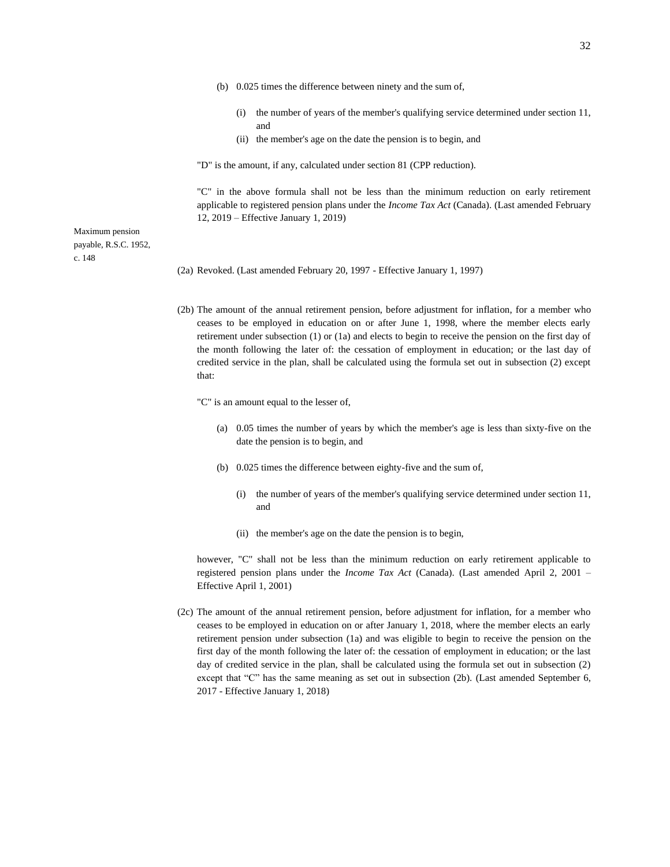- (b) 0.025 times the difference between ninety and the sum of,
	- (i) the number of years of the member's qualifying service determined under section 11, and
	- (ii) the member's age on the date the pension is to begin, and

"D" is the amount, if any, calculated under section 81 (CPP reduction).

"C" in the above formula shall not be less than the minimum reduction on early retirement applicable to registered pension plans under the *Income Tax Act* (Canada). (Last amended February 12, 2019 – Effective January 1, 2019)

Maximum pension payable, R.S.C. 1952, c. 148

- (2a) Revoked. (Last amended February 20, 1997 Effective January 1, 1997)
- (2b) The amount of the annual retirement pension, before adjustment for inflation, for a member who ceases to be employed in education on or after June 1, 1998, where the member elects early retirement under subsection (1) or (1a) and elects to begin to receive the pension on the first day of the month following the later of: the cessation of employment in education; or the last day of credited service in the plan, shall be calculated using the formula set out in subsection (2) except that:

"C" is an amount equal to the lesser of,

- (a) 0.05 times the number of years by which the member's age is less than sixty-five on the date the pension is to begin, and
- (b) 0.025 times the difference between eighty-five and the sum of,
	- (i) the number of years of the member's qualifying service determined under section 11, and
	- (ii) the member's age on the date the pension is to begin,

however, "C" shall not be less than the minimum reduction on early retirement applicable to registered pension plans under the *Income Tax Act* (Canada). (Last amended April 2, 2001 – Effective April 1, 2001)

(2c) The amount of the annual retirement pension, before adjustment for inflation, for a member who ceases to be employed in education on or after January 1, 2018, where the member elects an early retirement pension under subsection (1a) and was eligible to begin to receive the pension on the first day of the month following the later of: the cessation of employment in education; or the last day of credited service in the plan, shall be calculated using the formula set out in subsection (2) except that "C" has the same meaning as set out in subsection (2b). (Last amended September 6, 2017 - Effective January 1, 2018)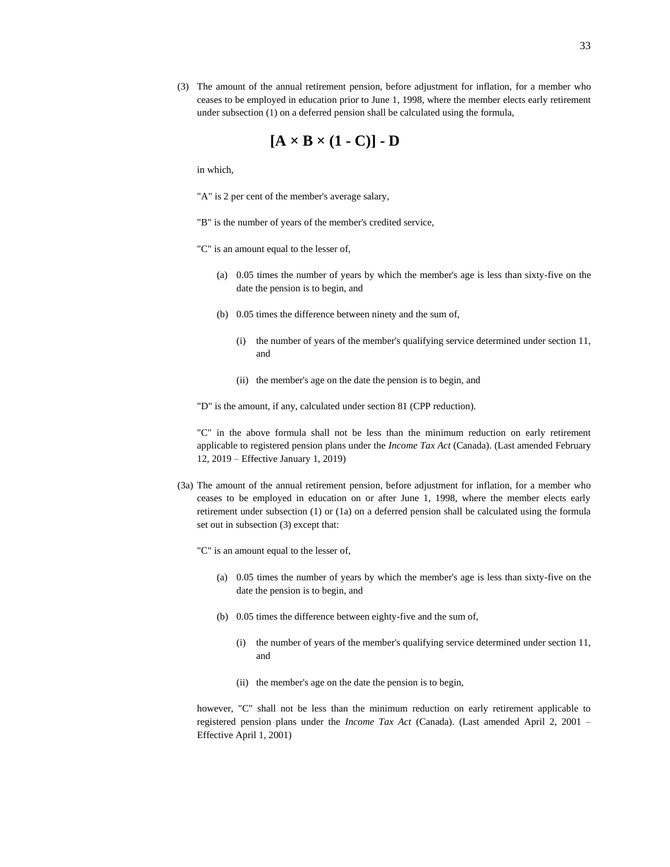(3) The amount of the annual retirement pension, before adjustment for inflation, for a member who ceases to be employed in education prior to June 1, 1998, where the member elects early retirement under subsection (1) on a deferred pension shall be calculated using the formula,

$$
[A \times B \times (1 - C)] - D
$$

in which,

"A" is 2 per cent of the member's average salary,

"B" is the number of years of the member's credited service,

"C" is an amount equal to the lesser of,

- (a) 0.05 times the number of years by which the member's age is less than sixty-five on the date the pension is to begin, and
- (b) 0.05 times the difference between ninety and the sum of,
	- (i) the number of years of the member's qualifying service determined under section 11, and
	- (ii) the member's age on the date the pension is to begin, and

"D" is the amount, if any, calculated under section 81 (CPP reduction).

"C" in the above formula shall not be less than the minimum reduction on early retirement applicable to registered pension plans under the *Income Tax Act* (Canada). (Last amended February 12, 2019 – Effective January 1, 2019)

(3a) The amount of the annual retirement pension, before adjustment for inflation, for a member who ceases to be employed in education on or after June 1, 1998, where the member elects early retirement under subsection (1) or (1a) on a deferred pension shall be calculated using the formula set out in subsection (3) except that:

"C" is an amount equal to the lesser of,

- (a) 0.05 times the number of years by which the member's age is less than sixty-five on the date the pension is to begin, and
- (b) 0.05 times the difference between eighty-five and the sum of,
	- (i) the number of years of the member's qualifying service determined under section 11, and
	- (ii) the member's age on the date the pension is to begin,

however, "C" shall not be less than the minimum reduction on early retirement applicable to registered pension plans under the *Income Tax Act* (Canada). (Last amended April 2, 2001 – Effective April 1, 2001)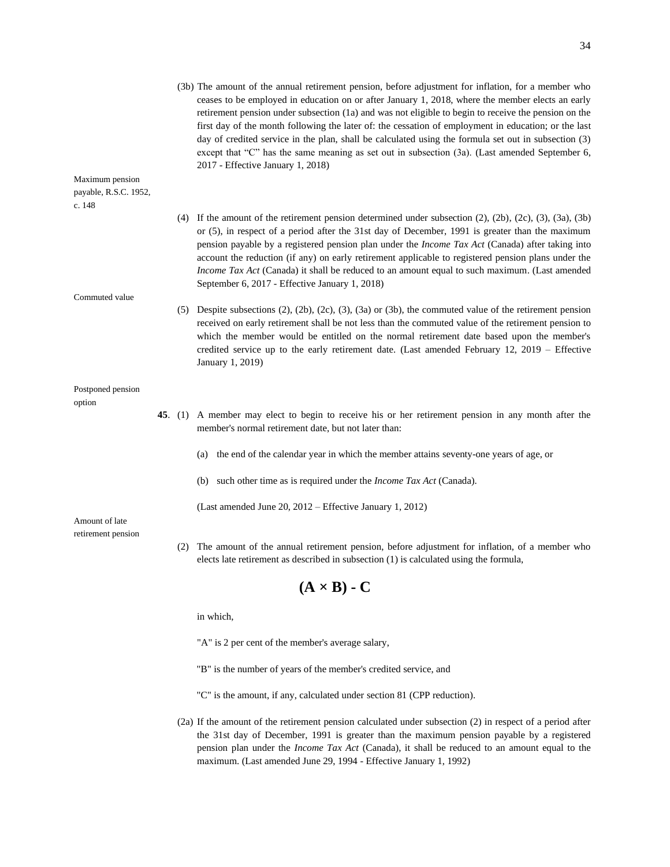|                                                    |     | (3b) The amount of the annual retirement pension, before adjustment for inflation, for a member who<br>ceases to be employed in education on or after January 1, 2018, where the member elects an early<br>retirement pension under subsection (1a) and was not eligible to begin to receive the pension on the<br>first day of the month following the later of: the cessation of employment in education; or the last<br>day of credited service in the plan, shall be calculated using the formula set out in subsection (3)<br>except that "C" has the same meaning as set out in subsection (3a). (Last amended September 6,<br>2017 - Effective January 1, 2018) |
|----------------------------------------------------|-----|------------------------------------------------------------------------------------------------------------------------------------------------------------------------------------------------------------------------------------------------------------------------------------------------------------------------------------------------------------------------------------------------------------------------------------------------------------------------------------------------------------------------------------------------------------------------------------------------------------------------------------------------------------------------|
| Maximum pension<br>payable, R.S.C. 1952,<br>c. 148 |     |                                                                                                                                                                                                                                                                                                                                                                                                                                                                                                                                                                                                                                                                        |
|                                                    |     | (4) If the amount of the retirement pension determined under subsection $(2)$ , $(2b)$ , $(2c)$ , $(3)$ , $(3a)$ , $(3b)$<br>or (5), in respect of a period after the 31st day of December, 1991 is greater than the maximum<br>pension payable by a registered pension plan under the <i>Income Tax Act</i> (Canada) after taking into<br>account the reduction (if any) on early retirement applicable to registered pension plans under the<br>Income Tax Act (Canada) it shall be reduced to an amount equal to such maximum. (Last amended<br>September 6, 2017 - Effective January 1, 2018)                                                                      |
| Commuted value                                     |     |                                                                                                                                                                                                                                                                                                                                                                                                                                                                                                                                                                                                                                                                        |
|                                                    |     | (5) Despite subsections $(2)$ , $(2b)$ , $(2c)$ , $(3)$ , $(3a)$ or $(3b)$ , the commuted value of the retirement pension<br>received on early retirement shall be not less than the commuted value of the retirement pension to<br>which the member would be entitled on the normal retirement date based upon the member's<br>credited service up to the early retirement date. (Last amended February 12, 2019 – Effective<br>January 1, 2019)                                                                                                                                                                                                                      |
| Postponed pension                                  |     |                                                                                                                                                                                                                                                                                                                                                                                                                                                                                                                                                                                                                                                                        |
| option                                             |     |                                                                                                                                                                                                                                                                                                                                                                                                                                                                                                                                                                                                                                                                        |
|                                                    |     | 45. (1) A member may elect to begin to receive his or her retirement pension in any month after the<br>member's normal retirement date, but not later than:                                                                                                                                                                                                                                                                                                                                                                                                                                                                                                            |
|                                                    |     | the end of the calendar year in which the member attains seventy-one years of age, or<br>(a)                                                                                                                                                                                                                                                                                                                                                                                                                                                                                                                                                                           |
|                                                    |     | (b) such other time as is required under the <i>Income Tax Act</i> (Canada).                                                                                                                                                                                                                                                                                                                                                                                                                                                                                                                                                                                           |
| Amount of late                                     |     | (Last amended June 20, 2012 – Effective January 1, 2012)                                                                                                                                                                                                                                                                                                                                                                                                                                                                                                                                                                                                               |
| retirement pension                                 | (2) | The amount of the annual retirement pension, before adjustment for inflation, of a member who<br>elects late retirement as described in subsection (1) is calculated using the formula,                                                                                                                                                                                                                                                                                                                                                                                                                                                                                |
|                                                    |     | $(A \times B)$ - C                                                                                                                                                                                                                                                                                                                                                                                                                                                                                                                                                                                                                                                     |
|                                                    |     | in which,                                                                                                                                                                                                                                                                                                                                                                                                                                                                                                                                                                                                                                                              |
|                                                    |     | "A" is 2 per cent of the member's average salary,                                                                                                                                                                                                                                                                                                                                                                                                                                                                                                                                                                                                                      |
|                                                    |     | "B" is the number of years of the member's credited service, and                                                                                                                                                                                                                                                                                                                                                                                                                                                                                                                                                                                                       |
|                                                    |     | "C" is the amount, if any, calculated under section 81 (CPP reduction).                                                                                                                                                                                                                                                                                                                                                                                                                                                                                                                                                                                                |
|                                                    |     | (2a) If the amount of the retirement pension calculated under subsection (2) in respect of a period after<br>the 31st day of December, 1991 is greater than the maximum pension payable by a registered<br>pension plan under the Income Tax Act (Canada), it shall be reduced to an amount equal to the                                                                                                                                                                                                                                                                                                                                                               |

maximum. (Last amended June 29, 1994 - Effective January 1, 1992)

34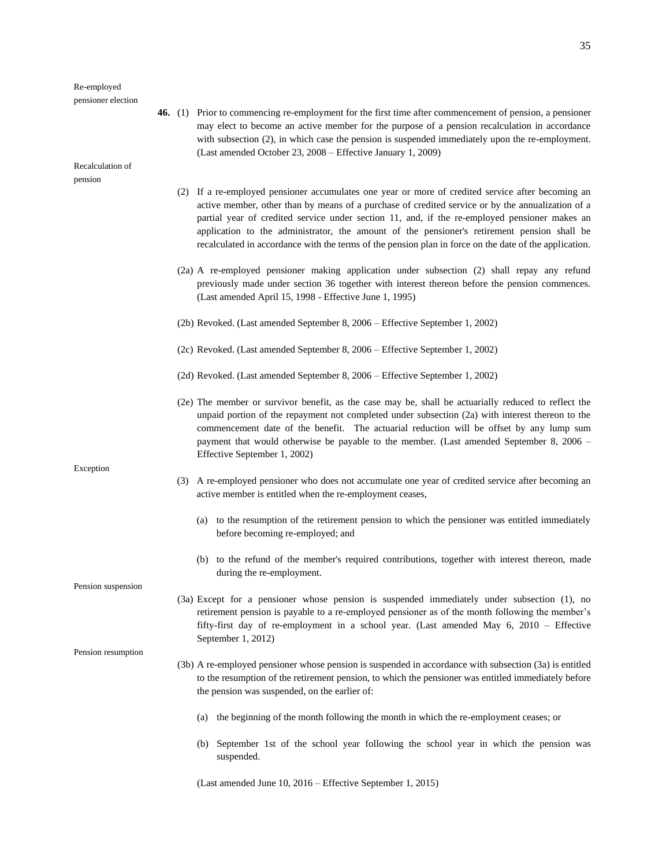#### Re-employed pensioner election

Recalculation of pension

- **46.** (1) Prior to commencing re-employment for the first time after commencement of pension, a pensioner may elect to become an active member for the purpose of a pension recalculation in accordance with subsection (2), in which case the pension is suspended immediately upon the re-employment. (Last amended October 23, 2008 – Effective January 1, 2009)
	- (2) If a re-employed pensioner accumulates one year or more of credited service after becoming an active member, other than by means of a purchase of credited service or by the annualization of a partial year of credited service under section 11, and, if the re-employed pensioner makes an application to the administrator, the amount of the pensioner's retirement pension shall be recalculated in accordance with the terms of the pension plan in force on the date of the application.
	- (2a) A re-employed pensioner making application under subsection (2) shall repay any refund previously made under section 36 together with interest thereon before the pension commences. (Last amended April 15, 1998 - Effective June 1, 1995)
	- (2b) Revoked. (Last amended September 8, 2006 Effective September 1, 2002)
	- (2c) Revoked. (Last amended September 8, 2006 Effective September 1, 2002)
	- (2d) Revoked. (Last amended September 8, 2006 Effective September 1, 2002)
	- (2e) The member or survivor benefit, as the case may be, shall be actuarially reduced to reflect the unpaid portion of the repayment not completed under subsection (2a) with interest thereon to the commencement date of the benefit. The actuarial reduction will be offset by any lump sum payment that would otherwise be payable to the member. (Last amended September 8, 2006 – Effective September 1, 2002)
	- (3) A re-employed pensioner who does not accumulate one year of credited service after becoming an active member is entitled when the re-employment ceases,
		- (a) to the resumption of the retirement pension to which the pensioner was entitled immediately before becoming re-employed; and
		- (b) to the refund of the member's required contributions, together with interest thereon, made during the re-employment.

Pension suspension

Exception

- (3a) Except for a pensioner whose pension is suspended immediately under subsection (1), no retirement pension is payable to a re-employed pensioner as of the month following the member's fifty-first day of re-employment in a school year. (Last amended May 6, 2010 – Effective September 1, 2012)
- Pension resumption
- (3b) A re-employed pensioner whose pension is suspended in accordance with subsection (3a) is entitled to the resumption of the retirement pension, to which the pensioner was entitled immediately before the pension was suspended, on the earlier of:
	- (a) the beginning of the month following the month in which the re-employment ceases; or
	- (b) September 1st of the school year following the school year in which the pension was suspended.

(Last amended June 10, 2016 – Effective September 1, 2015)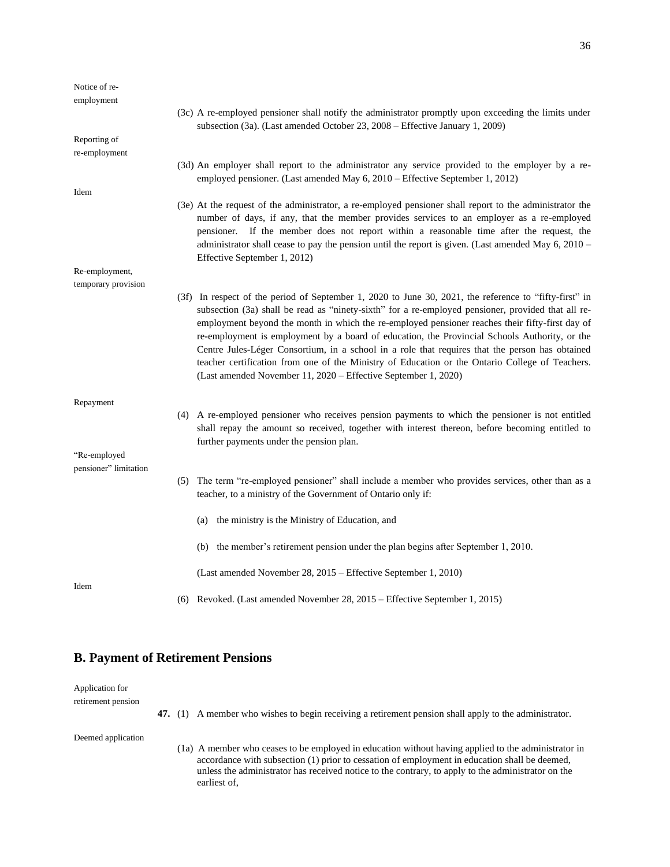| Notice of re-         |                                                                                                                                                                                                                                                                                                                                                                                                                                                                                                                                                                                                                                                                                          |
|-----------------------|------------------------------------------------------------------------------------------------------------------------------------------------------------------------------------------------------------------------------------------------------------------------------------------------------------------------------------------------------------------------------------------------------------------------------------------------------------------------------------------------------------------------------------------------------------------------------------------------------------------------------------------------------------------------------------------|
| employment            |                                                                                                                                                                                                                                                                                                                                                                                                                                                                                                                                                                                                                                                                                          |
|                       | (3c) A re-employed pensioner shall notify the administrator promptly upon exceeding the limits under<br>subsection (3a). (Last amended October 23, 2008 - Effective January 1, 2009)                                                                                                                                                                                                                                                                                                                                                                                                                                                                                                     |
| Reporting of          |                                                                                                                                                                                                                                                                                                                                                                                                                                                                                                                                                                                                                                                                                          |
| re-employment         |                                                                                                                                                                                                                                                                                                                                                                                                                                                                                                                                                                                                                                                                                          |
|                       | (3d) An employer shall report to the administrator any service provided to the employer by a re-<br>employed pensioner. (Last amended May 6, 2010 – Effective September 1, 2012)                                                                                                                                                                                                                                                                                                                                                                                                                                                                                                         |
| Idem                  |                                                                                                                                                                                                                                                                                                                                                                                                                                                                                                                                                                                                                                                                                          |
|                       | (3e) At the request of the administrator, a re-employed pensioner shall report to the administrator the<br>number of days, if any, that the member provides services to an employer as a re-employed<br>pensioner. If the member does not report within a reasonable time after the request, the<br>administrator shall cease to pay the pension until the report is given. (Last amended May $6, 2010$ –<br>Effective September 1, 2012)                                                                                                                                                                                                                                                |
| Re-employment,        |                                                                                                                                                                                                                                                                                                                                                                                                                                                                                                                                                                                                                                                                                          |
| temporary provision   |                                                                                                                                                                                                                                                                                                                                                                                                                                                                                                                                                                                                                                                                                          |
|                       | (3f) In respect of the period of September 1, 2020 to June 30, 2021, the reference to "fifty-first" in<br>subsection (3a) shall be read as "ninety-sixth" for a re-employed pensioner, provided that all re-<br>employment beyond the month in which the re-employed pensioner reaches their fifty-first day of<br>re-employment is employment by a board of education, the Provincial Schools Authority, or the<br>Centre Jules-Léger Consortium, in a school in a role that requires that the person has obtained<br>teacher certification from one of the Ministry of Education or the Ontario College of Teachers.<br>(Last amended November 11, 2020 – Effective September 1, 2020) |
| Repayment             |                                                                                                                                                                                                                                                                                                                                                                                                                                                                                                                                                                                                                                                                                          |
|                       | (4) A re-employed pensioner who receives pension payments to which the pensioner is not entitled<br>shall repay the amount so received, together with interest thereon, before becoming entitled to<br>further payments under the pension plan.                                                                                                                                                                                                                                                                                                                                                                                                                                          |
| "Re-employed          |                                                                                                                                                                                                                                                                                                                                                                                                                                                                                                                                                                                                                                                                                          |
| pensioner" limitation |                                                                                                                                                                                                                                                                                                                                                                                                                                                                                                                                                                                                                                                                                          |
|                       | The term "re-employed pensioner" shall include a member who provides services, other than as a<br>(5)<br>teacher, to a ministry of the Government of Ontario only if:                                                                                                                                                                                                                                                                                                                                                                                                                                                                                                                    |
|                       | the ministry is the Ministry of Education, and<br>(a)                                                                                                                                                                                                                                                                                                                                                                                                                                                                                                                                                                                                                                    |
|                       | (b) the member's retirement pension under the plan begins after September 1, 2010.                                                                                                                                                                                                                                                                                                                                                                                                                                                                                                                                                                                                       |
| Idem                  | (Last amended November 28, 2015 – Effective September 1, 2010)                                                                                                                                                                                                                                                                                                                                                                                                                                                                                                                                                                                                                           |
|                       | (6) Revoked. (Last amended November 28, 2015 – Effective September 1, 2015)                                                                                                                                                                                                                                                                                                                                                                                                                                                                                                                                                                                                              |

### **B. Payment of Retirement Pensions**

Application for retirement pension

**47.** (1) A member who wishes to begin receiving a retirement pension shall apply to the administrator.

Deemed application

(1a) A member who ceases to be employed in education without having applied to the administrator in accordance with subsection (1) prior to cessation of employment in education shall be deemed, unless the administrator has received notice to the contrary, to apply to the administrator on the earliest of,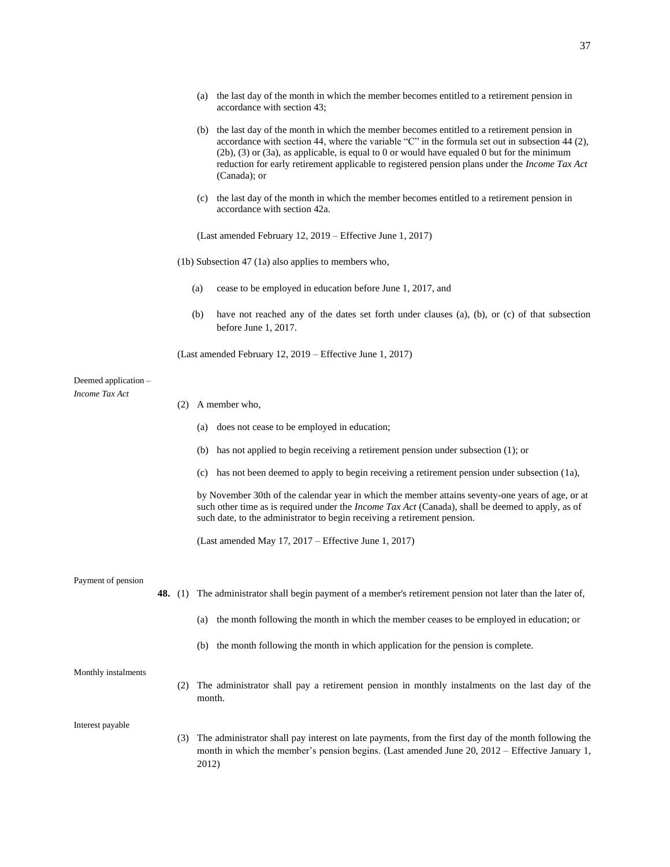- (a) the last day of the month in which the member becomes entitled to a retirement pension in accordance with section 43;
- (b) the last day of the month in which the member becomes entitled to a retirement pension in accordance with section 44, where the variable "C" in the formula set out in subsection 44 (2), (2b), (3) or (3a), as applicable, is equal to 0 or would have equaled 0 but for the minimum reduction for early retirement applicable to registered pension plans under the *Income Tax Act* (Canada); or
- (c) the last day of the month in which the member becomes entitled to a retirement pension in accordance with section 42a.

(Last amended February 12, 2019 – Effective June 1, 2017)

(1b) Subsection 47 (1a) also applies to members who,

- (a) cease to be employed in education before June 1, 2017, and
- (b) have not reached any of the dates set forth under clauses (a), (b), or (c) of that subsection before June 1, 2017.

(Last amended February 12, 2019 – Effective June 1, 2017)

### Deemed application – *Income Tax Act*

- (2) A member who,
	- (a) does not cease to be employed in education;
	- (b) has not applied to begin receiving a retirement pension under subsection (1); or
	- (c) has not been deemed to apply to begin receiving a retirement pension under subsection (1a),

by November 30th of the calendar year in which the member attains seventy-one years of age, or at such other time as is required under the *Income Tax Act* (Canada), shall be deemed to apply, as of such date, to the administrator to begin receiving a retirement pension.

(Last amended May 17, 2017 – Effective June 1, 2017)

Payment of pension

- **48.** (1) The administrator shall begin payment of a member's retirement pension not later than the later of,
	- (a) the month following the month in which the member ceases to be employed in education; or
	- (b) the month following the month in which application for the pension is complete.

Monthly instalments

(2) The administrator shall pay a retirement pension in monthly instalments on the last day of the month.

Interest payable

(3) The administrator shall pay interest on late payments, from the first day of the month following the month in which the member's pension begins. (Last amended June 20, 2012 – Effective January 1, 2012)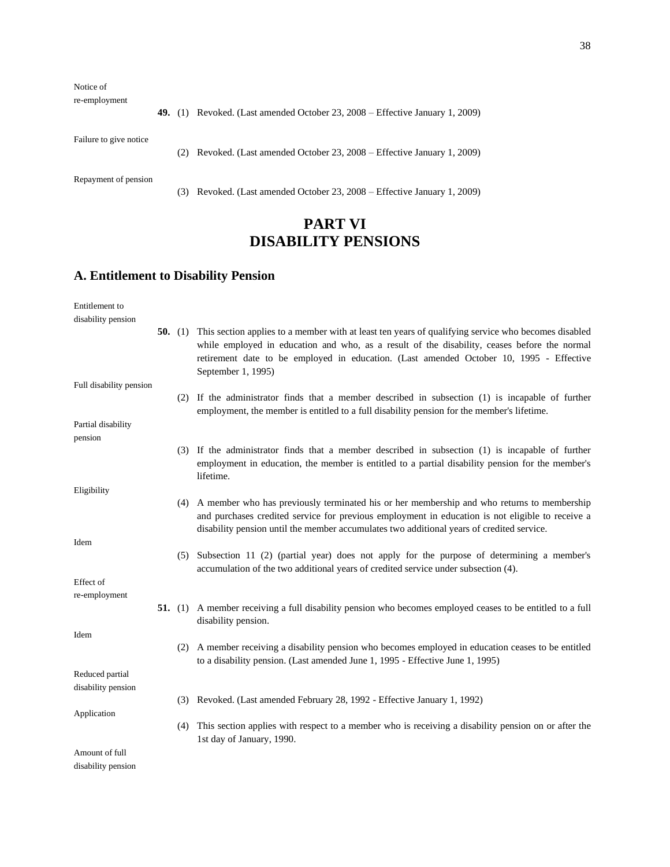Notice of

re-employment

**49.** (1) Revoked. (Last amended October 23, 2008 – Effective January 1, 2009)

Failure to give notice

(2) Revoked. (Last amended October 23, 2008 – Effective January 1, 2009)

Repayment of pension

(3) Revoked. (Last amended October 23, 2008 – Effective January 1, 2009)

## **PART VI DISABILITY PENSIONS**

## **A. Entitlement to Disability Pension**

| Entitlement to          |  |                                                                                                                                                                                                                                                                                                                              |
|-------------------------|--|------------------------------------------------------------------------------------------------------------------------------------------------------------------------------------------------------------------------------------------------------------------------------------------------------------------------------|
| disability pension      |  |                                                                                                                                                                                                                                                                                                                              |
|                         |  | 50. (1) This section applies to a member with at least ten years of qualifying service who becomes disabled<br>while employed in education and who, as a result of the disability, ceases before the normal<br>retirement date to be employed in education. (Last amended October 10, 1995 - Effective<br>September 1, 1995) |
| Full disability pension |  |                                                                                                                                                                                                                                                                                                                              |
|                         |  | (2) If the administrator finds that a member described in subsection (1) is incapable of further<br>employment, the member is entitled to a full disability pension for the member's lifetime.                                                                                                                               |
| Partial disability      |  |                                                                                                                                                                                                                                                                                                                              |
| pension                 |  |                                                                                                                                                                                                                                                                                                                              |
|                         |  | (3) If the administrator finds that a member described in subsection (1) is incapable of further<br>employment in education, the member is entitled to a partial disability pension for the member's<br>lifetime.                                                                                                            |
| Eligibility             |  |                                                                                                                                                                                                                                                                                                                              |
|                         |  | (4) A member who has previously terminated his or her membership and who returns to membership<br>and purchases credited service for previous employment in education is not eligible to receive a<br>disability pension until the member accumulates two additional years of credited service.                              |
| Idem                    |  |                                                                                                                                                                                                                                                                                                                              |
|                         |  | (5) Subsection 11 (2) (partial year) does not apply for the purpose of determining a member's<br>accumulation of the two additional years of credited service under subsection (4).                                                                                                                                          |
| Effect of               |  |                                                                                                                                                                                                                                                                                                                              |
| re-employment           |  |                                                                                                                                                                                                                                                                                                                              |
|                         |  | 51. (1) A member receiving a full disability pension who becomes employed ceases to be entitled to a full<br>disability pension.                                                                                                                                                                                             |
| Idem                    |  |                                                                                                                                                                                                                                                                                                                              |
|                         |  | (2) A member receiving a disability pension who becomes employed in education ceases to be entitled<br>to a disability pension. (Last amended June 1, 1995 - Effective June 1, 1995)                                                                                                                                         |
| Reduced partial         |  |                                                                                                                                                                                                                                                                                                                              |
| disability pension      |  |                                                                                                                                                                                                                                                                                                                              |
|                         |  | (3) Revoked. (Last amended February 28, 1992 - Effective January 1, 1992)                                                                                                                                                                                                                                                    |
| Application             |  |                                                                                                                                                                                                                                                                                                                              |
|                         |  | (4) This section applies with respect to a member who is receiving a disability pension on or after the<br>1st day of January, 1990.                                                                                                                                                                                         |
| Amount of full          |  |                                                                                                                                                                                                                                                                                                                              |
| disability pension      |  |                                                                                                                                                                                                                                                                                                                              |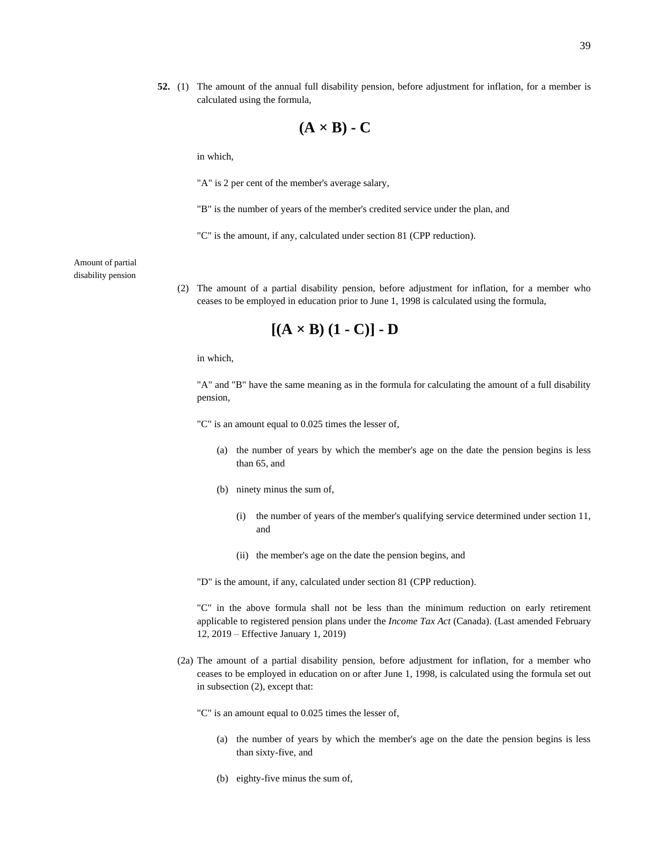**52.** (1) The amount of the annual full disability pension, before adjustment for inflation, for a member is calculated using the formula,

$$
(\mathbf{A} \times \mathbf{B}) \cdot \mathbf{C}
$$

in which,

"A" is 2 per cent of the member's average salary,

"B" is the number of years of the member's credited service under the plan, and

"C" is the amount, if any, calculated under section 81 (CPP reduction).

Amount of partial disability pension

> (2) The amount of a partial disability pension, before adjustment for inflation, for a member who ceases to be employed in education prior to June 1, 1998 is calculated using the formula,

$$
[(A \times B) (1 - C)] - D
$$

in which,

"A" and "B" have the same meaning as in the formula for calculating the amount of a full disability pension,

"C" is an amount equal to 0.025 times the lesser of,

- (a) the number of years by which the member's age on the date the pension begins is less than 65, and
- (b) ninety minus the sum of,
	- (i) the number of years of the member's qualifying service determined under section 11, and
	- (ii) the member's age on the date the pension begins, and

"D" is the amount, if any, calculated under section 81 (CPP reduction).

"C" in the above formula shall not be less than the minimum reduction on early retirement applicable to registered pension plans under the *Income Tax Act* (Canada). (Last amended February 12, 2019 – Effective January 1, 2019)

(2a) The amount of a partial disability pension, before adjustment for inflation, for a member who ceases to be employed in education on or after June 1, 1998, is calculated using the formula set out in subsection (2), except that:

"C" is an amount equal to 0.025 times the lesser of,

- (a) the number of years by which the member's age on the date the pension begins is less than sixty-five, and
- (b) eighty-five minus the sum of,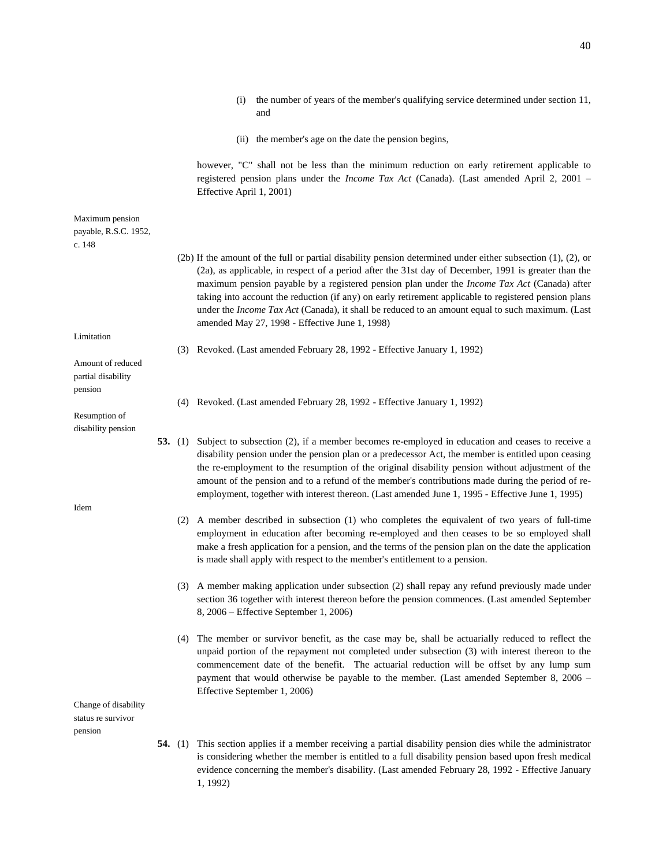|                                                    |           | (i)                      | the number of years of the member's qualifying service determined under section 11,<br>and                                                                                                                                                                                                                                                                                                                                                                                                                                                                                                              |
|----------------------------------------------------|-----------|--------------------------|---------------------------------------------------------------------------------------------------------------------------------------------------------------------------------------------------------------------------------------------------------------------------------------------------------------------------------------------------------------------------------------------------------------------------------------------------------------------------------------------------------------------------------------------------------------------------------------------------------|
|                                                    |           |                          | (ii) the member's age on the date the pension begins,                                                                                                                                                                                                                                                                                                                                                                                                                                                                                                                                                   |
|                                                    |           | Effective April 1, 2001) | however, "C" shall not be less than the minimum reduction on early retirement applicable to<br>registered pension plans under the <i>Income Tax Act</i> (Canada). (Last amended April 2, 2001 -                                                                                                                                                                                                                                                                                                                                                                                                         |
| Maximum pension<br>payable, R.S.C. 1952,<br>c. 148 |           |                          |                                                                                                                                                                                                                                                                                                                                                                                                                                                                                                                                                                                                         |
|                                                    |           |                          | (2b) If the amount of the full or partial disability pension determined under either subsection $(1)$ , $(2)$ , or<br>(2a), as applicable, in respect of a period after the 31st day of December, 1991 is greater than the<br>maximum pension payable by a registered pension plan under the <i>Income Tax Act</i> (Canada) after<br>taking into account the reduction (if any) on early retirement applicable to registered pension plans<br>under the <i>Income Tax Act</i> (Canada), it shall be reduced to an amount equal to such maximum. (Last<br>amended May 27, 1998 - Effective June 1, 1998) |
| Limitation                                         |           |                          |                                                                                                                                                                                                                                                                                                                                                                                                                                                                                                                                                                                                         |
| Amount of reduced<br>partial disability<br>pension |           |                          | (3) Revoked. (Last amended February 28, 1992 - Effective January 1, 1992)                                                                                                                                                                                                                                                                                                                                                                                                                                                                                                                               |
|                                                    |           |                          | (4) Revoked. (Last amended February 28, 1992 - Effective January 1, 1992)                                                                                                                                                                                                                                                                                                                                                                                                                                                                                                                               |
| Resumption of<br>disability pension                |           |                          |                                                                                                                                                                                                                                                                                                                                                                                                                                                                                                                                                                                                         |
|                                                    | 53. $(1)$ |                          | Subject to subsection (2), if a member becomes re-employed in education and ceases to receive a<br>disability pension under the pension plan or a predecessor Act, the member is entitled upon ceasing<br>the re-employment to the resumption of the original disability pension without adjustment of the<br>amount of the pension and to a refund of the member's contributions made during the period of re-<br>employment, together with interest thereon. (Last amended June 1, 1995 - Effective June 1, 1995)                                                                                     |
| Idem                                               |           |                          | (2) A member described in subsection (1) who completes the equivalent of two years of full-time<br>employment in education after becoming re-employed and then ceases to be so employed shall<br>make a fresh application for a pension, and the terms of the pension plan on the date the application<br>is made shall apply with respect to the member's entitlement to a pension.                                                                                                                                                                                                                    |
|                                                    |           |                          | (3) A member making application under subsection (2) shall repay any refund previously made under<br>section 36 together with interest thereon before the pension commences. (Last amended September<br>8, 2006 – Effective September 1, 2006)                                                                                                                                                                                                                                                                                                                                                          |
|                                                    |           |                          | (4) The member or survivor benefit, as the case may be, shall be actuarially reduced to reflect the<br>unpaid portion of the repayment not completed under subsection (3) with interest thereon to the<br>commencement date of the benefit. The actuarial reduction will be offset by any lump sum<br>payment that would otherwise be payable to the member. (Last amended September 8, 2006 –<br>Effective September 1, 2006)                                                                                                                                                                          |
| Change of disability<br>status re survivor         |           |                          |                                                                                                                                                                                                                                                                                                                                                                                                                                                                                                                                                                                                         |
| pension                                            |           |                          |                                                                                                                                                                                                                                                                                                                                                                                                                                                                                                                                                                                                         |
|                                                    |           |                          | <b>54.</b> (1) This section applies if a member receiving a partial disability pension dies while the administrator<br>is considering whether the member is entitled to a full disability pension based upon fresh medical<br>evidence concerning the member's disability. (Last amended February 28, 1992 - Effective January                                                                                                                                                                                                                                                                          |

1, 1992)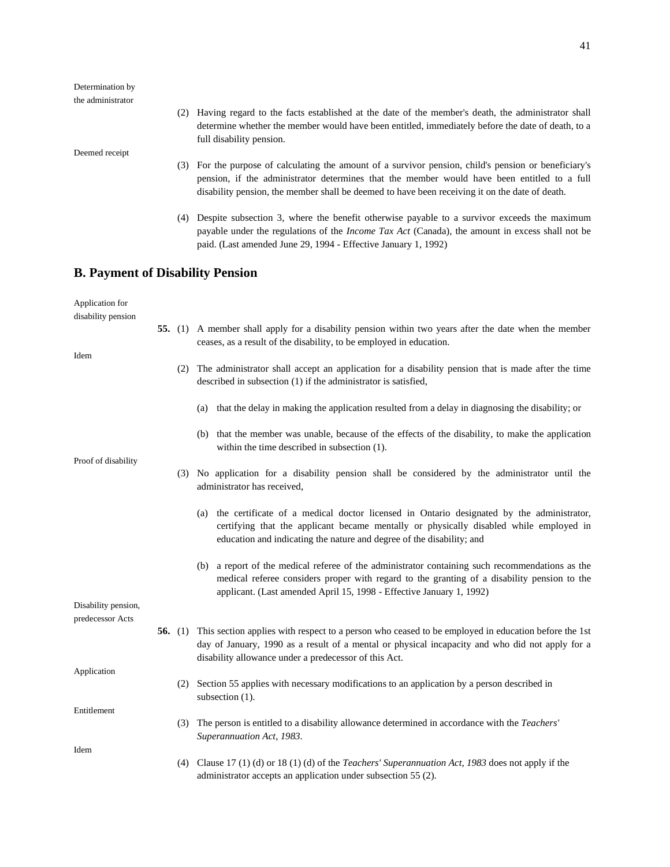| Determination by<br>the administrator   |           |                                                                                                                                                                                                                                                                                                        |
|-----------------------------------------|-----------|--------------------------------------------------------------------------------------------------------------------------------------------------------------------------------------------------------------------------------------------------------------------------------------------------------|
|                                         |           | (2) Having regard to the facts established at the date of the member's death, the administrator shall<br>determine whether the member would have been entitled, immediately before the date of death, to a<br>full disability pension.                                                                 |
| Deemed receipt                          |           |                                                                                                                                                                                                                                                                                                        |
|                                         |           | (3) For the purpose of calculating the amount of a survivor pension, child's pension or beneficiary's<br>pension, if the administrator determines that the member would have been entitled to a full<br>disability pension, the member shall be deemed to have been receiving it on the date of death. |
|                                         |           | (4) Despite subsection 3, where the benefit otherwise payable to a survivor exceeds the maximum<br>payable under the regulations of the <i>Income Tax Act</i> (Canada), the amount in excess shall not be<br>paid. (Last amended June 29, 1994 - Effective January 1, 1992)                            |
| <b>B. Payment of Disability Pension</b> |           |                                                                                                                                                                                                                                                                                                        |
| Application for<br>disability pension   |           |                                                                                                                                                                                                                                                                                                        |
|                                         |           | 55. (1) A member shall apply for a disability pension within two years after the date when the member<br>ceases, as a result of the disability, to be employed in education.                                                                                                                           |
| Idem                                    |           | (2) The administrator shall accept an application for a disability pension that is made after the time<br>described in subsection (1) if the administrator is satisfied,                                                                                                                               |
|                                         |           | that the delay in making the application resulted from a delay in diagnosing the disability; or<br>(a)                                                                                                                                                                                                 |
|                                         |           | (b) that the member was unable, because of the effects of the disability, to make the application<br>within the time described in subsection (1).                                                                                                                                                      |
| Proof of disability                     |           | (3) No application for a disability pension shall be considered by the administrator until the<br>administrator has received,                                                                                                                                                                          |
|                                         |           | the certificate of a medical doctor licensed in Ontario designated by the administrator,<br>(a)<br>certifying that the applicant became mentally or physically disabled while employed in<br>education and indicating the nature and degree of the disability; and                                     |
|                                         |           | (b) a report of the medical referee of the administrator containing such recommendations as the<br>medical referee considers proper with regard to the granting of a disability pension to the<br>applicant. (Last amended April 15, 1998 - Effective January 1, 1992)                                 |
| Disability pension,<br>predecessor Acts |           |                                                                                                                                                                                                                                                                                                        |
|                                         | 56. $(1)$ | This section applies with respect to a person who ceased to be employed in education before the 1st<br>day of January, 1990 as a result of a mental or physical incapacity and who did not apply for a<br>disability allowance under a predecessor of this Act.                                        |
| Application                             | (2)       | Section 55 applies with necessary modifications to an application by a person described in<br>subsection $(1)$ .                                                                                                                                                                                       |
| Entitlement                             | (3)       | The person is entitled to a disability allowance determined in accordance with the <i>Teachers'</i><br>Superannuation Act, 1983.                                                                                                                                                                       |
| Idem                                    |           |                                                                                                                                                                                                                                                                                                        |
|                                         |           | (4) Clause 17 (1) (d) or 18 (1) (d) of the <i>Teachers' Superannuation Act</i> , 1983 does not apply if the<br>administrator accepts an application under subsection 55 (2).                                                                                                                           |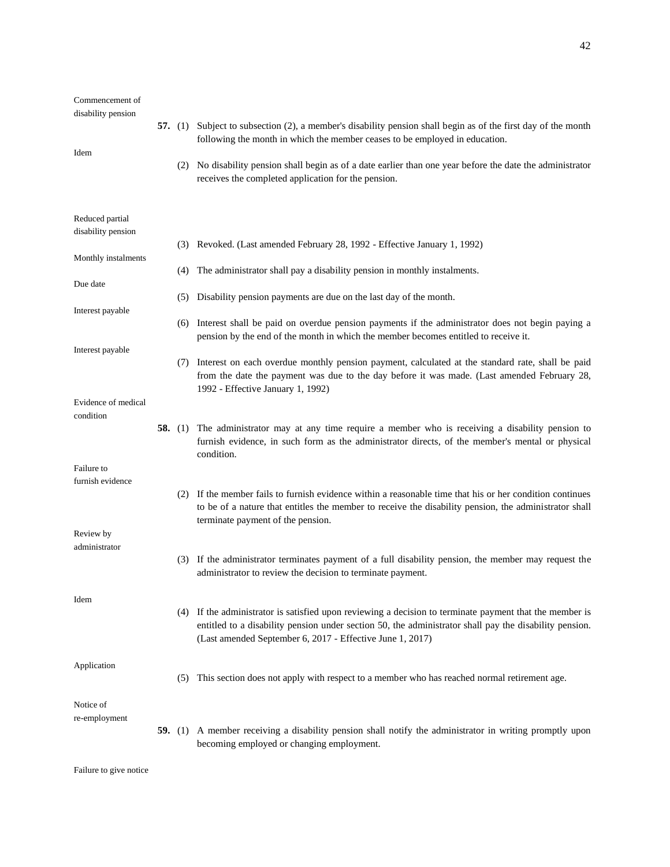| Commencement of<br>disability pension |           |                                                                                                                                                                                                                                                                            |
|---------------------------------------|-----------|----------------------------------------------------------------------------------------------------------------------------------------------------------------------------------------------------------------------------------------------------------------------------|
| Idem                                  |           | 57. (1) Subject to subsection (2), a member's disability pension shall begin as of the first day of the month<br>following the month in which the member ceases to be employed in education.                                                                               |
|                                       |           | (2) No disability pension shall begin as of a date earlier than one year before the date the administrator<br>receives the completed application for the pension.                                                                                                          |
| Reduced partial                       |           |                                                                                                                                                                                                                                                                            |
| disability pension                    |           | (3) Revoked. (Last amended February 28, 1992 - Effective January 1, 1992)                                                                                                                                                                                                  |
| Monthly instalments                   |           | (4) The administrator shall pay a disability pension in monthly instalments.                                                                                                                                                                                               |
| Due date                              | (5)       | Disability pension payments are due on the last day of the month.                                                                                                                                                                                                          |
| Interest payable                      | (6)       | Interest shall be paid on overdue pension payments if the administrator does not begin paying a<br>pension by the end of the month in which the member becomes entitled to receive it.                                                                                     |
| Interest payable                      | (7)       | Interest on each overdue monthly pension payment, calculated at the standard rate, shall be paid<br>from the date the payment was due to the day before it was made. (Last amended February 28,<br>1992 - Effective January 1, 1992)                                       |
| Evidence of medical<br>condition      |           |                                                                                                                                                                                                                                                                            |
|                                       | 58. $(1)$ | The administrator may at any time require a member who is receiving a disability pension to<br>furnish evidence, in such form as the administrator directs, of the member's mental or physical<br>condition.                                                               |
| Failure to<br>furnish evidence        |           |                                                                                                                                                                                                                                                                            |
|                                       | (2)       | If the member fails to furnish evidence within a reasonable time that his or her condition continues<br>to be of a nature that entitles the member to receive the disability pension, the administrator shall<br>terminate payment of the pension.                         |
| Review by<br>administrator            |           |                                                                                                                                                                                                                                                                            |
|                                       | (3)       | If the administrator terminates payment of a full disability pension, the member may request the<br>administrator to review the decision to terminate payment.                                                                                                             |
| Idem                                  | (4)       | If the administrator is satisfied upon reviewing a decision to terminate payment that the member is<br>entitled to a disability pension under section 50, the administrator shall pay the disability pension.<br>(Last amended September 6, 2017 - Effective June 1, 2017) |
| Application                           | (5)       | This section does not apply with respect to a member who has reached normal retirement age.                                                                                                                                                                                |
| Notice of<br>re-employment            |           |                                                                                                                                                                                                                                                                            |
|                                       | 59. $(1)$ | A member receiving a disability pension shall notify the administrator in writing promptly upon<br>becoming employed or changing employment.                                                                                                                               |

Failure to give notice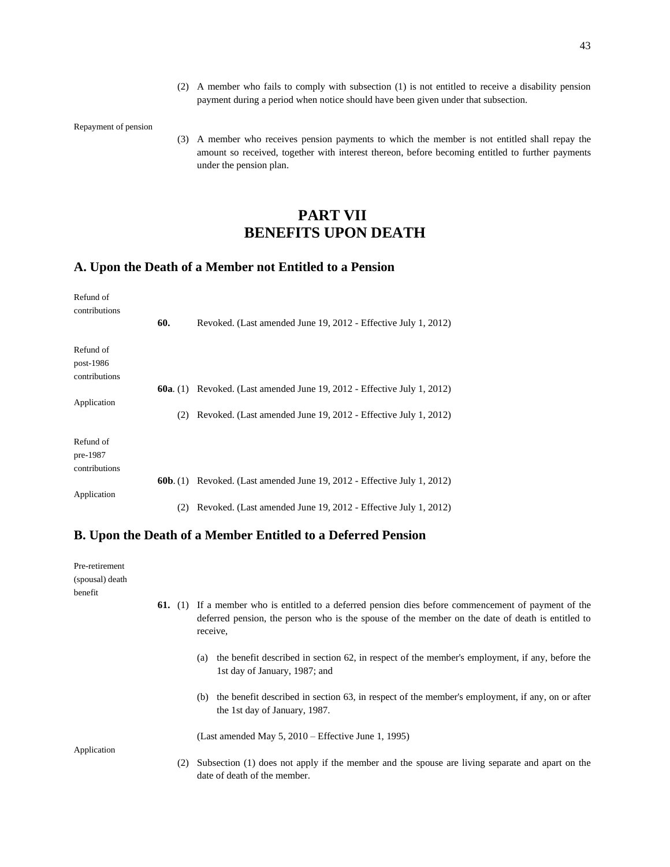(2) A member who fails to comply with subsection (1) is not entitled to receive a disability pension payment during a period when notice should have been given under that subsection.

Repayment of pension

(3) A member who receives pension payments to which the member is not entitled shall repay the amount so received, together with interest thereon, before becoming entitled to further payments under the pension plan.

## **PART VII BENEFITS UPON DEATH**

## **A. Upon the Death of a Member not Entitled to a Pension**

| Refund of<br>contributions |                   |                                                                |
|----------------------------|-------------------|----------------------------------------------------------------|
|                            | 60.               | Revoked. (Last amended June 19, 2012 - Effective July 1, 2012) |
| Refund of                  |                   |                                                                |
| post-1986<br>contributions |                   |                                                                |
|                            | <b>60a.</b> $(1)$ | Revoked. (Last amended June 19, 2012 - Effective July 1, 2012) |
| Application                |                   |                                                                |
|                            | (2)               | Revoked. (Last amended June 19, 2012 - Effective July 1, 2012) |
| Refund of                  |                   |                                                                |
| pre-1987                   |                   |                                                                |
| contributions              |                   |                                                                |
|                            | 60b. (1)          | Revoked. (Last amended June 19, 2012 - Effective July 1, 2012) |
| Application                |                   |                                                                |
|                            | (2)               | Revoked. (Last amended June 19, 2012 - Effective July 1, 2012) |

### **B. Upon the Death of a Member Entitled to a Deferred Pension**

| Pre-retirement             |     |                                                                                                                                                                                                                             |
|----------------------------|-----|-----------------------------------------------------------------------------------------------------------------------------------------------------------------------------------------------------------------------------|
| (spousal) death<br>benefit |     |                                                                                                                                                                                                                             |
|                            |     | <b>61.</b> (1) If a member who is entitled to a deferred pension dies before commencement of payment of the<br>deferred pension, the person who is the spouse of the member on the date of death is entitled to<br>receive, |
|                            |     | the benefit described in section 62, in respect of the member's employment, if any, before the<br>(a)<br>1st day of January, 1987; and                                                                                      |
|                            |     | the benefit described in section 63, in respect of the member's employment, if any, on or after<br>(b)<br>the 1st day of January, 1987.                                                                                     |
|                            |     | (Last amended May 5, $2010$ – Effective June 1, 1995)                                                                                                                                                                       |
| Application                |     |                                                                                                                                                                                                                             |
|                            | (2) | Subsection (1) does not apply if the member and the spouse are living separate and apart on the<br>date of death of the member.                                                                                             |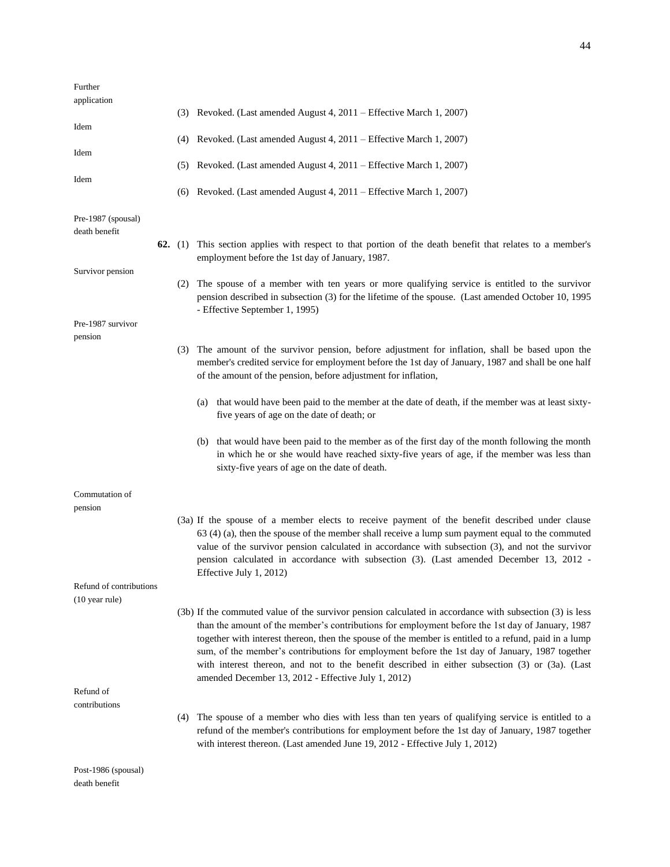| Further<br>application              |           |                                                                                                                                                                                                                                                                                                                                                                                                                                                                       |
|-------------------------------------|-----------|-----------------------------------------------------------------------------------------------------------------------------------------------------------------------------------------------------------------------------------------------------------------------------------------------------------------------------------------------------------------------------------------------------------------------------------------------------------------------|
|                                     |           | (3) Revoked. (Last amended August 4, 2011 – Effective March 1, 2007)                                                                                                                                                                                                                                                                                                                                                                                                  |
| Idem                                |           | (4) Revoked. (Last amended August 4, 2011 – Effective March 1, 2007)                                                                                                                                                                                                                                                                                                                                                                                                  |
| Idem                                |           | (5) Revoked. (Last amended August 4, 2011 – Effective March 1, 2007)                                                                                                                                                                                                                                                                                                                                                                                                  |
| Idem                                |           |                                                                                                                                                                                                                                                                                                                                                                                                                                                                       |
|                                     |           | (6) Revoked. (Last amended August 4, 2011 – Effective March 1, 2007)                                                                                                                                                                                                                                                                                                                                                                                                  |
| Pre-1987 (spousal)<br>death benefit |           |                                                                                                                                                                                                                                                                                                                                                                                                                                                                       |
|                                     | 62. $(1)$ | This section applies with respect to that portion of the death benefit that relates to a member's<br>employment before the 1st day of January, 1987.                                                                                                                                                                                                                                                                                                                  |
| Survivor pension                    | (2)       | The spouse of a member with ten years or more qualifying service is entitled to the survivor                                                                                                                                                                                                                                                                                                                                                                          |
|                                     |           | pension described in subsection (3) for the lifetime of the spouse. (Last amended October 10, 1995<br>- Effective September 1, 1995)                                                                                                                                                                                                                                                                                                                                  |
| Pre-1987 survivor                   |           |                                                                                                                                                                                                                                                                                                                                                                                                                                                                       |
| pension                             | (3)       | The amount of the survivor pension, before adjustment for inflation, shall be based upon the<br>member's credited service for employment before the 1st day of January, 1987 and shall be one half<br>of the amount of the pension, before adjustment for inflation,                                                                                                                                                                                                  |
|                                     |           |                                                                                                                                                                                                                                                                                                                                                                                                                                                                       |
|                                     |           | that would have been paid to the member at the date of death, if the member was at least sixty-<br>(a)<br>five years of age on the date of death; or                                                                                                                                                                                                                                                                                                                  |
|                                     |           | (b) that would have been paid to the member as of the first day of the month following the month<br>in which he or she would have reached sixty-five years of age, if the member was less than<br>sixty-five years of age on the date of death.                                                                                                                                                                                                                       |
| Commutation of<br>pension           |           |                                                                                                                                                                                                                                                                                                                                                                                                                                                                       |
|                                     |           | (3a) If the spouse of a member elects to receive payment of the benefit described under clause<br>63 (4) (a), then the spouse of the member shall receive a lump sum payment equal to the commuted<br>value of the survivor pension calculated in accordance with subsection (3), and not the survivor<br>pension calculated in accordance with subsection (3). (Last amended December 13, 2012 -<br>Effective July 1, 2012)                                          |
| Refund of contributions             |           |                                                                                                                                                                                                                                                                                                                                                                                                                                                                       |
| $(10 \text{ year rule})$            |           | (3b) If the commuted value of the survivor pension calculated in accordance with subsection (3) is less                                                                                                                                                                                                                                                                                                                                                               |
|                                     |           | than the amount of the member's contributions for employment before the 1st day of January, 1987<br>together with interest thereon, then the spouse of the member is entitled to a refund, paid in a lump<br>sum, of the member's contributions for employment before the 1st day of January, 1987 together<br>with interest thereon, and not to the benefit described in either subsection (3) or (3a). (Last<br>amended December 13, 2012 - Effective July 1, 2012) |
| Refund of<br>contributions          |           |                                                                                                                                                                                                                                                                                                                                                                                                                                                                       |
|                                     |           | (4) The spouse of a member who dies with less than ten years of qualifying service is entitled to a<br>refund of the member's contributions for employment before the 1st day of January, 1987 together<br>with interest thereon. (Last amended June 19, 2012 - Effective July 1, 2012)                                                                                                                                                                               |
| Post-1986 $(s_{nonisal})$           |           |                                                                                                                                                                                                                                                                                                                                                                                                                                                                       |

1986 (spousal) death benefit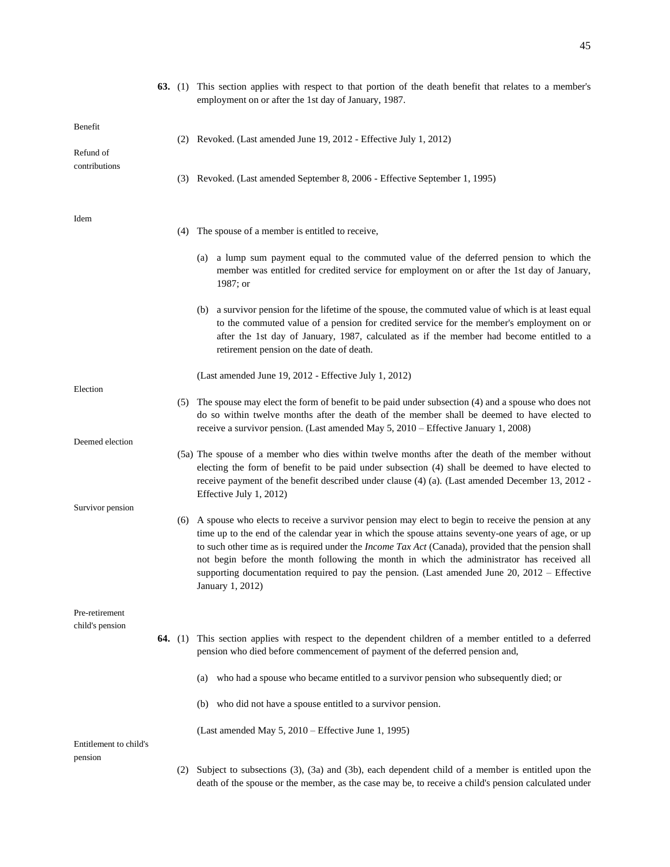|                                   |           |     | (2) Revoked. (Last amended June 19, 2012 - Effective July 1, 2012)                                                                                                                                                                                                                                                                                                                                                                                                                                                                                   |
|-----------------------------------|-----------|-----|------------------------------------------------------------------------------------------------------------------------------------------------------------------------------------------------------------------------------------------------------------------------------------------------------------------------------------------------------------------------------------------------------------------------------------------------------------------------------------------------------------------------------------------------------|
| Refund of                         |           |     |                                                                                                                                                                                                                                                                                                                                                                                                                                                                                                                                                      |
| contributions                     |           |     | (3) Revoked. (Last amended September 8, 2006 - Effective September 1, 1995)                                                                                                                                                                                                                                                                                                                                                                                                                                                                          |
|                                   |           |     |                                                                                                                                                                                                                                                                                                                                                                                                                                                                                                                                                      |
| Idem                              |           |     |                                                                                                                                                                                                                                                                                                                                                                                                                                                                                                                                                      |
|                                   |           | (4) | The spouse of a member is entitled to receive,                                                                                                                                                                                                                                                                                                                                                                                                                                                                                                       |
|                                   |           |     | a lump sum payment equal to the commuted value of the deferred pension to which the<br>(a)<br>member was entitled for credited service for employment on or after the 1st day of January,<br>1987; or                                                                                                                                                                                                                                                                                                                                                |
|                                   |           |     | (b) a survivor pension for the lifetime of the spouse, the commuted value of which is at least equal<br>to the commuted value of a pension for credited service for the member's employment on or<br>after the 1st day of January, 1987, calculated as if the member had become entitled to a<br>retirement pension on the date of death.                                                                                                                                                                                                            |
|                                   |           |     | (Last amended June 19, 2012 - Effective July 1, 2012)                                                                                                                                                                                                                                                                                                                                                                                                                                                                                                |
| Election                          |           | (5) | The spouse may elect the form of benefit to be paid under subsection (4) and a spouse who does not<br>do so within twelve months after the death of the member shall be deemed to have elected to<br>receive a survivor pension. (Last amended May 5, 2010 - Effective January 1, 2008)                                                                                                                                                                                                                                                              |
| Deemed election                   |           |     |                                                                                                                                                                                                                                                                                                                                                                                                                                                                                                                                                      |
|                                   |           |     | (5a) The spouse of a member who dies within twelve months after the death of the member without<br>electing the form of benefit to be paid under subsection (4) shall be deemed to have elected to<br>receive payment of the benefit described under clause (4) (a). (Last amended December 13, 2012 -<br>Effective July 1, 2012)                                                                                                                                                                                                                    |
| Survivor pension                  |           |     |                                                                                                                                                                                                                                                                                                                                                                                                                                                                                                                                                      |
|                                   |           |     | (6) A spouse who elects to receive a survivor pension may elect to begin to receive the pension at any<br>time up to the end of the calendar year in which the spouse attains seventy-one years of age, or up<br>to such other time as is required under the <i>Income Tax Act</i> (Canada), provided that the pension shall<br>not begin before the month following the month in which the administrator has received all<br>supporting documentation required to pay the pension. (Last amended June $20$ , $2012$ – Effective<br>January 1, 2012) |
| Pre-retirement<br>child's pension |           |     |                                                                                                                                                                                                                                                                                                                                                                                                                                                                                                                                                      |
|                                   | 64. $(1)$ |     | This section applies with respect to the dependent children of a member entitled to a deferred<br>pension who died before commencement of payment of the deferred pension and,                                                                                                                                                                                                                                                                                                                                                                       |
|                                   |           |     | who had a spouse who became entitled to a survivor pension who subsequently died; or<br>(a)                                                                                                                                                                                                                                                                                                                                                                                                                                                          |
|                                   |           |     | (b) who did not have a spouse entitled to a survivor pension.                                                                                                                                                                                                                                                                                                                                                                                                                                                                                        |
|                                   |           |     | (Last amended May 5, 2010 – Effective June 1, 1995)                                                                                                                                                                                                                                                                                                                                                                                                                                                                                                  |
| Entitlement to child's<br>pension |           |     |                                                                                                                                                                                                                                                                                                                                                                                                                                                                                                                                                      |

**63.** (1) This section applies with respect to that portion of the death benefit that relates to a member's

employment on or after the 1st day of January, 1987.

Benefit

(2) Subject to subsections (3), (3a) and (3b), each dependent child of a member is entitled upon the death of the spouse or the member, as the case may be, to receive a child's pension calculated under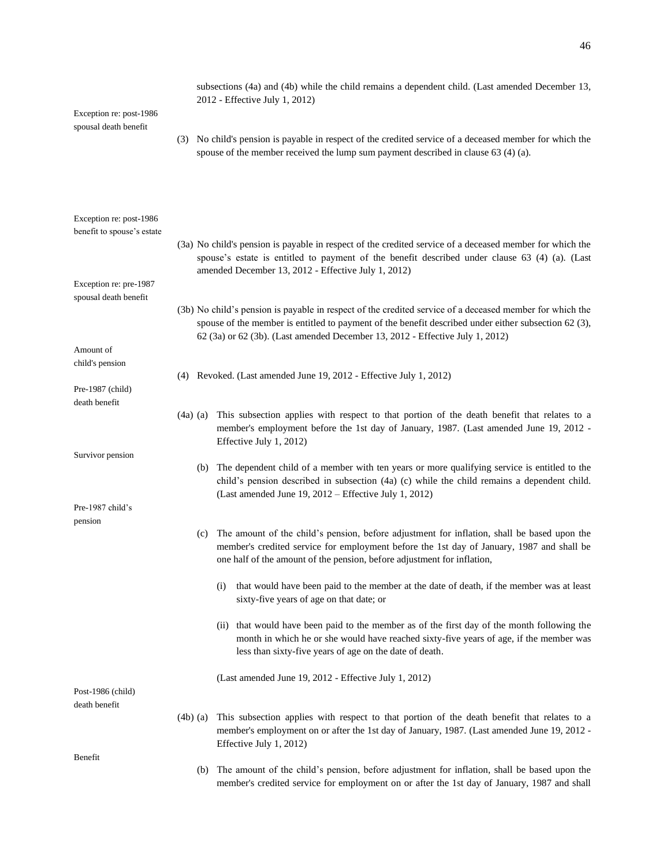| Exception re: post-1986                               | subsections (4a) and (4b) while the child remains a dependent child. (Last amended December 13,<br>2012 - Effective July 1, 2012)                                                                                                                                                                 |
|-------------------------------------------------------|---------------------------------------------------------------------------------------------------------------------------------------------------------------------------------------------------------------------------------------------------------------------------------------------------|
| spousal death benefit                                 | (3) No child's pension is payable in respect of the credited service of a deceased member for which the<br>spouse of the member received the lump sum payment described in clause 63 (4) (a).                                                                                                     |
| Exception re: post-1986<br>benefit to spouse's estate | (3a) No child's pension is payable in respect of the credited service of a deceased member for which the<br>spouse's estate is entitled to payment of the benefit described under clause 63 (4) (a). (Last<br>amended December 13, 2012 - Effective July 1, 2012)                                 |
| Exception re: pre-1987<br>spousal death benefit       |                                                                                                                                                                                                                                                                                                   |
|                                                       | (3b) No child's pension is payable in respect of the credited service of a deceased member for which the<br>spouse of the member is entitled to payment of the benefit described under either subsection 62 (3),<br>62 (3a) or 62 (3b). (Last amended December 13, 2012 - Effective July 1, 2012) |
| Amount of                                             |                                                                                                                                                                                                                                                                                                   |
| child's pension                                       | (4) Revoked. (Last amended June 19, 2012 - Effective July 1, 2012)                                                                                                                                                                                                                                |
| Pre-1987 (child)                                      |                                                                                                                                                                                                                                                                                                   |
| death benefit                                         | This subsection applies with respect to that portion of the death benefit that relates to a<br>$(4a)$ (a)<br>member's employment before the 1st day of January, 1987. (Last amended June 19, 2012 -<br>Effective July 1, 2012)                                                                    |
| Survivor pension                                      | (b) The dependent child of a member with ten years or more qualifying service is entitled to the<br>child's pension described in subsection (4a) (c) while the child remains a dependent child.<br>(Last amended June 19, $2012$ – Effective July 1, 2012)                                        |
| Pre-1987 child's                                      |                                                                                                                                                                                                                                                                                                   |
| pension                                               | The amount of the child's pension, before adjustment for inflation, shall be based upon the<br>(c)<br>member's credited service for employment before the 1st day of January, 1987 and shall be<br>one half of the amount of the pension, before adjustment for inflation,                        |
|                                                       | that would have been paid to the member at the date of death, if the member was at least<br>(i)<br>sixty-five years of age on that date; or                                                                                                                                                       |
|                                                       | (ii) that would have been paid to the member as of the first day of the month following the<br>month in which he or she would have reached sixty-five years of age, if the member was<br>less than sixty-five years of age on the date of death.                                                  |
| Post-1986 (child)                                     | (Last amended June 19, 2012 - Effective July 1, 2012)                                                                                                                                                                                                                                             |
| death benefit                                         |                                                                                                                                                                                                                                                                                                   |
|                                                       | This subsection applies with respect to that portion of the death benefit that relates to a<br>$(4b)$ (a)<br>member's employment on or after the 1st day of January, 1987. (Last amended June 19, 2012 -<br>Effective July 1, 2012)                                                               |
| Benefit                                               |                                                                                                                                                                                                                                                                                                   |
|                                                       | (b) The amount of the child's pension, before adjustment for inflation, shall be based upon the<br>member's credited service for employment on or after the 1st day of January, 1987 and shall                                                                                                    |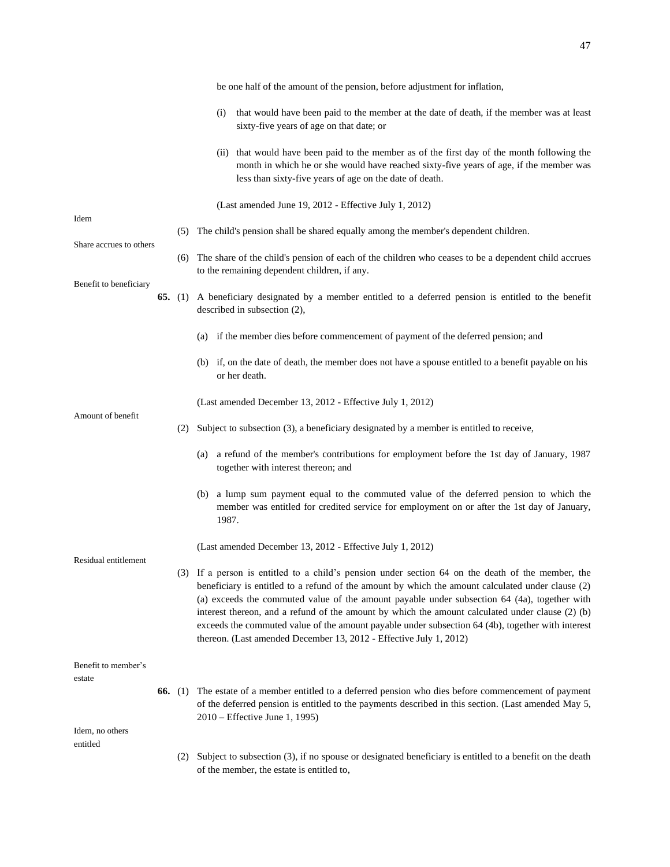|                             |     | be one half of the amount of the pension, before adjustment for inflation,                                                                                                                                                                                                                                                                                                                                                                                                                                                                                                            |
|-----------------------------|-----|---------------------------------------------------------------------------------------------------------------------------------------------------------------------------------------------------------------------------------------------------------------------------------------------------------------------------------------------------------------------------------------------------------------------------------------------------------------------------------------------------------------------------------------------------------------------------------------|
|                             |     | that would have been paid to the member at the date of death, if the member was at least<br>(i)<br>sixty-five years of age on that date; or                                                                                                                                                                                                                                                                                                                                                                                                                                           |
|                             |     | (ii) that would have been paid to the member as of the first day of the month following the<br>month in which he or she would have reached sixty-five years of age, if the member was<br>less than sixty-five years of age on the date of death.                                                                                                                                                                                                                                                                                                                                      |
|                             |     | (Last amended June 19, 2012 - Effective July 1, 2012)                                                                                                                                                                                                                                                                                                                                                                                                                                                                                                                                 |
| Idem                        |     | (5) The child's pension shall be shared equally among the member's dependent children.                                                                                                                                                                                                                                                                                                                                                                                                                                                                                                |
| Share accrues to others     |     | (6) The share of the child's pension of each of the children who ceases to be a dependent child accrues<br>to the remaining dependent children, if any.                                                                                                                                                                                                                                                                                                                                                                                                                               |
| Benefit to beneficiary      |     | 65. (1) A beneficiary designated by a member entitled to a deferred pension is entitled to the benefit<br>described in subsection (2),                                                                                                                                                                                                                                                                                                                                                                                                                                                |
|                             |     | if the member dies before commencement of payment of the deferred pension; and<br>(a)                                                                                                                                                                                                                                                                                                                                                                                                                                                                                                 |
|                             |     | (b) if, on the date of death, the member does not have a spouse entitled to a benefit payable on his<br>or her death.                                                                                                                                                                                                                                                                                                                                                                                                                                                                 |
|                             |     | (Last amended December 13, 2012 - Effective July 1, 2012)                                                                                                                                                                                                                                                                                                                                                                                                                                                                                                                             |
| Amount of benefit           | (2) | Subject to subsection (3), a beneficiary designated by a member is entitled to receive,                                                                                                                                                                                                                                                                                                                                                                                                                                                                                               |
|                             |     | (a) a refund of the member's contributions for employment before the 1st day of January, 1987<br>together with interest thereon; and                                                                                                                                                                                                                                                                                                                                                                                                                                                  |
|                             |     | a lump sum payment equal to the commuted value of the deferred pension to which the<br>(b)<br>member was entitled for credited service for employment on or after the 1st day of January,<br>1987.                                                                                                                                                                                                                                                                                                                                                                                    |
|                             |     | (Last amended December 13, 2012 - Effective July 1, 2012)                                                                                                                                                                                                                                                                                                                                                                                                                                                                                                                             |
| Residual entitlement        |     | (3) If a person is entitled to a child's pension under section 64 on the death of the member, the<br>beneficiary is entitled to a refund of the amount by which the amount calculated under clause (2)<br>(a) exceeds the commuted value of the amount payable under subsection 64 (4a), together with<br>interest thereon, and a refund of the amount by which the amount calculated under clause (2) (b)<br>exceeds the commuted value of the amount payable under subsection 64 (4b), together with interest<br>thereon. (Last amended December 13, 2012 - Effective July 1, 2012) |
| Benefit to member's         |     |                                                                                                                                                                                                                                                                                                                                                                                                                                                                                                                                                                                       |
| estate                      |     | <b>66.</b> (1) The estate of a member entitled to a deferred pension who dies before commencement of payment<br>of the deferred pension is entitled to the payments described in this section. (Last amended May 5,<br>2010 – Effective June 1, 1995)                                                                                                                                                                                                                                                                                                                                 |
| Idem, no others<br>entitled |     |                                                                                                                                                                                                                                                                                                                                                                                                                                                                                                                                                                                       |
|                             | (2) | Subject to subsection (3), if no spouse or designated beneficiary is entitled to a benefit on the death<br>of the member, the estate is entitled to,                                                                                                                                                                                                                                                                                                                                                                                                                                  |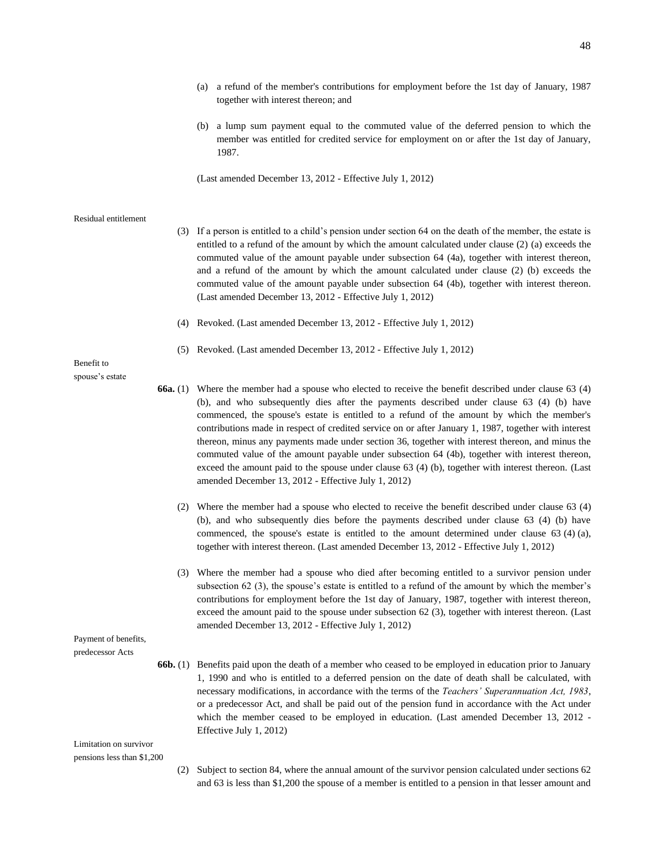- (a) a refund of the member's contributions for employment before the 1st day of January, 1987 together with interest thereon; and
- (b) a lump sum payment equal to the commuted value of the deferred pension to which the member was entitled for credited service for employment on or after the 1st day of January, 1987.

(Last amended December 13, 2012 - Effective July 1, 2012)

#### Residual entitlement

- (3) If a person is entitled to a child's pension under section 64 on the death of the member, the estate is entitled to a refund of the amount by which the amount calculated under clause (2) (a) exceeds the commuted value of the amount payable under subsection 64 (4a), together with interest thereon, and a refund of the amount by which the amount calculated under clause (2) (b) exceeds the commuted value of the amount payable under subsection 64 (4b), together with interest thereon. (Last amended December 13, 2012 - Effective July 1, 2012)
- (4) Revoked. (Last amended December 13, 2012 Effective July 1, 2012)
- (5) Revoked. (Last amended December 13, 2012 Effective July 1, 2012)

### Benefit to spouse's estate

- **66a.** (1) Where the member had a spouse who elected to receive the benefit described under clause 63 (4) (b), and who subsequently dies after the payments described under clause 63 (4) (b) have commenced, the spouse's estate is entitled to a refund of the amount by which the member's contributions made in respect of credited service on or after January 1, 1987, together with interest thereon, minus any payments made under section 36, together with interest thereon, and minus the commuted value of the amount payable under subsection 64 (4b), together with interest thereon, exceed the amount paid to the spouse under clause 63 (4) (b), together with interest thereon. (Last amended December 13, 2012 - Effective July 1, 2012)
	- (2) Where the member had a spouse who elected to receive the benefit described under clause 63 (4) (b), and who subsequently dies before the payments described under clause 63 (4) (b) have commenced, the spouse's estate is entitled to the amount determined under clause 63 (4) (a), together with interest thereon. (Last amended December 13, 2012 - Effective July 1, 2012)
	- (3) Where the member had a spouse who died after becoming entitled to a survivor pension under subsection 62 (3), the spouse's estate is entitled to a refund of the amount by which the member's contributions for employment before the 1st day of January, 1987, together with interest thereon, exceed the amount paid to the spouse under subsection 62 (3), together with interest thereon. (Last amended December 13, 2012 - Effective July 1, 2012)

Payment of benefits,

- predecessor Acts
- **66b.** (1) Benefits paid upon the death of a member who ceased to be employed in education prior to January 1, 1990 and who is entitled to a deferred pension on the date of death shall be calculated, with necessary modifications, in accordance with the terms of the *Teachers' Superannuation Act, 1983*, or a predecessor Act, and shall be paid out of the pension fund in accordance with the Act under which the member ceased to be employed in education. (Last amended December 13, 2012 - Effective July 1, 2012)

Limitation on survivor pensions less than \$1,200

> (2) Subject to section 84, where the annual amount of the survivor pension calculated under sections 62 and 63 is less than \$1,200 the spouse of a member is entitled to a pension in that lesser amount and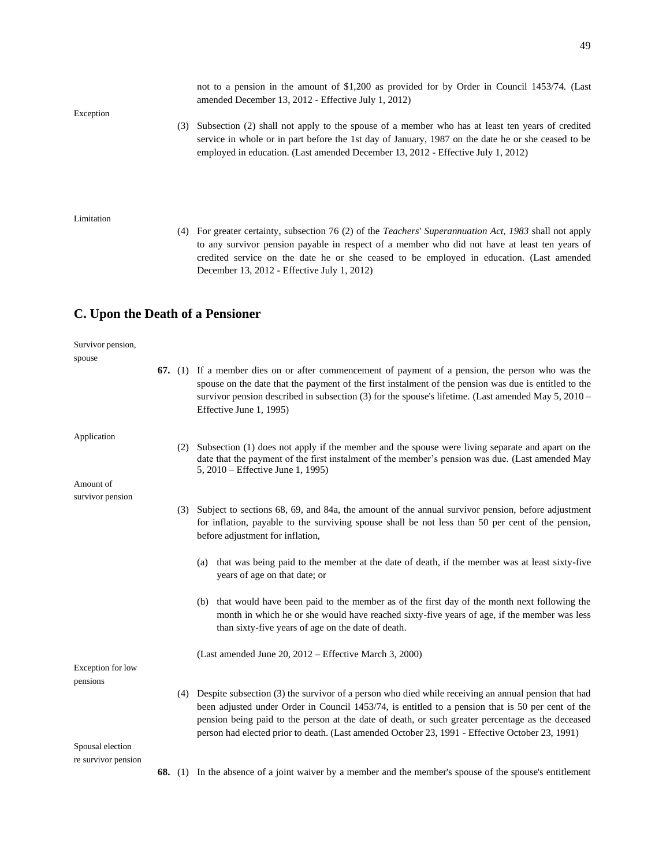Exception

(3) Subsection (2) shall not apply to the spouse of a member who has at least ten years of credited service in whole or in part before the 1st day of January, 1987 on the date he or she ceased to be employed in education. (Last amended December 13, 2012 - Effective July 1, 2012)

amended December 13, 2012 - Effective July 1, 2012)

not to a pension in the amount of \$1,200 as provided for by Order in Council 1453/74. (Last

#### Limitation

(4) For greater certainty, subsection 76 (2) of the *Teachers' Superannuation Act, 1983* shall not apply to any survivor pension payable in respect of a member who did not have at least ten years of credited service on the date he or she ceased to be employed in education. (Last amended December 13, 2012 - Effective July 1, 2012)

### **C. Upon the Death of a Pensioner**

Survivor pension,

| spouse                        |  |                                                                                                                                                                                                                                                                                                                                                                                                                      |
|-------------------------------|--|----------------------------------------------------------------------------------------------------------------------------------------------------------------------------------------------------------------------------------------------------------------------------------------------------------------------------------------------------------------------------------------------------------------------|
|                               |  | 67. (1) If a member dies on or after commencement of payment of a pension, the person who was the<br>spouse on the date that the payment of the first instalment of the pension was due is entitled to the<br>survivor pension described in subsection (3) for the spouse's lifetime. (Last amended May $5, 2010 -$<br>Effective June 1, 1995)                                                                       |
| Application<br>Amount of      |  | (2) Subsection (1) does not apply if the member and the spouse were living separate and apart on the<br>date that the payment of the first instalment of the member's pension was due. (Last amended May<br>5, 2010 – Effective June 1, 1995)                                                                                                                                                                        |
| survivor pension              |  |                                                                                                                                                                                                                                                                                                                                                                                                                      |
|                               |  | (3) Subject to sections 68, 69, and 84a, the amount of the annual survivor pension, before adjustment<br>for inflation, payable to the surviving spouse shall be not less than 50 per cent of the pension,<br>before adjustment for inflation,                                                                                                                                                                       |
|                               |  | that was being paid to the member at the date of death, if the member was at least sixty-five<br>(a)<br>years of age on that date; or                                                                                                                                                                                                                                                                                |
|                               |  | (b) that would have been paid to the member as of the first day of the month next following the<br>month in which he or she would have reached sixty-five years of age, if the member was less<br>than sixty-five years of age on the date of death.                                                                                                                                                                 |
|                               |  | (Last amended June 20, $2012$ – Effective March 3, 2000)                                                                                                                                                                                                                                                                                                                                                             |
| Exception for low<br>pensions |  |                                                                                                                                                                                                                                                                                                                                                                                                                      |
|                               |  | (4) Despite subsection (3) the survivor of a person who died while receiving an annual pension that had<br>been adjusted under Order in Council 1453/74, is entitled to a pension that is 50 per cent of the<br>pension being paid to the person at the date of death, or such greater percentage as the deceased<br>person had elected prior to death. (Last amended October 23, 1991 - Effective October 23, 1991) |
| Spousal election              |  |                                                                                                                                                                                                                                                                                                                                                                                                                      |
| re survivor pension           |  |                                                                                                                                                                                                                                                                                                                                                                                                                      |
|                               |  | <b>68.</b> (1) In the absence of a joint waiver by a member and the member's spouse of the spouse's entitlement                                                                                                                                                                                                                                                                                                      |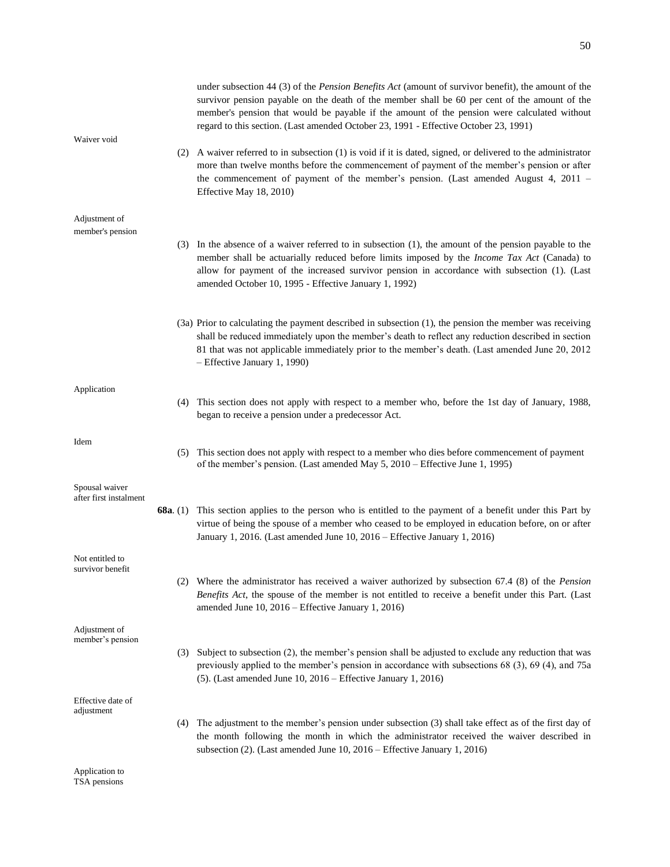| Waiver void            |     | under subsection 44 (3) of the <i>Pension Benefits Act</i> (amount of survivor benefit), the amount of the<br>survivor pension payable on the death of the member shall be 60 per cent of the amount of the<br>member's pension that would be payable if the amount of the pension were calculated without<br>regard to this section. (Last amended October 23, 1991 - Effective October 23, 1991) |
|------------------------|-----|----------------------------------------------------------------------------------------------------------------------------------------------------------------------------------------------------------------------------------------------------------------------------------------------------------------------------------------------------------------------------------------------------|
|                        |     | (2) A waiver referred to in subsection (1) is void if it is dated, signed, or delivered to the administrator<br>more than twelve months before the commencement of payment of the member's pension or after<br>the commencement of payment of the member's pension. (Last amended August 4, 2011 –<br>Effective May 18, 2010)                                                                      |
| Adjustment of          |     |                                                                                                                                                                                                                                                                                                                                                                                                    |
| member's pension       |     | (3) In the absence of a waiver referred to in subsection (1), the amount of the pension payable to the                                                                                                                                                                                                                                                                                             |
|                        |     | member shall be actuarially reduced before limits imposed by the <i>Income Tax Act</i> (Canada) to<br>allow for payment of the increased survivor pension in accordance with subsection (1). (Last<br>amended October 10, 1995 - Effective January 1, 1992)                                                                                                                                        |
|                        |     | (3a) Prior to calculating the payment described in subsection (1), the pension the member was receiving                                                                                                                                                                                                                                                                                            |
|                        |     | shall be reduced immediately upon the member's death to reflect any reduction described in section<br>81 that was not applicable immediately prior to the member's death. (Last amended June 20, 2012)<br>- Effective January 1, 1990)                                                                                                                                                             |
| Application            |     |                                                                                                                                                                                                                                                                                                                                                                                                    |
|                        | (4) | This section does not apply with respect to a member who, before the 1st day of January, 1988,<br>began to receive a pension under a predecessor Act.                                                                                                                                                                                                                                              |
| Idem                   | (5) | This section does not apply with respect to a member who dies before commencement of payment<br>of the member's pension. (Last amended May 5, 2010 – Effective June 1, 1995)                                                                                                                                                                                                                       |
| Spousal waiver         |     |                                                                                                                                                                                                                                                                                                                                                                                                    |
| after first instalment |     | <b>68a.</b> (1) This section applies to the person who is entitled to the payment of a benefit under this Part by<br>virtue of being the spouse of a member who ceased to be employed in education before, on or after<br>January 1, 2016. (Last amended June 10, 2016 – Effective January 1, 2016)                                                                                                |
| Not entitled to        |     |                                                                                                                                                                                                                                                                                                                                                                                                    |
| survivor benefit       |     | (2) Where the administrator has received a waiver authorized by subsection 67.4 (8) of the <i>Pension</i><br><i>Benefits Act</i> , the spouse of the member is not entitled to receive a benefit under this Part. (Last<br>amended June 10, 2016 – Effective January 1, 2016)                                                                                                                      |
| Adjustment of          |     |                                                                                                                                                                                                                                                                                                                                                                                                    |
| member's pension       | (3) | Subject to subsection (2), the member's pension shall be adjusted to exclude any reduction that was<br>previously applied to the member's pension in accordance with subsections 68 (3), 69 (4), and 75a<br>$(5)$ . (Last amended June 10, 2016 – Effective January 1, 2016)                                                                                                                       |
| Effective date of      |     |                                                                                                                                                                                                                                                                                                                                                                                                    |
| adjustment             | (4) | The adjustment to the member's pension under subsection (3) shall take effect as of the first day of<br>the month following the month in which the administrator received the waiver described in<br>subsection $(2)$ . (Last amended June 10, 2016 – Effective January 1, 2016)                                                                                                                   |
|                        |     |                                                                                                                                                                                                                                                                                                                                                                                                    |

Application to TSA pensions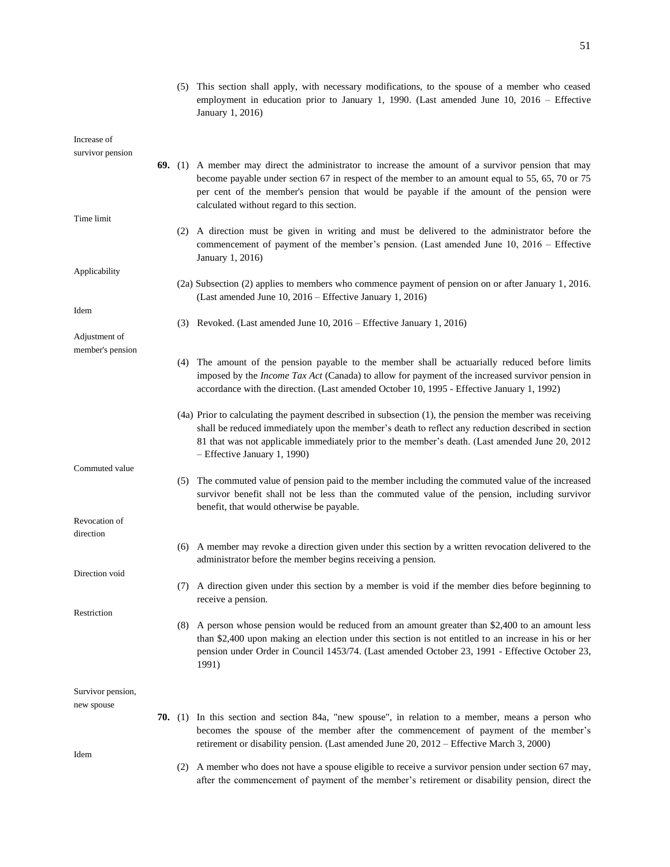(5) This section shall apply, with necessary modifications, to the spouse of a member who ceased employment in education prior to January 1, 1990. (Last amended June 10, 2016 – Effective January 1, 2016)

| Increase of      |  |
|------------------|--|
| survivor pension |  |

Time limit

Applicability

Adjustment of member's pension

Commuted value

Revocation of direction

Direction void

Restriction

Idem

- **69.** (1) A member may direct the administrator to increase the amount of a survivor pension that may become payable under section 67 in respect of the member to an amount equal to 55, 65, 70 or 75 per cent of the member's pension that would be payable if the amount of the pension were calculated without regard to this section.
	- (2) A direction must be given in writing and must be delivered to the administrator before the commencement of payment of the member's pension. (Last amended June 10, 2016 – Effective January 1, 2016)
	- (2a) Subsection (2) applies to members who commence payment of pension on or after January 1, 2016. (Last amended June 10, 2016 – Effective January 1, 2016)
	- (3) Revoked. (Last amended June 10, 2016 Effective January 1, 2016)
	- (4) The amount of the pension payable to the member shall be actuarially reduced before limits imposed by the *Income Tax Act* (Canada) to allow for payment of the increased survivor pension in accordance with the direction. (Last amended October 10, 1995 - Effective January 1, 1992)
	- (4a) Prior to calculating the payment described in subsection (1), the pension the member was receiving shall be reduced immediately upon the member's death to reflect any reduction described in section 81 that was not applicable immediately prior to the member's death. (Last amended June 20, 2012 – Effective January 1, 1990)
	- (5) The commuted value of pension paid to the member including the commuted value of the increased survivor benefit shall not be less than the commuted value of the pension, including survivor benefit, that would otherwise be payable.
	- (6) A member may revoke a direction given under this section by a written revocation delivered to the administrator before the member begins receiving a pension.
	- (7) A direction given under this section by a member is void if the member dies before beginning to receive a pension.
	- (8) A person whose pension would be reduced from an amount greater than \$2,400 to an amount less than \$2,400 upon making an election under this section is not entitled to an increase in his or her pension under Order in Council 1453/74. (Last amended October 23, 1991 - Effective October 23, 1991)

Survivor pension,

new spouse

- **70.** (1) In this section and section 84a, "new spouse", in relation to a member, means a person who becomes the spouse of the member after the commencement of payment of the member's retirement or disability pension. (Last amended June 20, 2012 – Effective March 3, 2000)
	- (2) A member who does not have a spouse eligible to receive a survivor pension under section 67 may, after the commencement of payment of the member's retirement or disability pension, direct the

Idem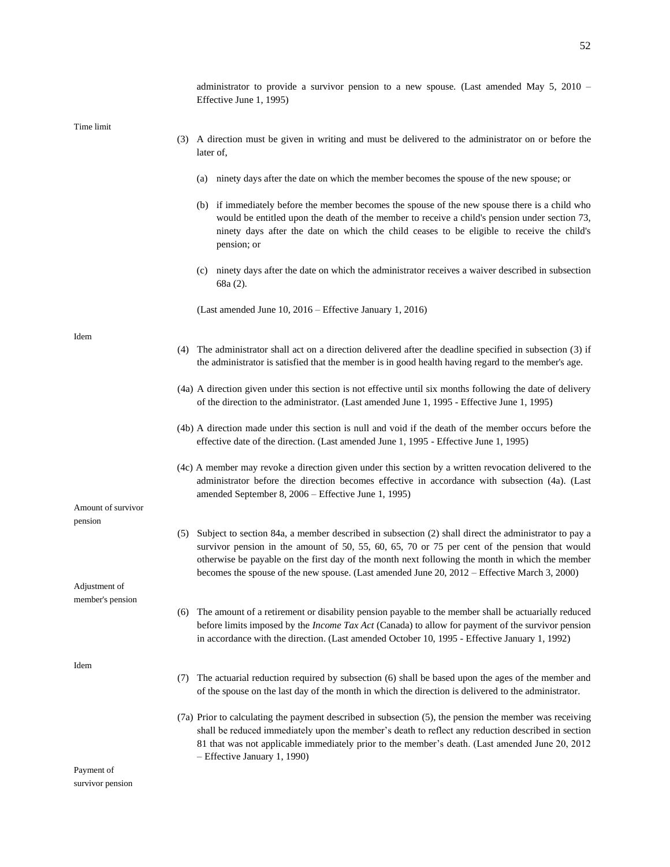|                                   | administrator to provide a survivor pension to a new spouse. (Last amended May $5$ , 2010 –<br>Effective June 1, 1995)                                                                                                                                                                                                                                                                                          |
|-----------------------------------|-----------------------------------------------------------------------------------------------------------------------------------------------------------------------------------------------------------------------------------------------------------------------------------------------------------------------------------------------------------------------------------------------------------------|
| Time limit                        | (3) A direction must be given in writing and must be delivered to the administrator on or before the<br>later of,                                                                                                                                                                                                                                                                                               |
|                                   | ninety days after the date on which the member becomes the spouse of the new spouse; or<br>(a)                                                                                                                                                                                                                                                                                                                  |
|                                   | (b) if immediately before the member becomes the spouse of the new spouse there is a child who<br>would be entitled upon the death of the member to receive a child's pension under section 73,<br>ninety days after the date on which the child ceases to be eligible to receive the child's<br>pension; or                                                                                                    |
|                                   | ninety days after the date on which the administrator receives a waiver described in subsection<br>(c)<br>68a (2).                                                                                                                                                                                                                                                                                              |
|                                   | (Last amended June 10, 2016 – Effective January 1, 2016)                                                                                                                                                                                                                                                                                                                                                        |
| Idem                              | (4) The administrator shall act on a direction delivered after the deadline specified in subsection (3) if<br>the administrator is satisfied that the member is in good health having regard to the member's age.                                                                                                                                                                                               |
|                                   | (4a) A direction given under this section is not effective until six months following the date of delivery<br>of the direction to the administrator. (Last amended June 1, 1995 - Effective June 1, 1995)                                                                                                                                                                                                       |
|                                   | (4b) A direction made under this section is null and void if the death of the member occurs before the<br>effective date of the direction. (Last amended June 1, 1995 - Effective June 1, 1995)                                                                                                                                                                                                                 |
|                                   | (4c) A member may revoke a direction given under this section by a written revocation delivered to the<br>administrator before the direction becomes effective in accordance with subsection (4a). (Last<br>amended September 8, 2006 - Effective June 1, 1995)                                                                                                                                                 |
| Amount of survivor<br>pension     |                                                                                                                                                                                                                                                                                                                                                                                                                 |
|                                   | Subject to section 84a, a member described in subsection (2) shall direct the administrator to pay a<br>(5)<br>survivor pension in the amount of 50, 55, 60, 65, 70 or 75 per cent of the pension that would<br>otherwise be payable on the first day of the month next following the month in which the member<br>becomes the spouse of the new spouse. (Last amended June 20, 2012 – Effective March 3, 2000) |
| Adjustment of<br>member's pension |                                                                                                                                                                                                                                                                                                                                                                                                                 |
|                                   | The amount of a retirement or disability pension payable to the member shall be actuarially reduced<br>(6)<br>before limits imposed by the <i>Income Tax Act</i> (Canada) to allow for payment of the survivor pension<br>in accordance with the direction. (Last amended October 10, 1995 - Effective January 1, 1992)                                                                                         |
| Idem                              | The actuarial reduction required by subsection (6) shall be based upon the ages of the member and<br>(7)<br>of the spouse on the last day of the month in which the direction is delivered to the administrator.                                                                                                                                                                                                |
|                                   | (7a) Prior to calculating the payment described in subsection (5), the pension the member was receiving<br>shall be reduced immediately upon the member's death to reflect any reduction described in section<br>81 that was not applicable immediately prior to the member's death. (Last amended June 20, 2012<br>- Effective January 1, 1990)                                                                |
| Payment of                        |                                                                                                                                                                                                                                                                                                                                                                                                                 |

ayı survivor pension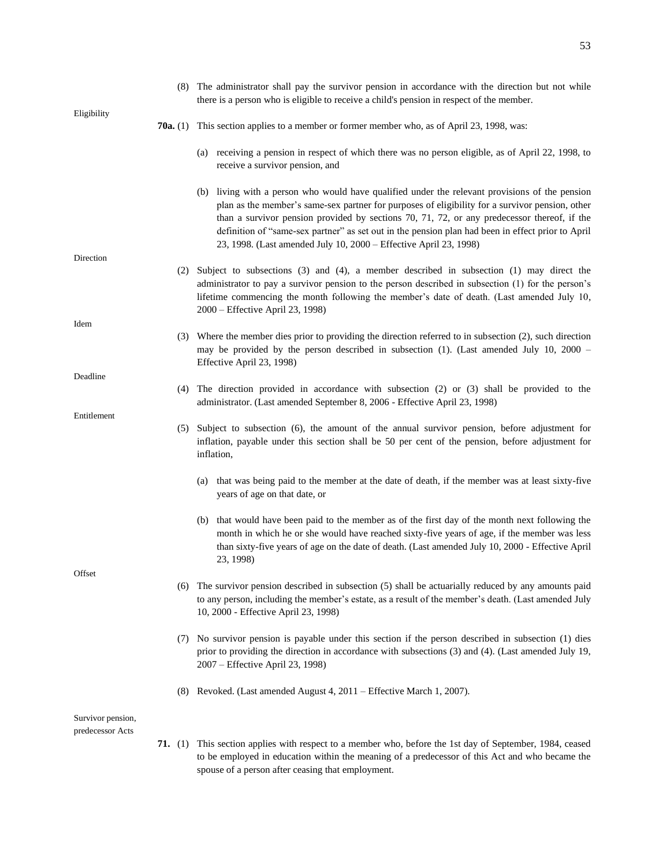|                   | (8) The administrator shall pay the survivor pension in accordance with the direction but not while<br>there is a person who is eligible to receive a child's pension in respect of the member.                                                                                                                                                                                                                                                                            |
|-------------------|----------------------------------------------------------------------------------------------------------------------------------------------------------------------------------------------------------------------------------------------------------------------------------------------------------------------------------------------------------------------------------------------------------------------------------------------------------------------------|
| Eligibility       | <b>70a.</b> (1) This section applies to a member or former member who, as of April 23, 1998, was:                                                                                                                                                                                                                                                                                                                                                                          |
|                   | (a) receiving a pension in respect of which there was no person eligible, as of April 22, 1998, to<br>receive a survivor pension, and                                                                                                                                                                                                                                                                                                                                      |
|                   | (b) living with a person who would have qualified under the relevant provisions of the pension<br>plan as the member's same-sex partner for purposes of eligibility for a survivor pension, other<br>than a survivor pension provided by sections 70, 71, 72, or any predecessor thereof, if the<br>definition of "same-sex partner" as set out in the pension plan had been in effect prior to April<br>23, 1998. (Last amended July 10, 2000 - Effective April 23, 1998) |
| Direction         |                                                                                                                                                                                                                                                                                                                                                                                                                                                                            |
|                   | (2) Subject to subsections (3) and (4), a member described in subsection (1) may direct the<br>administrator to pay a survivor pension to the person described in subsection (1) for the person's<br>lifetime commencing the month following the member's date of death. (Last amended July 10,<br>2000 - Effective April 23, 1998)                                                                                                                                        |
| Idem              |                                                                                                                                                                                                                                                                                                                                                                                                                                                                            |
|                   | (3) Where the member dies prior to providing the direction referred to in subsection (2), such direction<br>may be provided by the person described in subsection (1). (Last amended July 10, 2000 $-$<br>Effective April 23, 1998)                                                                                                                                                                                                                                        |
| Deadline          |                                                                                                                                                                                                                                                                                                                                                                                                                                                                            |
|                   | (4) The direction provided in accordance with subsection (2) or (3) shall be provided to the<br>administrator. (Last amended September 8, 2006 - Effective April 23, 1998)                                                                                                                                                                                                                                                                                                 |
| Entitlement       |                                                                                                                                                                                                                                                                                                                                                                                                                                                                            |
|                   | (5) Subject to subsection (6), the amount of the annual survivor pension, before adjustment for<br>inflation, payable under this section shall be 50 per cent of the pension, before adjustment for<br>inflation,                                                                                                                                                                                                                                                          |
|                   | that was being paid to the member at the date of death, if the member was at least sixty-five<br>(a)<br>years of age on that date, or                                                                                                                                                                                                                                                                                                                                      |
|                   | (b) that would have been paid to the member as of the first day of the month next following the<br>month in which he or she would have reached sixty-five years of age, if the member was less<br>than sixty-five years of age on the date of death. (Last amended July 10, 2000 - Effective April<br>23, 1998)                                                                                                                                                            |
| Offset            |                                                                                                                                                                                                                                                                                                                                                                                                                                                                            |
|                   | (6) The survivor pension described in subsection (5) shall be actuarially reduced by any amounts paid<br>to any person, including the member's estate, as a result of the member's death. (Last amended July<br>10, 2000 - Effective April 23, 1998)                                                                                                                                                                                                                       |
|                   | No survivor pension is payable under this section if the person described in subsection (1) dies<br>(7)<br>prior to providing the direction in accordance with subsections (3) and (4). (Last amended July 19,<br>2007 - Effective April 23, 1998)                                                                                                                                                                                                                         |
|                   | (8) Revoked. (Last amended August 4, 2011 – Effective March 1, 2007).                                                                                                                                                                                                                                                                                                                                                                                                      |
| Survivor pension, |                                                                                                                                                                                                                                                                                                                                                                                                                                                                            |
| predecessor Acts  |                                                                                                                                                                                                                                                                                                                                                                                                                                                                            |

**71.** (1) This section applies with respect to a member who, before the 1st day of September, 1984, ceased to be employed in education within the meaning of a predecessor of this Act and who became the spouse of a person after ceasing that employment.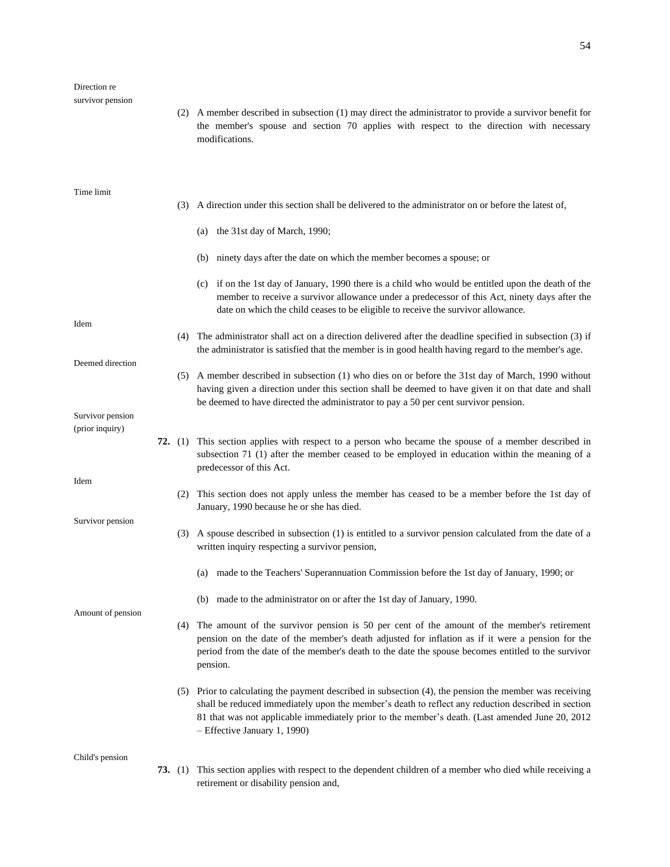(2) A member described in subsection (1) may direct the administrator to provide a survivor benefit for the member's spouse and section 70 applies with respect to the direction with necessary modifications.

- (3) A direction under this section shall be delivered to the administrator on or before the latest of,
	- (a) the 31st day of March, 1990;

predecessor of this Act.

January, 1990 because he or she has died.

- (b) ninety days after the date on which the member becomes a spouse; or
- (c) if on the 1st day of January, 1990 there is a child who would be entitled upon the death of the member to receive a survivor allowance under a predecessor of this Act, ninety days after the date on which the child ceases to be eligible to receive the survivor allowance.
- (4) The administrator shall act on a direction delivered after the deadline specified in subsection (3) if the administrator is satisfied that the member is in good health having regard to the member's age.
- (5) A member described in subsection (1) who dies on or before the 31st day of March, 1990 without having given a direction under this section shall be deemed to have given it on that date and shall be deemed to have directed the administrator to pay a 50 per cent survivor pension.

**72.** (1) This section applies with respect to a person who became the spouse of a member described in

subsection 71 (1) after the member ceased to be employed in education within the meaning of a

Survivor pension (prior inquiry)

Deemed direction

Idem

Idem

Survivor pension

Amount of pension

(3) A spouse described in subsection (1) is entitled to a survivor pension calculated from the date of a written inquiry respecting a survivor pension,

(2) This section does not apply unless the member has ceased to be a member before the 1st day of

- (a) made to the Teachers' Superannuation Commission before the 1st day of January, 1990; or
- (b) made to the administrator on or after the 1st day of January, 1990.
- (4) The amount of the survivor pension is 50 per cent of the amount of the member's retirement pension on the date of the member's death adjusted for inflation as if it were a pension for the period from the date of the member's death to the date the spouse becomes entitled to the survivor pension.
- (5) Prior to calculating the payment described in subsection (4), the pension the member was receiving shall be reduced immediately upon the member's death to reflect any reduction described in section 81 that was not applicable immediately prior to the member's death. (Last amended June 20, 2012 – Effective January 1, 1990)

Child's pension

**73.** (1) This section applies with respect to the dependent children of a member who died while receiving a retirement or disability pension and,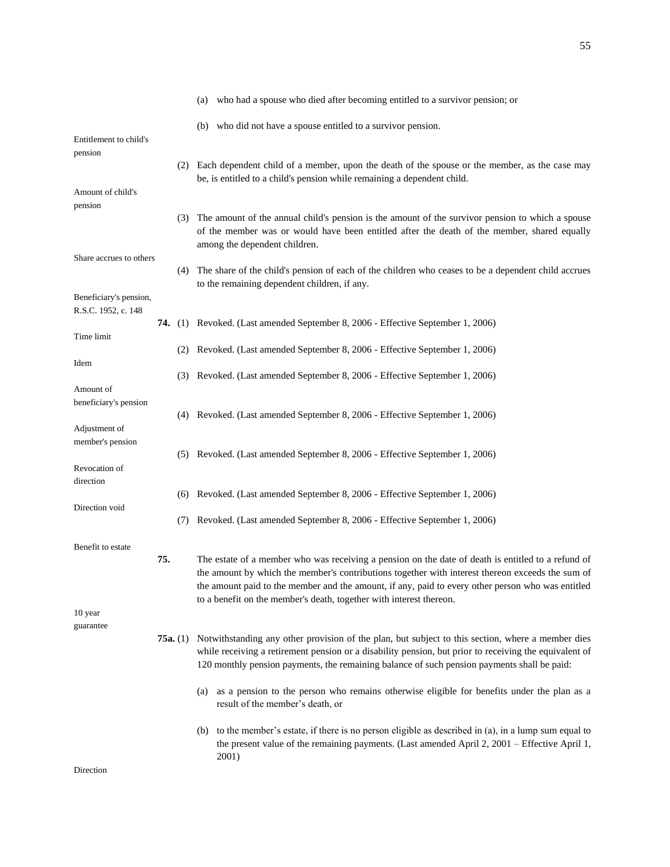|                                   |          | (a) who had a spouse who died after becoming entitled to a survivor pension; or                                                                                                                                                      |
|-----------------------------------|----------|--------------------------------------------------------------------------------------------------------------------------------------------------------------------------------------------------------------------------------------|
|                                   |          | (b) who did not have a spouse entitled to a survivor pension.                                                                                                                                                                        |
| Entitlement to child's<br>pension |          |                                                                                                                                                                                                                                      |
|                                   |          | (2) Each dependent child of a member, upon the death of the spouse or the member, as the case may<br>be, is entitled to a child's pension while remaining a dependent child.                                                         |
| Amount of child's                 |          |                                                                                                                                                                                                                                      |
| pension                           |          |                                                                                                                                                                                                                                      |
|                                   |          | (3) The amount of the annual child's pension is the amount of the survivor pension to which a spouse<br>of the member was or would have been entitled after the death of the member, shared equally<br>among the dependent children. |
| Share accrues to others           |          |                                                                                                                                                                                                                                      |
|                                   |          | (4) The share of the child's pension of each of the children who ceases to be a dependent child accrues<br>to the remaining dependent children, if any.                                                                              |
| Beneficiary's pension,            |          |                                                                                                                                                                                                                                      |
| R.S.C. 1952, c. 148               |          | <b>74.</b> (1) Revoked. (Last amended September 8, 2006 - Effective September 1, 2006)                                                                                                                                               |
| Time limit                        |          |                                                                                                                                                                                                                                      |
| Idem                              |          | (2) Revoked. (Last amended September 8, 2006 - Effective September 1, 2006)                                                                                                                                                          |
|                                   |          | (3) Revoked. (Last amended September 8, 2006 - Effective September 1, 2006)                                                                                                                                                          |
| Amount of                         |          |                                                                                                                                                                                                                                      |
| beneficiary's pension             |          | (4) Revoked. (Last amended September 8, 2006 - Effective September 1, 2006)                                                                                                                                                          |
| Adjustment of                     |          |                                                                                                                                                                                                                                      |
| member's pension                  |          | (5) Revoked. (Last amended September 8, 2006 - Effective September 1, 2006)                                                                                                                                                          |
| Revocation of                     |          |                                                                                                                                                                                                                                      |
| direction                         |          |                                                                                                                                                                                                                                      |
| Direction void                    |          | (6) Revoked. (Last amended September 8, 2006 - Effective September 1, 2006)                                                                                                                                                          |
|                                   |          | (7) Revoked. (Last amended September 8, 2006 - Effective September 1, 2006)                                                                                                                                                          |
| Benefit to estate                 |          |                                                                                                                                                                                                                                      |
|                                   | 75.      | The estate of a member who was receiving a pension on the date of death is entitled to a refund of                                                                                                                                   |
|                                   |          | the amount by which the member's contributions together with interest thereon exceeds the sum of<br>the amount paid to the member and the amount, if any, paid to every other person who was entitled                                |
|                                   |          | to a benefit on the member's death, together with interest thereon.                                                                                                                                                                  |
| 10 year                           |          |                                                                                                                                                                                                                                      |
| guarantee                         | 75a. (1) | Notwithstanding any other provision of the plan, but subject to this section, where a member dies                                                                                                                                    |
|                                   |          | while receiving a retirement pension or a disability pension, but prior to receiving the equivalent of<br>120 monthly pension payments, the remaining balance of such pension payments shall be paid:                                |
|                                   |          | (a) as a pension to the person who remains otherwise eligible for benefits under the plan as a<br>result of the member's death, or                                                                                                   |
|                                   |          | (b) to the member's estate, if there is no person eligible as described in (a), in a lump sum equal to<br>the present value of the remaining payments. (Last amended April 2, 2001 – Effective April 1,<br>2001)                     |
| Direction                         |          |                                                                                                                                                                                                                                      |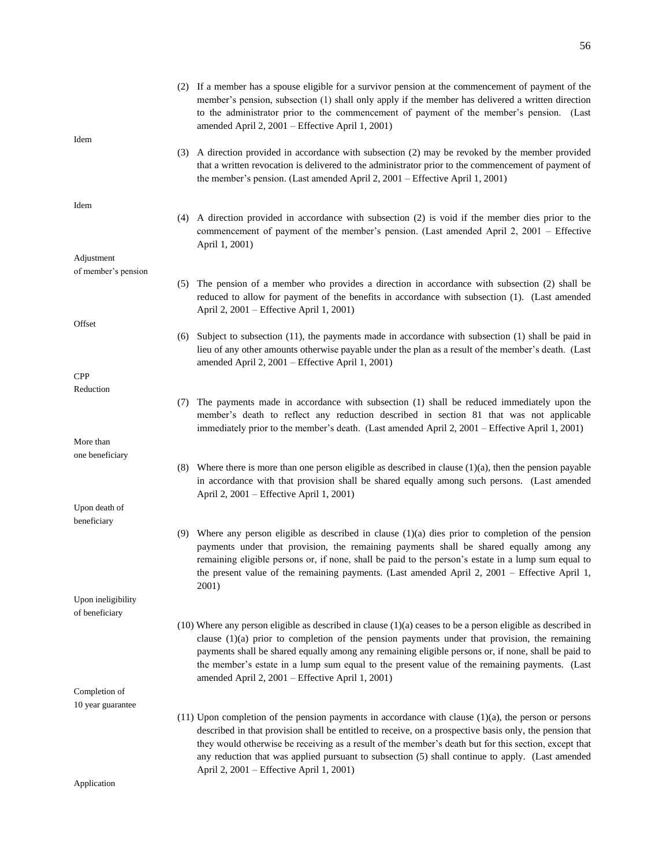|                     | (2) If a member has a spouse eligible for a survivor pension at the commencement of payment of the<br>member's pension, subsection (1) shall only apply if the member has delivered a written direction<br>to the administrator prior to the commencement of payment of the member's pension. (Last<br>amended April 2, 2001 – Effective April 1, 2001)                                                                                                                        |
|---------------------|--------------------------------------------------------------------------------------------------------------------------------------------------------------------------------------------------------------------------------------------------------------------------------------------------------------------------------------------------------------------------------------------------------------------------------------------------------------------------------|
| Idem                | (3) A direction provided in accordance with subsection (2) may be revoked by the member provided<br>that a written revocation is delivered to the administrator prior to the commencement of payment of<br>the member's pension. (Last amended April 2, 2001 – Effective April 1, 2001)                                                                                                                                                                                        |
| Idem                |                                                                                                                                                                                                                                                                                                                                                                                                                                                                                |
|                     | (4) A direction provided in accordance with subsection (2) is void if the member dies prior to the<br>commencement of payment of the member's pension. (Last amended April 2, 2001 – Effective<br>April 1, 2001)                                                                                                                                                                                                                                                               |
| Adjustment          |                                                                                                                                                                                                                                                                                                                                                                                                                                                                                |
| of member's pension |                                                                                                                                                                                                                                                                                                                                                                                                                                                                                |
|                     | The pension of a member who provides a direction in accordance with subsection (2) shall be<br>(5)<br>reduced to allow for payment of the benefits in accordance with subsection (1). (Last amended<br>April 2, 2001 – Effective April 1, 2001)                                                                                                                                                                                                                                |
| Offset              |                                                                                                                                                                                                                                                                                                                                                                                                                                                                                |
|                     | Subject to subsection $(11)$ , the payments made in accordance with subsection $(1)$ shall be paid in<br>(6)<br>lieu of any other amounts otherwise payable under the plan as a result of the member's death. (Last<br>amended April 2, 2001 - Effective April 1, 2001)                                                                                                                                                                                                        |
| <b>CPP</b>          |                                                                                                                                                                                                                                                                                                                                                                                                                                                                                |
| Reduction           |                                                                                                                                                                                                                                                                                                                                                                                                                                                                                |
|                     | The payments made in accordance with subsection (1) shall be reduced immediately upon the<br>(7)<br>member's death to reflect any reduction described in section 81 that was not applicable<br>immediately prior to the member's death. (Last amended April 2, 2001 – Effective April 1, 2001)                                                                                                                                                                                 |
| More than           |                                                                                                                                                                                                                                                                                                                                                                                                                                                                                |
| one beneficiary     | (8) Where there is more than one person eligible as described in clause $(1)(a)$ , then the pension payable<br>in accordance with that provision shall be shared equally among such persons. (Last amended<br>April 2, 2001 – Effective April 1, 2001)                                                                                                                                                                                                                         |
| Upon death of       |                                                                                                                                                                                                                                                                                                                                                                                                                                                                                |
| beneficiary         |                                                                                                                                                                                                                                                                                                                                                                                                                                                                                |
|                     | (9) Where any person eligible as described in clause $(1)(a)$ dies prior to completion of the pension<br>payments under that provision, the remaining payments shall be shared equally among any<br>remaining eligible persons or, if none, shall be paid to the person's estate in a lump sum equal to<br>the present value of the remaining payments. (Last amended April 2, 2001 – Effective April 1,<br>2001)                                                              |
| Upon ineligibility  |                                                                                                                                                                                                                                                                                                                                                                                                                                                                                |
| of beneficiary      |                                                                                                                                                                                                                                                                                                                                                                                                                                                                                |
|                     | $(10)$ Where any person eligible as described in clause $(1)(a)$ ceases to be a person eligible as described in<br>clause $(1)(a)$ prior to completion of the pension payments under that provision, the remaining<br>payments shall be shared equally among any remaining eligible persons or, if none, shall be paid to<br>the member's estate in a lump sum equal to the present value of the remaining payments. (Last<br>amended April 2, 2001 – Effective April 1, 2001) |
| Completion of       |                                                                                                                                                                                                                                                                                                                                                                                                                                                                                |
| 10 year guarantee   |                                                                                                                                                                                                                                                                                                                                                                                                                                                                                |
|                     | $(11)$ Upon completion of the pension payments in accordance with clause $(1)(a)$ , the person or persons<br>described in that provision shall be entitled to receive, on a prospective basis only, the pension that<br>they would otherwise be receiving as a result of the member's death but for this section, except that<br>any reduction that was applied pursuant to subsection (5) shall continue to apply. (Last amended<br>April 2, 2001 – Effective April 1, 2001)  |
| Application         |                                                                                                                                                                                                                                                                                                                                                                                                                                                                                |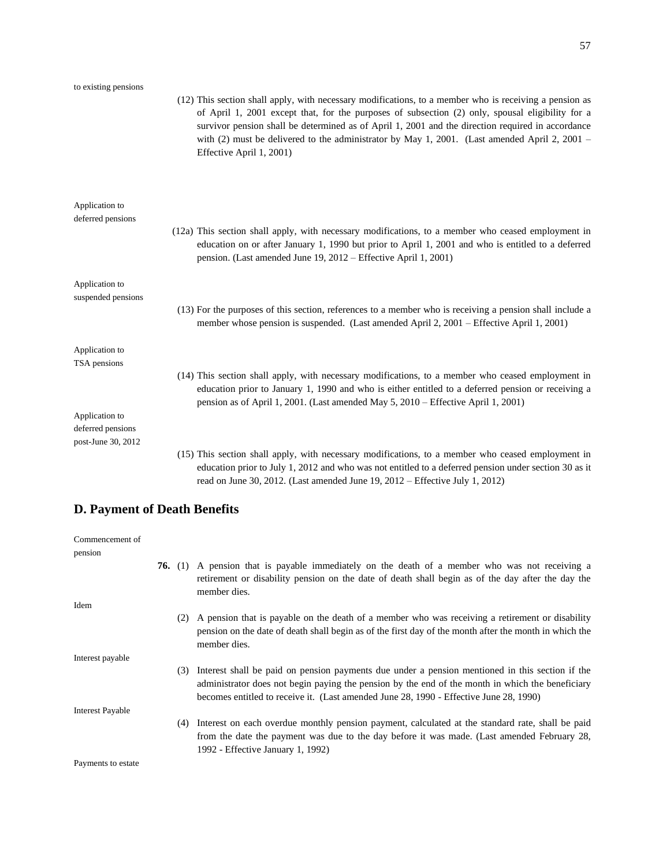| to existing pensions                                                  | (12) This section shall apply, with necessary modifications, to a member who is receiving a pension as<br>of April 1, 2001 except that, for the purposes of subsection (2) only, spousal eligibility for a<br>survivor pension shall be determined as of April 1, 2001 and the direction required in accordance<br>with (2) must be delivered to the administrator by May 1, 2001. (Last amended April 2, 2001 –<br>Effective April 1, 2001) |
|-----------------------------------------------------------------------|----------------------------------------------------------------------------------------------------------------------------------------------------------------------------------------------------------------------------------------------------------------------------------------------------------------------------------------------------------------------------------------------------------------------------------------------|
| Application to<br>deferred pensions                                   | (12a) This section shall apply, with necessary modifications, to a member who ceased employment in<br>education on or after January 1, 1990 but prior to April 1, 2001 and who is entitled to a deferred<br>pension. (Last amended June 19, 2012 – Effective April 1, 2001)                                                                                                                                                                  |
| Application to<br>suspended pensions                                  | (13) For the purposes of this section, references to a member who is receiving a pension shall include a<br>member whose pension is suspended. (Last amended April 2, 2001 – Effective April 1, 2001)                                                                                                                                                                                                                                        |
| Application to<br>TSA pensions<br>Application to<br>deferred pensions | (14) This section shall apply, with necessary modifications, to a member who ceased employment in<br>education prior to January 1, 1990 and who is either entitled to a deferred pension or receiving a<br>pension as of April 1, 2001. (Last amended May 5, 2010 – Effective April 1, 2001)                                                                                                                                                 |
| post-June 30, 2012                                                    | (15) This section shall apply, with necessary modifications, to a member who ceased employment in<br>education prior to July 1, 2012 and who was not entitled to a deferred pension under section 30 as it<br>read on June 30, 2012. (Last amended June $19$ , $2012$ – Effective July 1, 2012)                                                                                                                                              |

# **D. Payment of Death Benefits**

| Commencement of         |     |                                                                                                                                                                                                                                                                                                   |
|-------------------------|-----|---------------------------------------------------------------------------------------------------------------------------------------------------------------------------------------------------------------------------------------------------------------------------------------------------|
| pension                 |     |                                                                                                                                                                                                                                                                                                   |
|                         |     | <b>76.</b> (1) A pension that is payable immediately on the death of a member who was not receiving a<br>retirement or disability pension on the date of death shall begin as of the day after the day the<br>member dies.                                                                        |
| Idem                    |     |                                                                                                                                                                                                                                                                                                   |
|                         |     | (2) A pension that is payable on the death of a member who was receiving a retirement or disability<br>pension on the date of death shall begin as of the first day of the month after the month in which the<br>member dies.                                                                     |
| Interest payable        |     |                                                                                                                                                                                                                                                                                                   |
|                         |     | (3) Interest shall be paid on pension payments due under a pension mentioned in this section if the<br>administrator does not begin paying the pension by the end of the month in which the beneficiary<br>becomes entitled to receive it. (Last amended June 28, 1990 - Effective June 28, 1990) |
| <b>Interest Payable</b> |     |                                                                                                                                                                                                                                                                                                   |
|                         | (4) | Interest on each overdue monthly pension payment, calculated at the standard rate, shall be paid<br>from the date the payment was due to the day before it was made. (Last amended February 28,<br>1992 - Effective January 1, 1992)                                                              |
| Payments to estate      |     |                                                                                                                                                                                                                                                                                                   |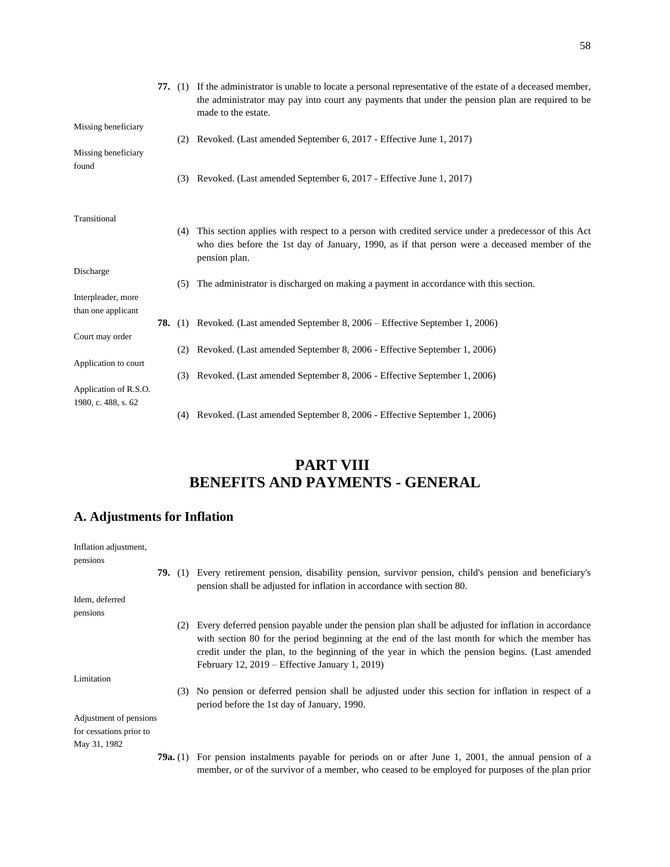|                                              |     | 77. (1) If the administrator is unable to locate a personal representative of the estate of a deceased member,<br>the administrator may pay into court any payments that under the pension plan are required to be<br>made to the estate. |
|----------------------------------------------|-----|-------------------------------------------------------------------------------------------------------------------------------------------------------------------------------------------------------------------------------------------|
| Missing beneficiary                          |     | (2) Revoked. (Last amended September 6, 2017 - Effective June 1, 2017)                                                                                                                                                                    |
| Missing beneficiary                          |     |                                                                                                                                                                                                                                           |
| found                                        | (3) | Revoked. (Last amended September 6, 2017 - Effective June 1, 2017)                                                                                                                                                                        |
| Transitional                                 |     |                                                                                                                                                                                                                                           |
|                                              | (4) | This section applies with respect to a person with credited service under a predecessor of this Act<br>who dies before the 1st day of January, 1990, as if that person were a deceased member of the<br>pension plan.                     |
| Discharge                                    |     |                                                                                                                                                                                                                                           |
| Interpleader, more                           | (5) | The administrator is discharged on making a payment in accordance with this section.                                                                                                                                                      |
| than one applicant                           |     |                                                                                                                                                                                                                                           |
|                                              |     | <b>78.</b> (1) Revoked. (Last amended September 8, 2006 – Effective September 1, 2006)                                                                                                                                                    |
| Court may order                              | (2) | Revoked. (Last amended September 8, 2006 - Effective September 1, 2006)                                                                                                                                                                   |
| Application to court                         |     |                                                                                                                                                                                                                                           |
|                                              | (3) | Revoked. (Last amended September 8, 2006 - Effective September 1, 2006)                                                                                                                                                                   |
| Application of R.S.O.<br>1980, c. 488, s. 62 |     |                                                                                                                                                                                                                                           |
|                                              |     | (4) Revoked. (Last amended September 8, 2006 - Effective September 1, 2006)                                                                                                                                                               |

# **PART VIII BENEFITS AND PAYMENTS - GENERAL**

# **A. Adjustments for Inflation**

| Inflation adjustment,   |                   |     |                                                                                                                                                                                                                                                                                                                                                                |
|-------------------------|-------------------|-----|----------------------------------------------------------------------------------------------------------------------------------------------------------------------------------------------------------------------------------------------------------------------------------------------------------------------------------------------------------------|
| pensions                |                   |     |                                                                                                                                                                                                                                                                                                                                                                |
|                         |                   |     | <b>79.</b> (1) Every retirement pension, disability pension, survivor pension, child's pension and beneficiary's<br>pension shall be adjusted for inflation in accordance with section 80.                                                                                                                                                                     |
| Idem, deferred          |                   |     |                                                                                                                                                                                                                                                                                                                                                                |
| pensions                |                   |     |                                                                                                                                                                                                                                                                                                                                                                |
|                         |                   | (2) | Every deferred pension payable under the pension plan shall be adjusted for inflation in accordance<br>with section 80 for the period beginning at the end of the last month for which the member has<br>credit under the plan, to the beginning of the year in which the pension begins. (Last amended<br>February 12, $2019$ – Effective January 1, $2019$ ) |
| Limitation              |                   |     |                                                                                                                                                                                                                                                                                                                                                                |
|                         |                   |     | (3) No pension or deferred pension shall be adjusted under this section for inflation in respect of a<br>period before the 1st day of January, 1990.                                                                                                                                                                                                           |
| Adjustment of pensions  |                   |     |                                                                                                                                                                                                                                                                                                                                                                |
| for cessations prior to |                   |     |                                                                                                                                                                                                                                                                                                                                                                |
| May 31, 1982            |                   |     |                                                                                                                                                                                                                                                                                                                                                                |
|                         | <b>79a.</b> $(1)$ |     | For pension instalments payable for periods on or after June 1, 2001, the annual pension of a<br>member, or of the survivor of a member, who ceased to be employed for purposes of the plan prior                                                                                                                                                              |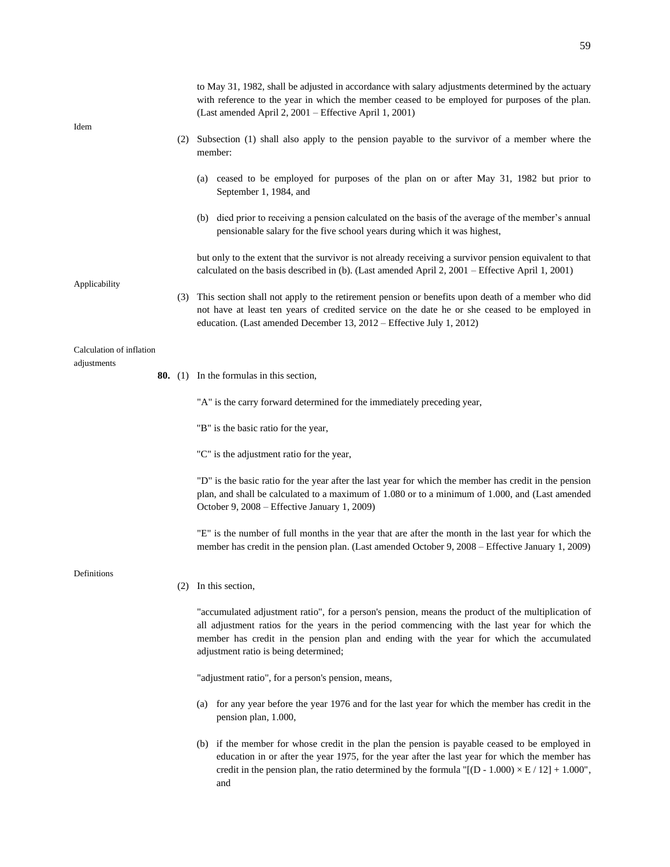|                          |     | to May 31, 1982, shall be adjusted in accordance with salary adjustments determined by the actuary<br>with reference to the year in which the member ceased to be employed for purposes of the plan.<br>(Last amended April 2, 2001 – Effective April 1, 2001)                                                                           |
|--------------------------|-----|------------------------------------------------------------------------------------------------------------------------------------------------------------------------------------------------------------------------------------------------------------------------------------------------------------------------------------------|
| Idem                     |     | (2) Subsection (1) shall also apply to the pension payable to the survivor of a member where the<br>member:                                                                                                                                                                                                                              |
|                          |     | (a) ceased to be employed for purposes of the plan on or after May 31, 1982 but prior to<br>September 1, 1984, and                                                                                                                                                                                                                       |
|                          |     | (b) died prior to receiving a pension calculated on the basis of the average of the member's annual<br>pensionable salary for the five school years during which it was highest,                                                                                                                                                         |
| Applicability            |     | but only to the extent that the survivor is not already receiving a survivor pension equivalent to that<br>calculated on the basis described in (b). (Last amended April 2, 2001 – Effective April 1, 2001)                                                                                                                              |
|                          |     | (3) This section shall not apply to the retirement pension or benefits upon death of a member who did<br>not have at least ten years of credited service on the date he or she ceased to be employed in<br>education. (Last amended December 13, 2012 – Effective July 1, 2012)                                                          |
| Calculation of inflation |     |                                                                                                                                                                                                                                                                                                                                          |
| adjustments              |     | <b>80.</b> (1) In the formulas in this section,                                                                                                                                                                                                                                                                                          |
|                          |     | "A" is the carry forward determined for the immediately preceding year,                                                                                                                                                                                                                                                                  |
|                          |     | "B" is the basic ratio for the year,                                                                                                                                                                                                                                                                                                     |
|                          |     | "C" is the adjustment ratio for the year,                                                                                                                                                                                                                                                                                                |
|                          |     | "D" is the basic ratio for the year after the last year for which the member has credit in the pension<br>plan, and shall be calculated to a maximum of 1.080 or to a minimum of 1.000, and (Last amended<br>October 9, 2008 – Effective January 1, 2009)                                                                                |
|                          |     | "E" is the number of full months in the year that are after the month in the last year for which the<br>member has credit in the pension plan. (Last amended October 9, 2008 – Effective January 1, 2009)                                                                                                                                |
| Definitions              | (2) | In this section,                                                                                                                                                                                                                                                                                                                         |
|                          |     | "accumulated adjustment ratio", for a person's pension, means the product of the multiplication of<br>all adjustment ratios for the years in the period commencing with the last year for which the<br>member has credit in the pension plan and ending with the year for which the accumulated<br>adjustment ratio is being determined; |
|                          |     | "adjustment ratio", for a person's pension, means,                                                                                                                                                                                                                                                                                       |
|                          |     | (a) for any year before the year 1976 and for the last year for which the member has credit in the<br>pension plan, 1.000,                                                                                                                                                                                                               |
|                          |     | (b) if the member for whose credit in the plan the pension is payable ceased to be employed in<br>education in or after the year 1975, for the year after the last year for which the member has<br>credit in the pension plan, the ratio determined by the formula "[(D - 1.000) $\times$ E / 12] + 1.000",<br>and                      |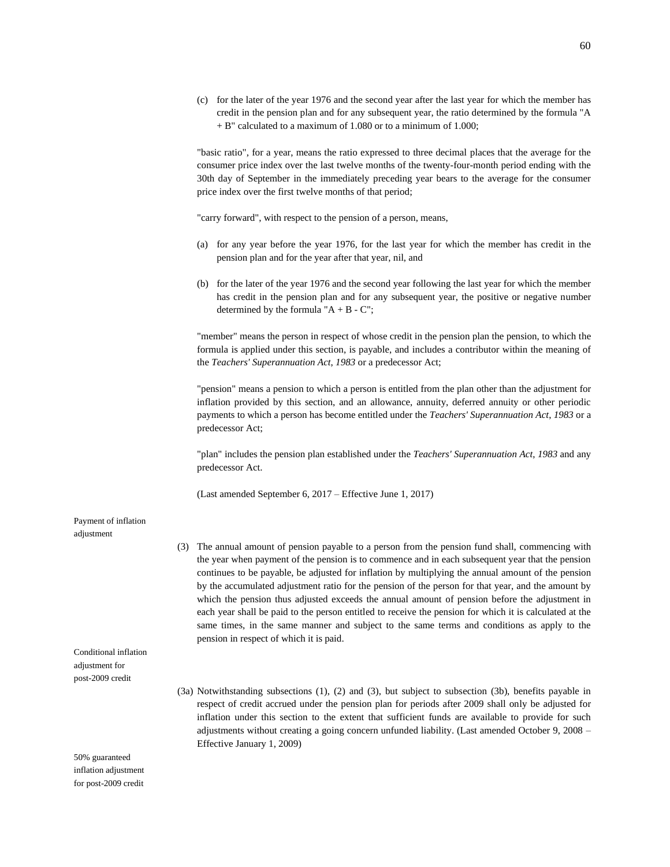(c) for the later of the year 1976 and the second year after the last year for which the member has credit in the pension plan and for any subsequent year, the ratio determined by the formula "A + B" calculated to a maximum of 1.080 or to a minimum of 1.000;

"basic ratio", for a year, means the ratio expressed to three decimal places that the average for the consumer price index over the last twelve months of the twenty-four-month period ending with the 30th day of September in the immediately preceding year bears to the average for the consumer price index over the first twelve months of that period;

"carry forward", with respect to the pension of a person, means,

- (a) for any year before the year 1976, for the last year for which the member has credit in the pension plan and for the year after that year, nil, and
- (b) for the later of the year 1976 and the second year following the last year for which the member has credit in the pension plan and for any subsequent year, the positive or negative number determined by the formula " $A + B - C$ ";

"member" means the person in respect of whose credit in the pension plan the pension, to which the formula is applied under this section, is payable, and includes a contributor within the meaning of the *Teachers' Superannuation Act*, *1983* or a predecessor Act;

"pension" means a pension to which a person is entitled from the plan other than the adjustment for inflation provided by this section, and an allowance, annuity, deferred annuity or other periodic payments to which a person has become entitled under the *Teachers' Superannuation Act*, *1983* or a predecessor Act;

"plan" includes the pension plan established under the *Teachers' Superannuation Act*, *1983* and any predecessor Act.

(Last amended September 6, 2017 – Effective June 1, 2017)

### Payment of inflation adjustment

- (3) The annual amount of pension payable to a person from the pension fund shall, commencing with the year when payment of the pension is to commence and in each subsequent year that the pension continues to be payable, be adjusted for inflation by multiplying the annual amount of the pension by the accumulated adjustment ratio for the pension of the person for that year, and the amount by which the pension thus adjusted exceeds the annual amount of pension before the adjustment in each year shall be paid to the person entitled to receive the pension for which it is calculated at the same times, in the same manner and subject to the same terms and conditions as apply to the pension in respect of which it is paid.
- (3a) Notwithstanding subsections (1), (2) and (3), but subject to subsection (3b), benefits payable in respect of credit accrued under the pension plan for periods after 2009 shall only be adjusted for inflation under this section to the extent that sufficient funds are available to provide for such adjustments without creating a going concern unfunded liability. (Last amended October 9, 2008 – Effective January 1, 2009)

50% guaranteed inflation adjustment for post-2009 credit

Conditional inflation adjustment for post-2009 credit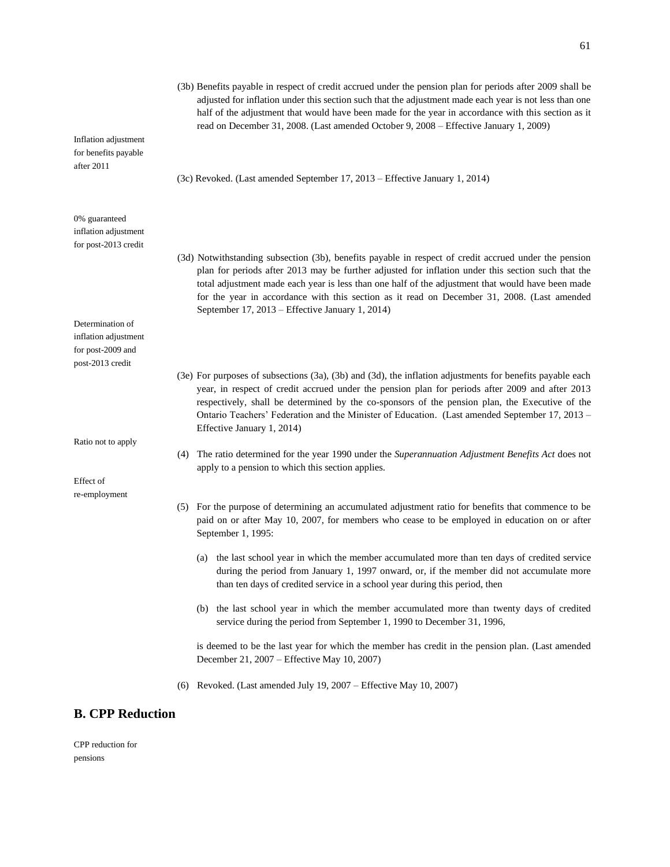|                                                               | (3b) Benefits payable in respect of credit accrued under the pension plan for periods after 2009 shall be<br>adjusted for inflation under this section such that the adjustment made each year is not less than one<br>half of the adjustment that would have been made for the year in accordance with this section as it<br>read on December 31, 2008. (Last amended October 9, 2008 - Effective January 1, 2009)                                                |
|---------------------------------------------------------------|--------------------------------------------------------------------------------------------------------------------------------------------------------------------------------------------------------------------------------------------------------------------------------------------------------------------------------------------------------------------------------------------------------------------------------------------------------------------|
| Inflation adjustment<br>for benefits payable<br>after 2011    |                                                                                                                                                                                                                                                                                                                                                                                                                                                                    |
|                                                               | (3c) Revoked. (Last amended September 17, 2013 – Effective January 1, 2014)                                                                                                                                                                                                                                                                                                                                                                                        |
| 0% guaranteed<br>inflation adjustment<br>for post-2013 credit |                                                                                                                                                                                                                                                                                                                                                                                                                                                                    |
|                                                               | (3d) Notwithstanding subsection (3b), benefits payable in respect of credit accrued under the pension<br>plan for periods after 2013 may be further adjusted for inflation under this section such that the<br>total adjustment made each year is less than one half of the adjustment that would have been made<br>for the year in accordance with this section as it read on December 31, 2008. (Last amended<br>September 17, 2013 – Effective January 1, 2014) |
| Determination of                                              |                                                                                                                                                                                                                                                                                                                                                                                                                                                                    |
| inflation adjustment                                          |                                                                                                                                                                                                                                                                                                                                                                                                                                                                    |
| for post-2009 and<br>post-2013 credit                         |                                                                                                                                                                                                                                                                                                                                                                                                                                                                    |
|                                                               | (3e) For purposes of subsections (3a), (3b) and (3d), the inflation adjustments for benefits payable each<br>year, in respect of credit accrued under the pension plan for periods after 2009 and after 2013<br>respectively, shall be determined by the co-sponsors of the pension plan, the Executive of the<br>Ontario Teachers' Federation and the Minister of Education. (Last amended September 17, 2013 -<br>Effective January 1, 2014)                     |
| Ratio not to apply<br>(4)                                     | The ratio determined for the year 1990 under the Superannuation Adjustment Benefits Act does not<br>apply to a pension to which this section applies.                                                                                                                                                                                                                                                                                                              |
| Effect of                                                     |                                                                                                                                                                                                                                                                                                                                                                                                                                                                    |
| re-employment                                                 | (5) For the purpose of determining an accumulated adjustment ratio for benefits that commence to be<br>paid on or after May 10, 2007, for members who cease to be employed in education on or after<br>September 1, 1995:                                                                                                                                                                                                                                          |
|                                                               | (a) the last school year in which the member accumulated more than ten days of credited service<br>during the period from January 1, 1997 onward, or, if the member did not accumulate more<br>than ten days of credited service in a school year during this period, then                                                                                                                                                                                         |
|                                                               | (b) the last school year in which the member accumulated more than twenty days of credited<br>service during the period from September 1, 1990 to December 31, 1996,                                                                                                                                                                                                                                                                                               |
|                                                               | is deemed to be the last year for which the member has credit in the pension plan. (Last amended<br>December 21, 2007 - Effective May 10, 2007)                                                                                                                                                                                                                                                                                                                    |
| (6)                                                           | Revoked. (Last amended July 19, 2007 – Effective May 10, 2007)                                                                                                                                                                                                                                                                                                                                                                                                     |
| <b>B. CPP Reduction</b>                                       |                                                                                                                                                                                                                                                                                                                                                                                                                                                                    |

CPP reduction for pensions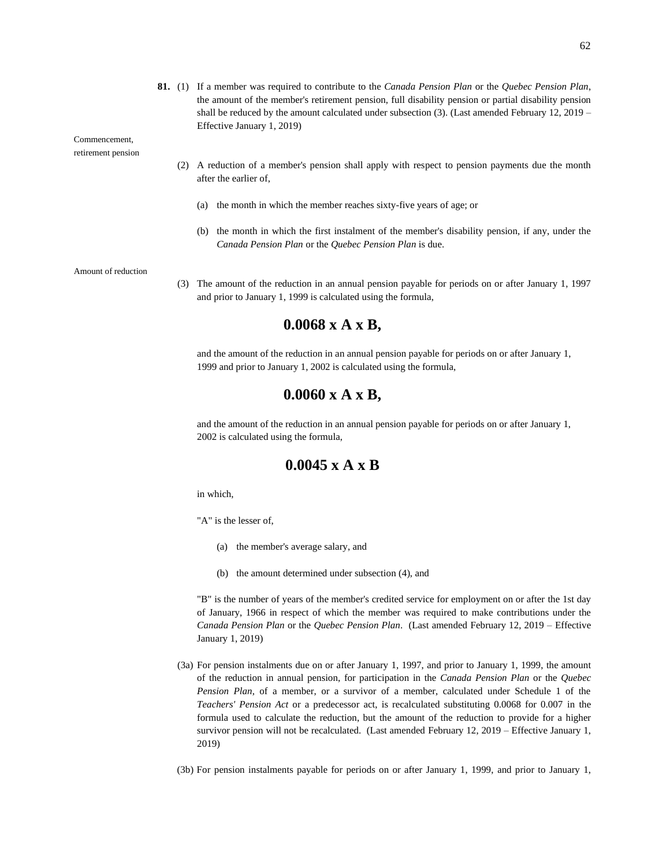Commencement,

retirement pension

- (2) A reduction of a member's pension shall apply with respect to pension payments due the month after the earlier of,
	- (a) the month in which the member reaches sixty-five years of age; or
	- (b) the month in which the first instalment of the member's disability pension, if any, under the *Canada Pension Plan* or the *Quebec Pension Plan* is due.

Amount of reduction

(3) The amount of the reduction in an annual pension payable for periods on or after January 1, 1997 and prior to January 1, 1999 is calculated using the formula,

### **0.0068 x A x B,**

and the amount of the reduction in an annual pension payable for periods on or after January 1, 1999 and prior to January 1, 2002 is calculated using the formula,

### **0.0060 x A x B,**

and the amount of the reduction in an annual pension payable for periods on or after January 1, 2002 is calculated using the formula,

### **0.0045 x A x B**

in which,

"A" is the lesser of,

- (a) the member's average salary, and
- (b) the amount determined under subsection (4), and

"B" is the number of years of the member's credited service for employment on or after the 1st day of January, 1966 in respect of which the member was required to make contributions under the *Canada Pension Plan* or the *Quebec Pension Plan*. (Last amended February 12, 2019 – Effective January 1, 2019)

- (3a) For pension instalments due on or after January 1, 1997, and prior to January 1, 1999, the amount of the reduction in annual pension, for participation in the *Canada Pension Plan* or the *Quebec Pension Plan*, of a member, or a survivor of a member, calculated under Schedule 1 of the *Teachers' Pension Act* or a predecessor act, is recalculated substituting 0.0068 for 0.007 in the formula used to calculate the reduction, but the amount of the reduction to provide for a higher survivor pension will not be recalculated. (Last amended February 12, 2019 – Effective January 1, 2019)
- (3b) For pension instalments payable for periods on or after January 1, 1999, and prior to January 1,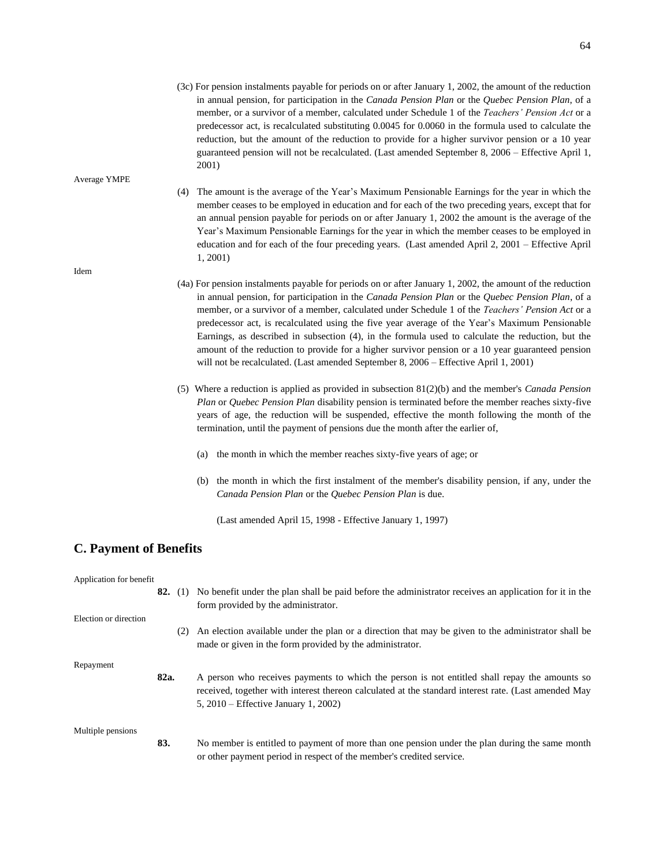- (4) The amount is the average of the Year's Maximum Pensionable Earnings for the year in which the member ceases to be employed in education and for each of the two preceding years, except that for an annual pension payable for periods on or after January 1, 2002 the amount is the average of the Year's Maximum Pensionable Earnings for the year in which the member ceases to be employed in education and for each of the four preceding years. (Last amended April 2, 2001 – Effective April 1, 2001)
- (4a) For pension instalments payable for periods on or after January 1, 2002, the amount of the reduction in annual pension, for participation in the *Canada Pension Plan* or the *Quebec Pension Plan*, of a member, or a survivor of a member, calculated under Schedule 1 of the *Teachers' Pension Act* or a predecessor act, is recalculated using the five year average of the Year's Maximum Pensionable Earnings, as described in subsection (4), in the formula used to calculate the reduction, but the amount of the reduction to provide for a higher survivor pension or a 10 year guaranteed pension will not be recalculated. (Last amended September 8, 2006 – Effective April 1, 2001)
- (5) Where a reduction is applied as provided in subsection 81(2)(b) and the member's *Canada Pension Plan* or *Quebec Pension Plan* disability pension is terminated before the member reaches sixty-five years of age, the reduction will be suspended, effective the month following the month of the termination, until the payment of pensions due the month after the earlier of,
	- (a) the month in which the member reaches sixty-five years of age; or
	- (b) the month in which the first instalment of the member's disability pension, if any, under the *Canada Pension Plan* or the *Quebec Pension Plan* is due.

(Last amended April 15, 1998 - Effective January 1, 1997)

### **C. Payment of Benefits**

| Application for benefit |      |     |                                                                                                                                                                                                                                                    |
|-------------------------|------|-----|----------------------------------------------------------------------------------------------------------------------------------------------------------------------------------------------------------------------------------------------------|
|                         |      |     | 82. (1) No benefit under the plan shall be paid before the administrator receives an application for it in the<br>form provided by the administrator.                                                                                              |
| Election or direction   |      |     |                                                                                                                                                                                                                                                    |
|                         |      | (2) | An election available under the plan or a direction that may be given to the administrator shall be<br>made or given in the form provided by the administrator.                                                                                    |
| Repayment               |      |     |                                                                                                                                                                                                                                                    |
|                         | 82a. |     | A person who receives payments to which the person is not entitled shall repay the amounts so<br>received, together with interest thereon calculated at the standard interest rate. (Last amended May<br>5, $2010$ – Effective January 1, $2002$ ) |
| Multiple pensions       |      |     |                                                                                                                                                                                                                                                    |
|                         | 83.  |     | No member is entitled to payment of more than one pension under the plan during the same month<br>or other payment period in respect of the member's credited service.                                                                             |

### Idem

Average YMPE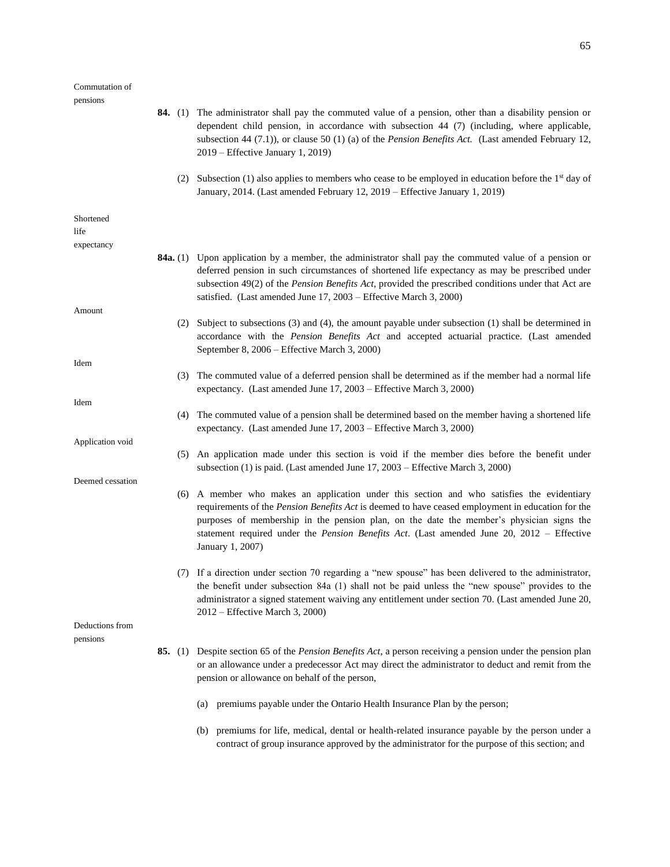### Commutation of

65

pensions **84.** (1) The administrator shall pay the commuted value of a pension, other than a disability pension or dependent child pension, in accordance with subsection 44 (7) (including, where applicable, subsection 44 (7.1)), or clause 50 (1) (a) of the *Pension Benefits Act.* (Last amended February 12, 2019 – Effective January 1, 2019) (2) Subsection (1) also applies to members who cease to be employed in education before the  $1<sup>st</sup>$  day of January, 2014. (Last amended February 12, 2019 – Effective January 1, 2019) Shortened life expectancy **84a.** (1) Upon application by a member, the administrator shall pay the commuted value of a pension or deferred pension in such circumstances of shortened life expectancy as may be prescribed under subsection 49(2) of the *Pension Benefits Act*, provided the prescribed conditions under that Act are satisfied. (Last amended June 17, 2003 – Effective March 3, 2000) Amount (2) Subject to subsections (3) and (4), the amount payable under subsection (1) shall be determined in accordance with the *Pension Benefits Act* and accepted actuarial practice. (Last amended September 8, 2006 – Effective March 3, 2000) Idem (3) The commuted value of a deferred pension shall be determined as if the member had a normal life expectancy. (Last amended June 17, 2003 – Effective March 3, 2000) Idem (4) The commuted value of a pension shall be determined based on the member having a shortened life expectancy. (Last amended June 17, 2003 – Effective March 3, 2000) Application void (5) An application made under this section is void if the member dies before the benefit under subsection (1) is paid. (Last amended June 17, 2003 – Effective March 3, 2000) Deemed cessation (6) A member who makes an application under this section and who satisfies the evidentiary requirements of the *Pension Benefits Act* is deemed to have ceased employment in education for the purposes of membership in the pension plan, on the date the member's physician signs the statement required under the *Pension Benefits Act*. (Last amended June 20, 2012 – Effective January 1, 2007) (7) If a direction under section 70 regarding a "new spouse" has been delivered to the administrator, the benefit under subsection 84a (1) shall not be paid unless the "new spouse" provides to the administrator a signed statement waiving any entitlement under section 70. (Last amended June 20, 2012 – Effective March 3, 2000) Deductions from pensions **85.** (1) Despite section 65 of the *Pension Benefits Act*, a person receiving a pension under the pension plan or an allowance under a predecessor Act may direct the administrator to deduct and remit from the pension or allowance on behalf of the person, (a) premiums payable under the Ontario Health Insurance Plan by the person;

(b) premiums for life, medical, dental or health-related insurance payable by the person under a contract of group insurance approved by the administrator for the purpose of this section; and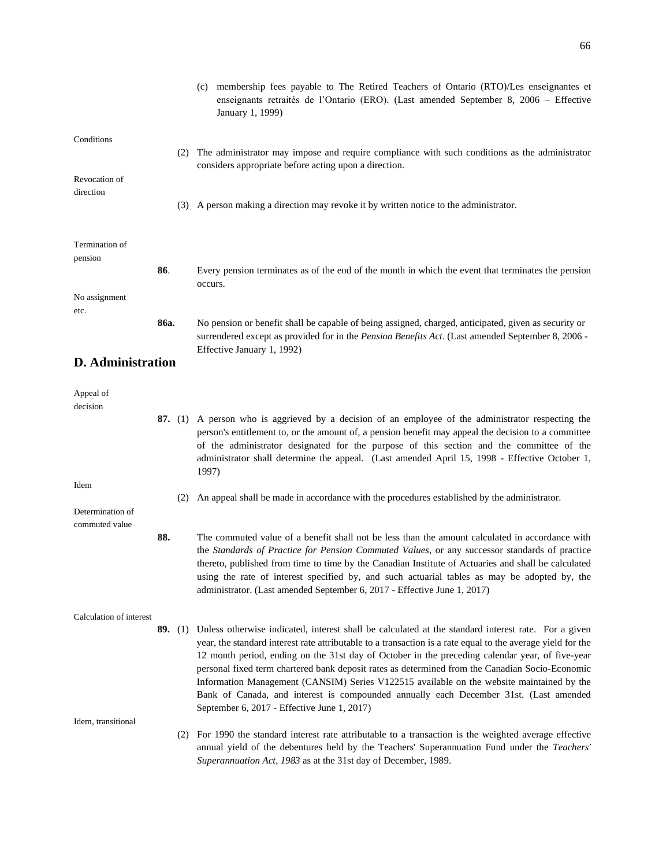|                           |      | (c) membership fees payable to The Retired Teachers of Ontario (RTO)/Les enseignantes et<br>enseignants retraités de l'Ontario (ERO). (Last amended September 8, 2006 – Effective<br>January 1, 1999)                                                                           |
|---------------------------|------|---------------------------------------------------------------------------------------------------------------------------------------------------------------------------------------------------------------------------------------------------------------------------------|
| Conditions                |      |                                                                                                                                                                                                                                                                                 |
|                           |      | (2) The administrator may impose and require compliance with such conditions as the administrator                                                                                                                                                                               |
| Revocation of             |      | considers appropriate before acting upon a direction.                                                                                                                                                                                                                           |
| direction                 |      |                                                                                                                                                                                                                                                                                 |
|                           |      | (3) A person making a direction may revoke it by written notice to the administrator.                                                                                                                                                                                           |
|                           |      |                                                                                                                                                                                                                                                                                 |
| Termination of<br>pension |      |                                                                                                                                                                                                                                                                                 |
|                           | 86.  | Every pension terminates as of the end of the month in which the event that terminates the pension<br>occurs.                                                                                                                                                                   |
| No assignment             |      |                                                                                                                                                                                                                                                                                 |
| etc.                      | 86a. | No pension or benefit shall be capable of being assigned, charged, anticipated, given as security or                                                                                                                                                                            |
|                           |      | surrendered except as provided for in the Pension Benefits Act. (Last amended September 8, 2006 -                                                                                                                                                                               |
| <b>D.</b> Administration  |      | Effective January 1, 1992)                                                                                                                                                                                                                                                      |
|                           |      |                                                                                                                                                                                                                                                                                 |
| Appeal of<br>decision     |      |                                                                                                                                                                                                                                                                                 |
|                           |      | 87. (1) A person who is aggrieved by a decision of an employee of the administrator respecting the                                                                                                                                                                              |
|                           |      | person's entitlement to, or the amount of, a pension benefit may appeal the decision to a committee<br>of the administrator designated for the purpose of this section and the committee of the                                                                                 |
|                           |      | administrator shall determine the appeal. (Last amended April 15, 1998 - Effective October 1,                                                                                                                                                                                   |
| Idem                      |      | 1997)                                                                                                                                                                                                                                                                           |
|                           | (2)  | An appeal shall be made in accordance with the procedures established by the administrator.                                                                                                                                                                                     |
| Determination of          |      |                                                                                                                                                                                                                                                                                 |
| commuted value            | 88.  | The commuted value of a benefit shall not be less than the amount calculated in accordance with<br>the Standards of Practice for Pension Commuted Values, or any successor standards of practice                                                                                |
|                           |      | thereto, published from time to time by the Canadian Institute of Actuaries and shall be calculated<br>using the rate of interest specified by, and such actuarial tables as may be adopted by, the<br>administrator. (Last amended September 6, 2017 - Effective June 1, 2017) |
|                           |      |                                                                                                                                                                                                                                                                                 |

Calculation of interest

Idem, transitional

**89.** (1) Unless otherwise indicated, interest shall be calculated at the standard interest rate. For a given year, the standard interest rate attributable to a transaction is a rate equal to the average yield for the 12 month period, ending on the 31st day of October in the preceding calendar year, of five-year personal fixed term chartered bank deposit rates as determined from the Canadian Socio-Economic Information Management (CANSIM) Series V122515 available on the website maintained by the Bank of Canada, and interest is compounded annually each December 31st. (Last amended September 6, 2017 - Effective June 1, 2017)

(2) For 1990 the standard interest rate attributable to a transaction is the weighted average effective annual yield of the debentures held by the Teachers' Superannuation Fund under the *Teachers' Superannuation Act*, *1983* as at the 31st day of December, 1989.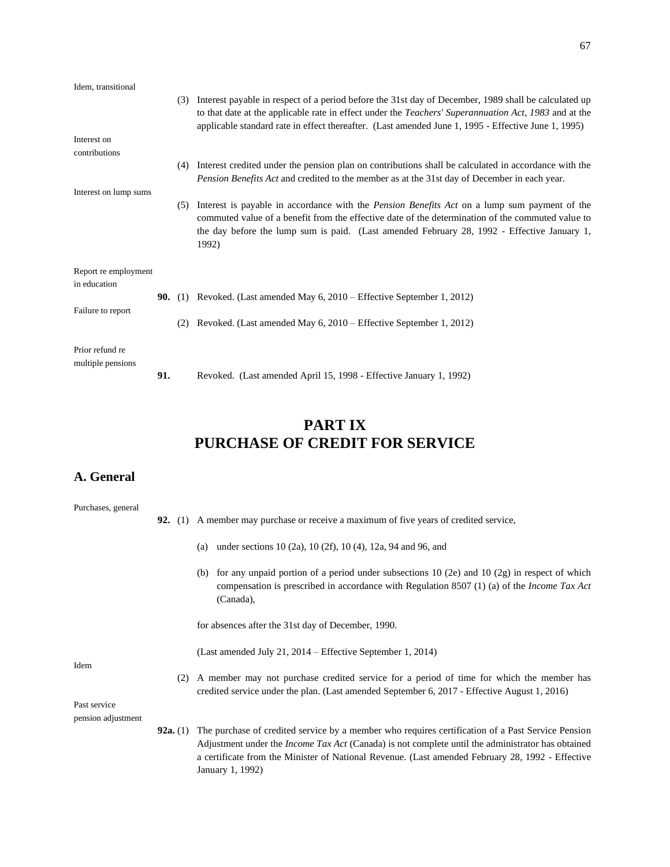| Idem, transitional                   |     |                |                                                                                                                                                                                                                                                                                                                                 |
|--------------------------------------|-----|----------------|---------------------------------------------------------------------------------------------------------------------------------------------------------------------------------------------------------------------------------------------------------------------------------------------------------------------------------|
|                                      |     |                | (3) Interest payable in respect of a period before the 31st day of December, 1989 shall be calculated up<br>to that date at the applicable rate in effect under the <i>Teachers' Superannuation Act, 1983</i> and at the<br>applicable standard rate in effect thereafter. (Last amended June 1, 1995 - Effective June 1, 1995) |
| Interest on                          |     |                |                                                                                                                                                                                                                                                                                                                                 |
| contributions                        |     |                |                                                                                                                                                                                                                                                                                                                                 |
|                                      |     | (4)            | Interest credited under the pension plan on contributions shall be calculated in accordance with the<br>Pension Benefits Act and credited to the member as at the 31st day of December in each year.                                                                                                                            |
| Interest on lump sums                |     |                |                                                                                                                                                                                                                                                                                                                                 |
|                                      |     | (5)            | Interest is payable in accordance with the <i>Pension Benefits Act</i> on a lump sum payment of the<br>commuted value of a benefit from the effective date of the determination of the commuted value to<br>the day before the lump sum is paid. (Last amended February 28, 1992 - Effective January 1,<br>1992)                |
| Report re employment                 |     |                |                                                                                                                                                                                                                                                                                                                                 |
| in education                         |     |                |                                                                                                                                                                                                                                                                                                                                 |
|                                      |     | <b>90.</b> (1) | Revoked. (Last amended May 6, 2010 – Effective September 1, 2012)                                                                                                                                                                                                                                                               |
| Failure to report                    |     |                |                                                                                                                                                                                                                                                                                                                                 |
|                                      |     | (2)            | Revoked. (Last amended May 6, 2010 – Effective September 1, 2012)                                                                                                                                                                                                                                                               |
| Prior refund re<br>multiple pensions |     |                |                                                                                                                                                                                                                                                                                                                                 |
|                                      | 91. |                | Revoked. (Last amended April 15, 1998 - Effective January 1, 1992)                                                                                                                                                                                                                                                              |

# **PART IX PURCHASE OF CREDIT FOR SERVICE**

## **A. General**

| Purchases, general |                 |                                                                                                                                                                                                                                                                                                                                       |
|--------------------|-----------------|---------------------------------------------------------------------------------------------------------------------------------------------------------------------------------------------------------------------------------------------------------------------------------------------------------------------------------------|
|                    |                 | <b>92.</b> (1) A member may purchase or receive a maximum of five years of credited service,                                                                                                                                                                                                                                          |
|                    |                 | under sections 10 (2a), 10 (2f), 10 (4), 12a, 94 and 96, and<br>(a)                                                                                                                                                                                                                                                                   |
|                    |                 | for any unpaid portion of a period under subsections $10$ (2e) and $10$ (2g) in respect of which<br>(b)<br>compensation is prescribed in accordance with Regulation 8507 (1) (a) of the <i>Income Tax Act</i><br>(Canada),                                                                                                            |
|                    |                 | for absences after the 31st day of December, 1990.                                                                                                                                                                                                                                                                                    |
| Idem               |                 | (Last amended July 21, 2014 – Effective September 1, 2014)                                                                                                                                                                                                                                                                            |
|                    | (2)             | A member may not purchase credited service for a period of time for which the member has<br>credited service under the plan. (Last amended September 6, 2017 - Effective August 1, 2016)                                                                                                                                              |
| Past service       |                 |                                                                                                                                                                                                                                                                                                                                       |
| pension adjustment |                 |                                                                                                                                                                                                                                                                                                                                       |
|                    | <b>92a.</b> (1) | The purchase of credited service by a member who requires certification of a Past Service Pension<br>Adjustment under the <i>Income Tax Act</i> (Canada) is not complete until the administrator has obtained<br>a certificate from the Minister of National Revenue. (Last amended February 28, 1992 - Effective<br>January 1, 1992) |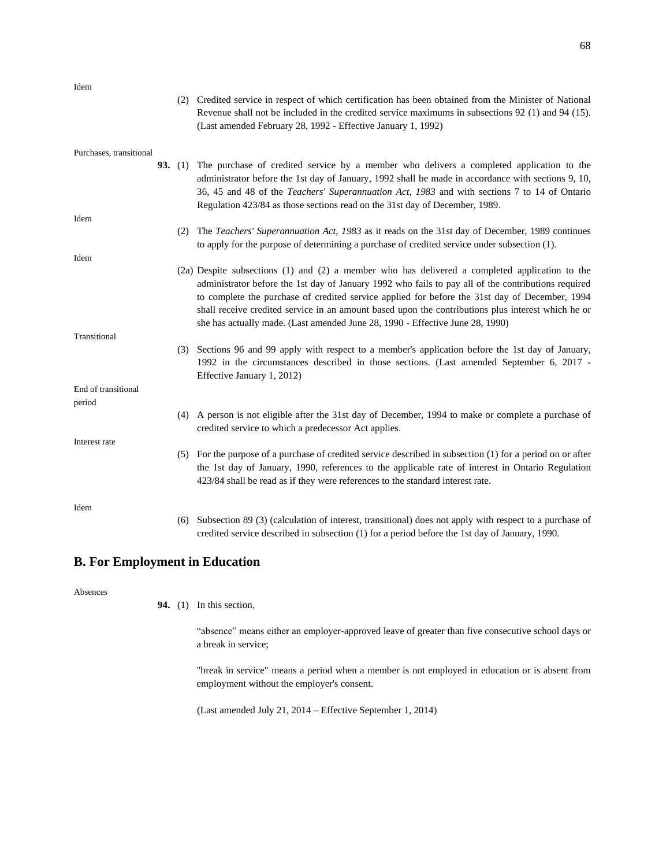Idem

| юеш                     | (2) Credited service in respect of which certification has been obtained from the Minister of National<br>Revenue shall not be included in the credited service maximums in subsections 92 (1) and 94 (15).<br>(Last amended February 28, 1992 - Effective January 1, 1992)                                                                                                                                                                                                                    |
|-------------------------|------------------------------------------------------------------------------------------------------------------------------------------------------------------------------------------------------------------------------------------------------------------------------------------------------------------------------------------------------------------------------------------------------------------------------------------------------------------------------------------------|
| Purchases, transitional | 93. (1) The purchase of credited service by a member who delivers a completed application to the<br>administrator before the 1st day of January, 1992 shall be made in accordance with sections 9, 10,<br>36, 45 and 48 of the Teachers' Superannuation Act, 1983 and with sections 7 to 14 of Ontario<br>Regulation 423/84 as those sections read on the 31st day of December, 1989.                                                                                                          |
| Idem                    |                                                                                                                                                                                                                                                                                                                                                                                                                                                                                                |
|                         | The Teachers' Superannuation Act, 1983 as it reads on the 31st day of December, 1989 continues<br>(2)<br>to apply for the purpose of determining a purchase of credited service under subsection (1).                                                                                                                                                                                                                                                                                          |
| Idem                    |                                                                                                                                                                                                                                                                                                                                                                                                                                                                                                |
|                         | (2a) Despite subsections (1) and (2) a member who has delivered a completed application to the<br>administrator before the 1st day of January 1992 who fails to pay all of the contributions required<br>to complete the purchase of credited service applied for before the 31st day of December, 1994<br>shall receive credited service in an amount based upon the contributions plus interest which he or<br>she has actually made. (Last amended June 28, 1990 - Effective June 28, 1990) |
| Transitional            |                                                                                                                                                                                                                                                                                                                                                                                                                                                                                                |
|                         | (3) Sections 96 and 99 apply with respect to a member's application before the 1st day of January,<br>1992 in the circumstances described in those sections. (Last amended September 6, 2017 -<br>Effective January 1, 2012)                                                                                                                                                                                                                                                                   |
| End of transitional     |                                                                                                                                                                                                                                                                                                                                                                                                                                                                                                |
| period                  |                                                                                                                                                                                                                                                                                                                                                                                                                                                                                                |
|                         | (4) A person is not eligible after the 31st day of December, 1994 to make or complete a purchase of<br>credited service to which a predecessor Act applies.                                                                                                                                                                                                                                                                                                                                    |
| Interest rate           |                                                                                                                                                                                                                                                                                                                                                                                                                                                                                                |
|                         | (5) For the purpose of a purchase of credited service described in subsection (1) for a period on or after<br>the 1st day of January, 1990, references to the applicable rate of interest in Ontario Regulation<br>423/84 shall be read as if they were references to the standard interest rate.                                                                                                                                                                                              |
| Idem                    |                                                                                                                                                                                                                                                                                                                                                                                                                                                                                                |
|                         | Subsection 89 (3) (calculation of interest, transitional) does not apply with respect to a purchase of<br>(6)<br>credited service described in subsection (1) for a period before the 1st day of January, 1990.                                                                                                                                                                                                                                                                                |

## **B. For Employment in Education**

Absences

**94.** (1) In this section,

"absence" means either an employer-approved leave of greater than five consecutive school days or a break in service;

"break in service" means a period when a member is not employed in education or is absent from employment without the employer's consent.

(Last amended July 21, 2014 – Effective September 1, 2014)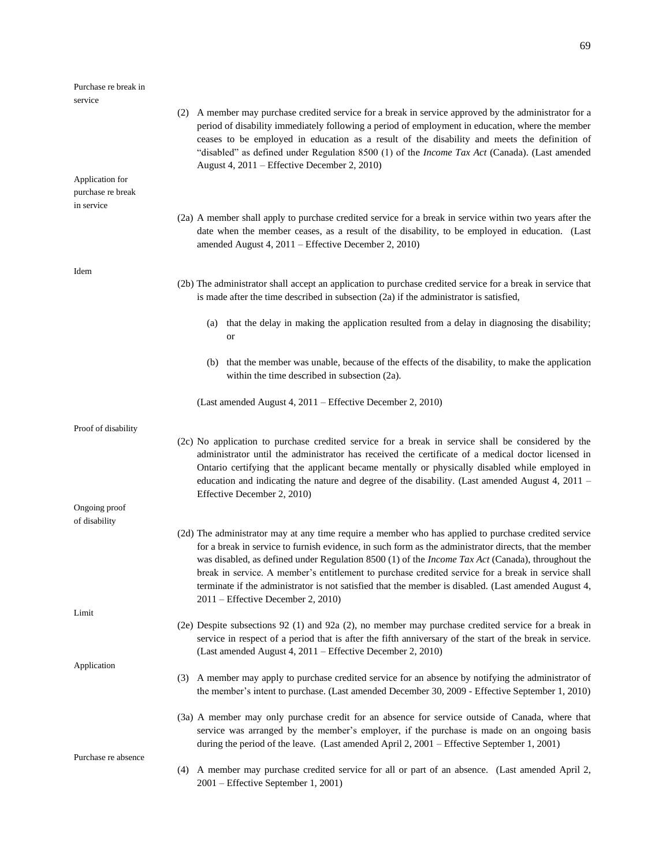| Purchase re break in                 |                                                                                                                                                                                                                                                                                                                                                                                                                                                                                                                                                                                |
|--------------------------------------|--------------------------------------------------------------------------------------------------------------------------------------------------------------------------------------------------------------------------------------------------------------------------------------------------------------------------------------------------------------------------------------------------------------------------------------------------------------------------------------------------------------------------------------------------------------------------------|
| service                              |                                                                                                                                                                                                                                                                                                                                                                                                                                                                                                                                                                                |
|                                      | (2) A member may purchase credited service for a break in service approved by the administrator for a<br>period of disability immediately following a period of employment in education, where the member<br>ceases to be employed in education as a result of the disability and meets the definition of<br>"disabled" as defined under Regulation 8500 (1) of the <i>Income Tax Act</i> (Canada). (Last amended<br>August 4, 2011 – Effective December 2, 2010)                                                                                                              |
| Application for<br>purchase re break |                                                                                                                                                                                                                                                                                                                                                                                                                                                                                                                                                                                |
| in service                           |                                                                                                                                                                                                                                                                                                                                                                                                                                                                                                                                                                                |
|                                      | (2a) A member shall apply to purchase credited service for a break in service within two years after the<br>date when the member ceases, as a result of the disability, to be employed in education. (Last<br>amended August 4, 2011 – Effective December 2, 2010)                                                                                                                                                                                                                                                                                                             |
| Idem                                 |                                                                                                                                                                                                                                                                                                                                                                                                                                                                                                                                                                                |
|                                      | (2b) The administrator shall accept an application to purchase credited service for a break in service that<br>is made after the time described in subsection $(2a)$ if the administrator is satisfied,                                                                                                                                                                                                                                                                                                                                                                        |
|                                      | (a) that the delay in making the application resulted from a delay in diagnosing the disability;<br>or                                                                                                                                                                                                                                                                                                                                                                                                                                                                         |
|                                      | (b) that the member was unable, because of the effects of the disability, to make the application<br>within the time described in subsection (2a).                                                                                                                                                                                                                                                                                                                                                                                                                             |
|                                      | (Last amended August 4, 2011 – Effective December 2, 2010)                                                                                                                                                                                                                                                                                                                                                                                                                                                                                                                     |
| Proof of disability                  |                                                                                                                                                                                                                                                                                                                                                                                                                                                                                                                                                                                |
|                                      | (2c) No application to purchase credited service for a break in service shall be considered by the<br>administrator until the administrator has received the certificate of a medical doctor licensed in<br>Ontario certifying that the applicant became mentally or physically disabled while employed in<br>education and indicating the nature and degree of the disability. (Last amended August 4, 2011 –<br>Effective December 2, 2010)                                                                                                                                  |
| Ongoing proof<br>of disability       |                                                                                                                                                                                                                                                                                                                                                                                                                                                                                                                                                                                |
|                                      | (2d) The administrator may at any time require a member who has applied to purchase credited service<br>for a break in service to furnish evidence, in such form as the administrator directs, that the member<br>was disabled, as defined under Regulation 8500 (1) of the <i>Income Tax Act</i> (Canada), throughout the<br>break in service. A member's entitlement to purchase credited service for a break in service shall<br>terminate if the administrator is not satisfied that the member is disabled. (Last amended August 4,<br>2011 – Effective December 2, 2010) |
| Limit                                |                                                                                                                                                                                                                                                                                                                                                                                                                                                                                                                                                                                |
|                                      | (2e) Despite subsections 92 (1) and 92a (2), no member may purchase credited service for a break in<br>service in respect of a period that is after the fifth anniversary of the start of the break in service.<br>(Last amended August 4, 2011 – Effective December 2, 2010)                                                                                                                                                                                                                                                                                                  |
| Application                          |                                                                                                                                                                                                                                                                                                                                                                                                                                                                                                                                                                                |
|                                      | (3) A member may apply to purchase credited service for an absence by notifying the administrator of<br>the member's intent to purchase. (Last amended December 30, 2009 - Effective September 1, 2010)                                                                                                                                                                                                                                                                                                                                                                        |
|                                      | (3a) A member may only purchase credit for an absence for service outside of Canada, where that<br>service was arranged by the member's employer, if the purchase is made on an ongoing basis<br>during the period of the leave. (Last amended April 2, 2001 – Effective September 1, 2001)                                                                                                                                                                                                                                                                                    |
| Purchase re absence<br>(4)           | A member may purchase credited service for all or part of an absence. (Last amended April 2,<br>2001 - Effective September 1, 2001)                                                                                                                                                                                                                                                                                                                                                                                                                                            |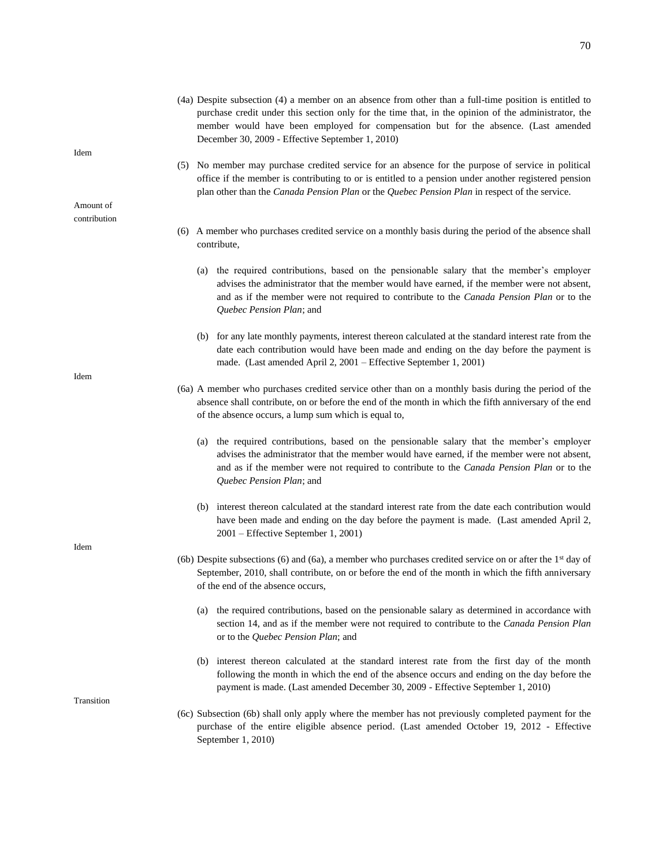- (5) No member may purchase credited service for an absence for the purpose of service in political office if the member is contributing to or is entitled to a pension under another registered pension plan other than the *Canada Pension Plan* or the *Quebec Pension Plan* in respect of the service.
- (6) A member who purchases credited service on a monthly basis during the period of the absence shall contribute,
	- (a) the required contributions, based on the pensionable salary that the member's employer advises the administrator that the member would have earned, if the member were not absent, and as if the member were not required to contribute to the *Canada Pension Plan* or to the *Quebec Pension Plan*; and
	- (b) for any late monthly payments, interest thereon calculated at the standard interest rate from the date each contribution would have been made and ending on the day before the payment is made. (Last amended April 2, 2001 – Effective September 1, 2001)
- (6a) A member who purchases credited service other than on a monthly basis during the period of the absence shall contribute, on or before the end of the month in which the fifth anniversary of the end of the absence occurs, a lump sum which is equal to,
	- (a) the required contributions, based on the pensionable salary that the member's employer advises the administrator that the member would have earned, if the member were not absent, and as if the member were not required to contribute to the *Canada Pension Plan* or to the *Quebec Pension Plan*; and
	- (b) interest thereon calculated at the standard interest rate from the date each contribution would have been made and ending on the day before the payment is made. (Last amended April 2, 2001 – Effective September 1, 2001)
- (6b) Despite subsections (6) and (6a), a member who purchases credited service on or after the 1st day of September, 2010, shall contribute, on or before the end of the month in which the fifth anniversary of the end of the absence occurs,
	- (a) the required contributions, based on the pensionable salary as determined in accordance with section 14, and as if the member were not required to contribute to the *Canada Pension Plan* or to the *Quebec Pension Plan*; and
	- (b) interest thereon calculated at the standard interest rate from the first day of the month following the month in which the end of the absence occurs and ending on the day before the payment is made. (Last amended December 30, 2009 - Effective September 1, 2010)
- (6c) Subsection (6b) shall only apply where the member has not previously completed payment for the purchase of the entire eligible absence period. (Last amended October 19, 2012 - Effective September 1, 2010)

Idem

Amount of contribution

Idem

Idem

Transition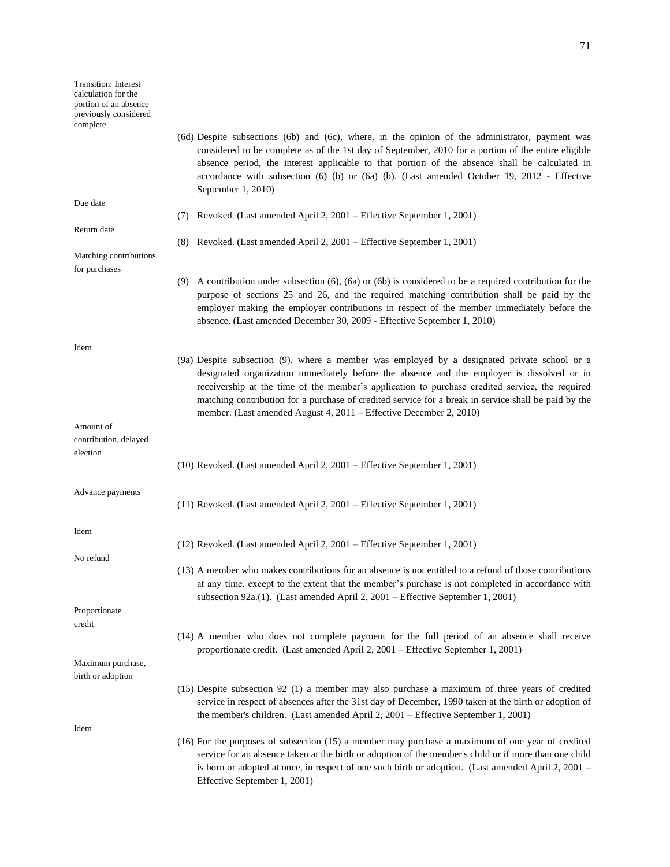- (6d) Despite subsections (6b) and (6c), where, in the opinion of the administrator, payment was considered to be complete as of the 1st day of September, 2010 for a portion of the entire eligible absence period, the interest applicable to that portion of the absence shall be calculated in accordance with subsection (6) (b) or (6a) (b). (Last amended October 19, 2012 - Effective September 1, 2010)
- Due date

Return date

Idem

Amount of

election

Idem

No refund

contribution, delayed

Advance payments

Matching contributions for purchases

- (7) Revoked. (Last amended April 2, 2001 Effective September 1, 2001) (8) Revoked. (Last amended April 2, 2001 – Effective September 1, 2001)
- (9) A contribution under subsection (6), (6a) or (6b) is considered to be a required contribution for the purpose of sections 25 and 26, and the required matching contribution shall be paid by the employer making the employer contributions in respect of the member immediately before the absence. (Last amended December 30, 2009 - Effective September 1, 2010)
- (9a) Despite subsection (9), where a member was employed by a designated private school or a designated organization immediately before the absence and the employer is dissolved or in receivership at the time of the member's application to purchase credited service, the required matching contribution for a purchase of credited service for a break in service shall be paid by the member. (Last amended August 4, 2011 – Effective December 2, 2010)
- (10) Revoked. (Last amended April 2, 2001 Effective September 1, 2001)
	- (11) Revoked. (Last amended April 2, 2001 Effective September 1, 2001)
	- (12) Revoked. (Last amended April 2, 2001 Effective September 1, 2001)

Effective September 1, 2001)

(13) A member who makes contributions for an absence is not entitled to a refund of those contributions at any time, except to the extent that the member's purchase is not completed in accordance with subsection 92a.(1). (Last amended April 2, 2001 – Effective September 1, 2001)

(14) A member who does not complete payment for the full period of an absence shall receive

(15) Despite subsection 92 (1) a member may also purchase a maximum of three years of credited service in respect of absences after the 31st day of December, 1990 taken at the birth or adoption of

proportionate credit. (Last amended April 2, 2001 – Effective September 1, 2001)

the member's children. (Last amended April 2, 2001 – Effective September 1, 2001)

Proportionate credit

Maximum purchase, birth or adoption

- Idem
- (16) For the purposes of subsection (15) a member may purchase a maximum of one year of credited service for an absence taken at the birth or adoption of the member's child or if more than one child is born or adopted at once, in respect of one such birth or adoption. (Last amended April 2, 2001 –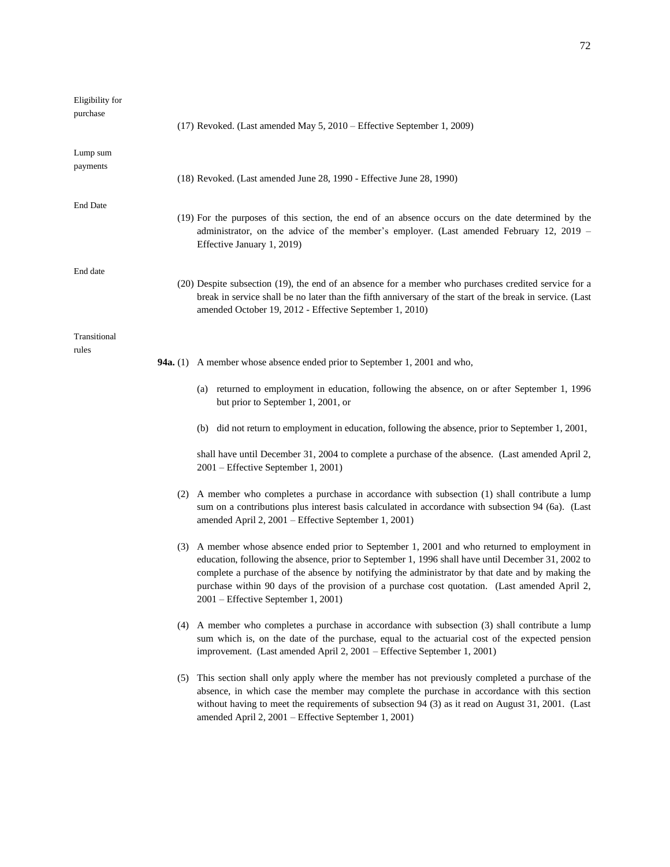|                 | $(17)$ Revoked. (Last amended May 5, 2010 – Effective September 1, 2009)                                                                                                                                                                                                      |
|-----------------|-------------------------------------------------------------------------------------------------------------------------------------------------------------------------------------------------------------------------------------------------------------------------------|
|                 | $(18)$ Revoked. (Last amended June 28, 1990 - Effective June 28, 1990)                                                                                                                                                                                                        |
|                 | (19) For the purposes of this section, the end of an absence occurs on the date determined by the<br>administrator, on the advice of the member's employer. (Last amended February 12, 2019 –<br>Effective January 1, 2019)                                                   |
|                 | (20) Despite subsection (19), the end of an absence for a member who purchases credited service for a<br>break in service shall be no later than the fifth anniversary of the start of the break in service. (Last<br>amended October 19, 2012 - Effective September 1, 2010) |
| <b>94a.</b> (1) | A member whose absence ended prior to September 1, 2001 and who,                                                                                                                                                                                                              |

Eligibility for purchase

Lump sum payments

End Date

End date

Transitional rules

- (a) returned to employment in education, following the absence, on or after September 1, 1996 but prior to September 1, 2001, or
- (b) did not return to employment in education, following the absence, prior to September 1, 2001,

shall have until December 31, 2004 to complete a purchase of the absence. (Last amended April 2, 2001 – Effective September 1, 2001)

- (2) A member who completes a purchase in accordance with subsection (1) shall contribute a lump sum on a contributions plus interest basis calculated in accordance with subsection 94 (6a). (Last amended April 2, 2001 – Effective September 1, 2001)
- (3) A member whose absence ended prior to September 1, 2001 and who returned to employment in education, following the absence, prior to September 1, 1996 shall have until December 31, 2002 to complete a purchase of the absence by notifying the administrator by that date and by making the purchase within 90 days of the provision of a purchase cost quotation. (Last amended April 2, 2001 – Effective September 1, 2001)
- (4) A member who completes a purchase in accordance with subsection (3) shall contribute a lump sum which is, on the date of the purchase, equal to the actuarial cost of the expected pension improvement. (Last amended April 2, 2001 – Effective September 1, 2001)
- (5) This section shall only apply where the member has not previously completed a purchase of the absence, in which case the member may complete the purchase in accordance with this section without having to meet the requirements of subsection 94 (3) as it read on August 31, 2001. (Last amended April 2, 2001 – Effective September 1, 2001)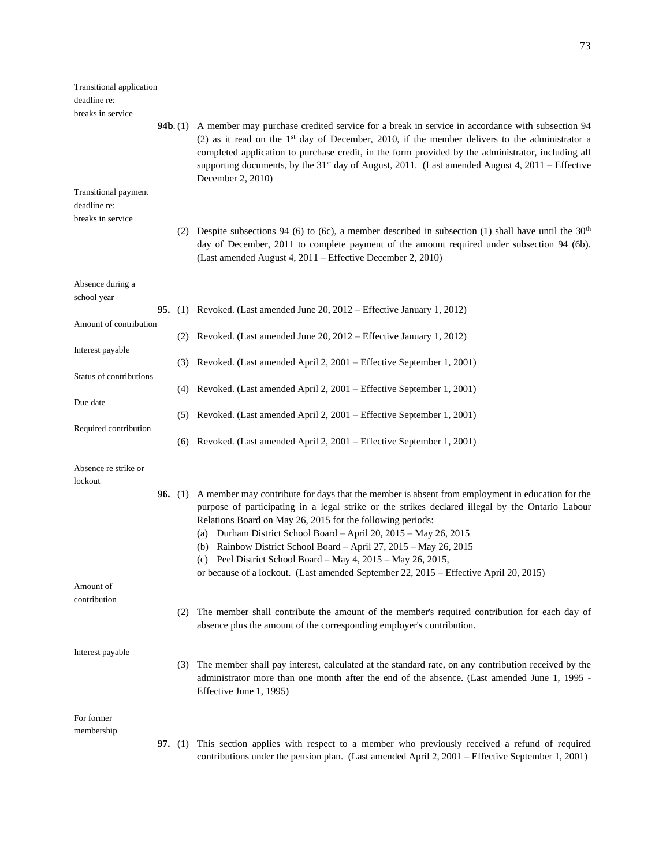| <b>Transitional application</b>             |                |                                                                                                                                                                                                                                                                                                                                                                                                                                                              |
|---------------------------------------------|----------------|--------------------------------------------------------------------------------------------------------------------------------------------------------------------------------------------------------------------------------------------------------------------------------------------------------------------------------------------------------------------------------------------------------------------------------------------------------------|
| deadline re:                                |                |                                                                                                                                                                                                                                                                                                                                                                                                                                                              |
| breaks in service                           |                |                                                                                                                                                                                                                                                                                                                                                                                                                                                              |
|                                             |                | <b>94b.</b> (1) A member may purchase credited service for a break in service in accordance with subsection 94<br>(2) as it read on the $1st$ day of December, 2010, if the member delivers to the administrator a<br>completed application to purchase credit, in the form provided by the administrator, including all<br>supporting documents, by the 31 <sup>st</sup> day of August, 2011. (Last amended August 4, 2011 – Effective<br>December 2, 2010) |
| <b>Transitional payment</b><br>deadline re: |                |                                                                                                                                                                                                                                                                                                                                                                                                                                                              |
| breaks in service                           |                |                                                                                                                                                                                                                                                                                                                                                                                                                                                              |
|                                             |                | (2) Despite subsections 94 (6) to (6c), a member described in subsection (1) shall have until the $30th$<br>day of December, 2011 to complete payment of the amount required under subsection 94 (6b).<br>(Last amended August 4, 2011 – Effective December 2, 2010)                                                                                                                                                                                         |
| Absence during a                            |                |                                                                                                                                                                                                                                                                                                                                                                                                                                                              |
| school year                                 |                |                                                                                                                                                                                                                                                                                                                                                                                                                                                              |
|                                             |                | <b>95.</b> (1) Revoked. (Last amended June 20, 2012 – Effective January 1, 2012)                                                                                                                                                                                                                                                                                                                                                                             |
| Amount of contribution<br>Interest payable  |                | (2) Revoked. (Last amended June 20, 2012 – Effective January 1, 2012)                                                                                                                                                                                                                                                                                                                                                                                        |
|                                             |                | (3) Revoked. (Last amended April 2, 2001 – Effective September 1, 2001)                                                                                                                                                                                                                                                                                                                                                                                      |
| Status of contributions                     |                |                                                                                                                                                                                                                                                                                                                                                                                                                                                              |
|                                             |                | (4) Revoked. (Last amended April 2, 2001 – Effective September 1, 2001)                                                                                                                                                                                                                                                                                                                                                                                      |
| Due date                                    |                | (5) Revoked. (Last amended April 2, 2001 – Effective September 1, 2001)                                                                                                                                                                                                                                                                                                                                                                                      |
| Required contribution                       |                |                                                                                                                                                                                                                                                                                                                                                                                                                                                              |
|                                             |                | (6) Revoked. (Last amended April 2, 2001 – Effective September 1, 2001)                                                                                                                                                                                                                                                                                                                                                                                      |
| Absence re strike or                        |                |                                                                                                                                                                                                                                                                                                                                                                                                                                                              |
| lockout                                     |                |                                                                                                                                                                                                                                                                                                                                                                                                                                                              |
|                                             |                | <b>96.</b> (1) A member may contribute for days that the member is absent from employment in education for the<br>purpose of participating in a legal strike or the strikes declared illegal by the Ontario Labour<br>Relations Board on May 26, 2015 for the following periods:<br>(a) Durham District School Board - April 20, 2015 - May 26, 2015                                                                                                         |
|                                             |                | (b) Rainbow District School Board - April 27, 2015 - May 26, 2015                                                                                                                                                                                                                                                                                                                                                                                            |
|                                             |                | (c) Peel District School Board – May $4$ , $2015$ – May $26$ , $2015$ ,                                                                                                                                                                                                                                                                                                                                                                                      |
|                                             |                | or because of a lockout. (Last amended September 22, 2015 - Effective April 20, 2015)                                                                                                                                                                                                                                                                                                                                                                        |
| Amount of                                   |                |                                                                                                                                                                                                                                                                                                                                                                                                                                                              |
| contribution                                |                | (2) The member shall contribute the amount of the member's required contribution for each day of<br>absence plus the amount of the corresponding employer's contribution.                                                                                                                                                                                                                                                                                    |
| Interest payable                            |                |                                                                                                                                                                                                                                                                                                                                                                                                                                                              |
|                                             |                | (3) The member shall pay interest, calculated at the standard rate, on any contribution received by the<br>administrator more than one month after the end of the absence. (Last amended June 1, 1995 -<br>Effective June 1, 1995)                                                                                                                                                                                                                           |
| For former                                  |                |                                                                                                                                                                                                                                                                                                                                                                                                                                                              |
| membership                                  |                |                                                                                                                                                                                                                                                                                                                                                                                                                                                              |
|                                             | <b>97.</b> (1) | This section applies with respect to a member who previously received a refund of required<br>contributions under the pension plan. (Last amended April 2, 2001 – Effective September 1, 2001)                                                                                                                                                                                                                                                               |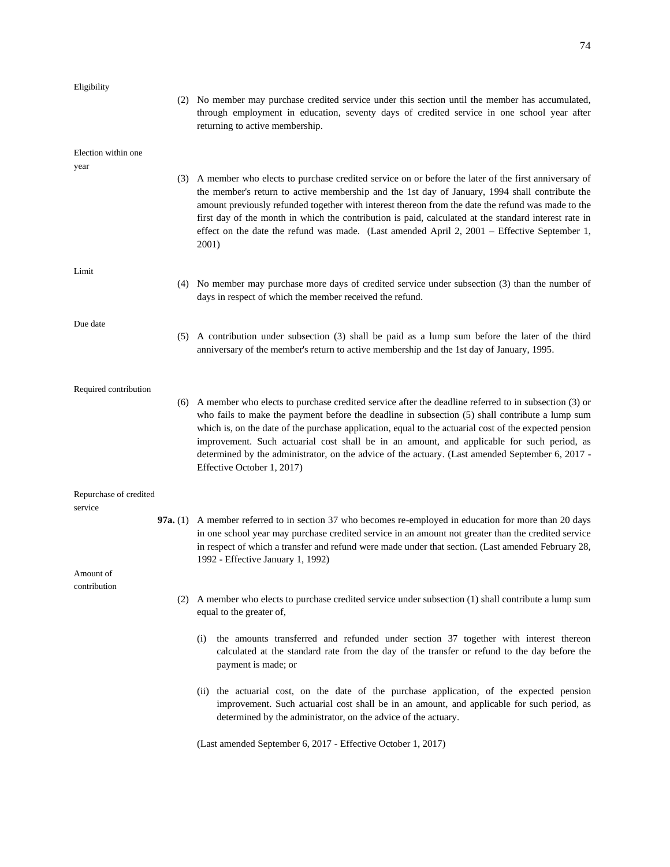| Eligibility            |     |                                                                                                                                                                                                                                                                                                                                                                                                                                                                                                                                                         |
|------------------------|-----|---------------------------------------------------------------------------------------------------------------------------------------------------------------------------------------------------------------------------------------------------------------------------------------------------------------------------------------------------------------------------------------------------------------------------------------------------------------------------------------------------------------------------------------------------------|
|                        |     | (2) No member may purchase credited service under this section until the member has accumulated,<br>through employment in education, seventy days of credited service in one school year after<br>returning to active membership.                                                                                                                                                                                                                                                                                                                       |
| Election within one    |     |                                                                                                                                                                                                                                                                                                                                                                                                                                                                                                                                                         |
| year                   |     | (3) A member who elects to purchase credited service on or before the later of the first anniversary of<br>the member's return to active membership and the 1st day of January, 1994 shall contribute the<br>amount previously refunded together with interest thereon from the date the refund was made to the<br>first day of the month in which the contribution is paid, calculated at the standard interest rate in<br>effect on the date the refund was made. (Last amended April 2, 2001 – Effective September 1,<br>2001)                       |
| Limit                  |     |                                                                                                                                                                                                                                                                                                                                                                                                                                                                                                                                                         |
|                        |     | (4) No member may purchase more days of credited service under subsection (3) than the number of<br>days in respect of which the member received the refund.                                                                                                                                                                                                                                                                                                                                                                                            |
| Due date               |     |                                                                                                                                                                                                                                                                                                                                                                                                                                                                                                                                                         |
|                        |     | (5) A contribution under subsection (3) shall be paid as a lump sum before the later of the third<br>anniversary of the member's return to active membership and the 1st day of January, 1995.                                                                                                                                                                                                                                                                                                                                                          |
| Required contribution  |     |                                                                                                                                                                                                                                                                                                                                                                                                                                                                                                                                                         |
|                        |     | (6) A member who elects to purchase credited service after the deadline referred to in subsection (3) or<br>who fails to make the payment before the deadline in subsection $(5)$ shall contribute a lump sum<br>which is, on the date of the purchase application, equal to the actuarial cost of the expected pension<br>improvement. Such actuarial cost shall be in an amount, and applicable for such period, as<br>determined by the administrator, on the advice of the actuary. (Last amended September 6, 2017 -<br>Effective October 1, 2017) |
| Repurchase of credited |     |                                                                                                                                                                                                                                                                                                                                                                                                                                                                                                                                                         |
| service                |     |                                                                                                                                                                                                                                                                                                                                                                                                                                                                                                                                                         |
|                        |     | 97a. (1) A member referred to in section 37 who becomes re-employed in education for more than 20 days<br>in one school year may purchase credited service in an amount not greater than the credited service<br>in respect of which a transfer and refund were made under that section. (Last amended February 28,                                                                                                                                                                                                                                     |
| Amount of              |     | 1992 - Effective January 1, 1992)                                                                                                                                                                                                                                                                                                                                                                                                                                                                                                                       |
| contribution           |     |                                                                                                                                                                                                                                                                                                                                                                                                                                                                                                                                                         |
|                        | (2) | A member who elects to purchase credited service under subsection (1) shall contribute a lump sum<br>equal to the greater of,                                                                                                                                                                                                                                                                                                                                                                                                                           |
|                        |     | the amounts transferred and refunded under section 37 together with interest thereon<br>(i)<br>calculated at the standard rate from the day of the transfer or refund to the day before the<br>payment is made; or                                                                                                                                                                                                                                                                                                                                      |
|                        |     | (ii) the actuarial cost, on the date of the purchase application, of the expected pension<br>improvement. Such actuarial cost shall be in an amount, and applicable for such period, as<br>determined by the administrator, on the advice of the actuary.                                                                                                                                                                                                                                                                                               |
|                        |     |                                                                                                                                                                                                                                                                                                                                                                                                                                                                                                                                                         |

(Last amended September 6, 2017 - Effective October 1, 2017)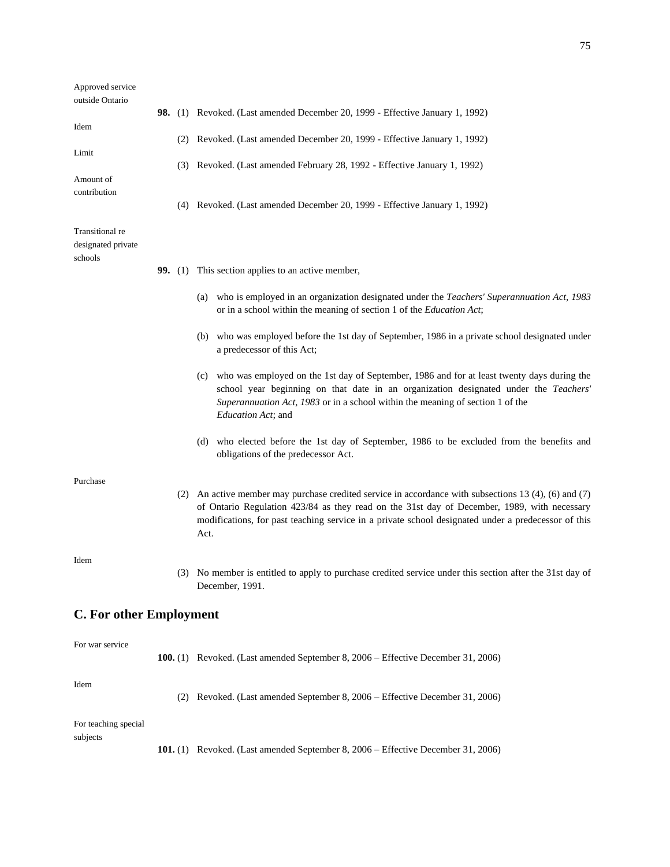| Approved service<br>outside Ontario              |  |                                                                                                                                                                                                                                                                                                                     |
|--------------------------------------------------|--|---------------------------------------------------------------------------------------------------------------------------------------------------------------------------------------------------------------------------------------------------------------------------------------------------------------------|
| Idem                                             |  | 98. (1) Revoked. (Last amended December 20, 1999 - Effective January 1, 1992)                                                                                                                                                                                                                                       |
| Limit                                            |  | (2) Revoked. (Last amended December 20, 1999 - Effective January 1, 1992)                                                                                                                                                                                                                                           |
|                                                  |  | (3) Revoked. (Last amended February 28, 1992 - Effective January 1, 1992)                                                                                                                                                                                                                                           |
| Amount of<br>contribution                        |  |                                                                                                                                                                                                                                                                                                                     |
|                                                  |  | (4) Revoked. (Last amended December 20, 1999 - Effective January 1, 1992)                                                                                                                                                                                                                                           |
| Transitional re<br>designated private<br>schools |  |                                                                                                                                                                                                                                                                                                                     |
|                                                  |  | 99. (1) This section applies to an active member,                                                                                                                                                                                                                                                                   |
|                                                  |  | who is employed in an organization designated under the Teachers' Superannuation Act, 1983<br>(a)<br>or in a school within the meaning of section 1 of the Education Act;                                                                                                                                           |
|                                                  |  | who was employed before the 1st day of September, 1986 in a private school designated under<br>(b)<br>a predecessor of this Act;                                                                                                                                                                                    |
|                                                  |  | who was employed on the 1st day of September, 1986 and for at least twenty days during the<br>(c)<br>school year beginning on that date in an organization designated under the Teachers'<br>Superannuation Act, 1983 or in a school within the meaning of section 1 of the<br>Education Act; and                   |
|                                                  |  | (d) who elected before the 1st day of September, 1986 to be excluded from the benefits and<br>obligations of the predecessor Act.                                                                                                                                                                                   |
| Purchase                                         |  |                                                                                                                                                                                                                                                                                                                     |
|                                                  |  | (2) An active member may purchase credited service in accordance with subsections 13 (4), (6) and (7)<br>of Ontario Regulation 423/84 as they read on the 31st day of December, 1989, with necessary<br>modifications, for past teaching service in a private school designated under a predecessor of this<br>Act. |
| Idem                                             |  |                                                                                                                                                                                                                                                                                                                     |
|                                                  |  | (3) No member is entitled to apply to purchase credited service under this section after the 31st day of<br>December, 1991.                                                                                                                                                                                         |
| <b>C. For other Employment</b>                   |  |                                                                                                                                                                                                                                                                                                                     |
| For war service                                  |  |                                                                                                                                                                                                                                                                                                                     |
|                                                  |  | 100. (1) Revoked. (Last amended September 8, 2006 – Effective December 31, 2006)                                                                                                                                                                                                                                    |
| Idem                                             |  | (2) Revoked. (Last amended September 8, 2006 – Effective December 31, 2006)                                                                                                                                                                                                                                         |
| For teaching special                             |  |                                                                                                                                                                                                                                                                                                                     |
| subjects                                         |  | 101. (1) Revoked. (Last amended September 8, 2006 – Effective December 31, 2006)                                                                                                                                                                                                                                    |
|                                                  |  |                                                                                                                                                                                                                                                                                                                     |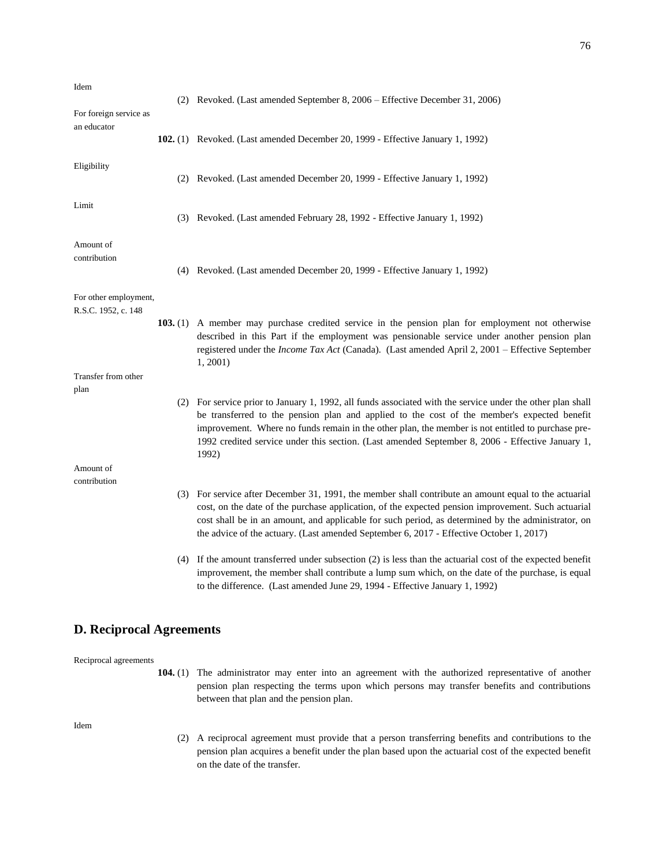| Idem<br>For foreign service as               | (2) Revoked. (Last amended September 8, 2006 – Effective December 31, 2006)                                                                                                                                                                                                                                                                                                                                                 |
|----------------------------------------------|-----------------------------------------------------------------------------------------------------------------------------------------------------------------------------------------------------------------------------------------------------------------------------------------------------------------------------------------------------------------------------------------------------------------------------|
| an educator                                  | 102. (1) Revoked. (Last amended December 20, 1999 - Effective January 1, 1992)                                                                                                                                                                                                                                                                                                                                              |
| Eligibility                                  | (2) Revoked. (Last amended December 20, 1999 - Effective January 1, 1992)                                                                                                                                                                                                                                                                                                                                                   |
| Limit                                        | (3) Revoked. (Last amended February 28, 1992 - Effective January 1, 1992)                                                                                                                                                                                                                                                                                                                                                   |
| Amount of<br>contribution                    | (4) Revoked. (Last amended December 20, 1999 - Effective January 1, 1992)                                                                                                                                                                                                                                                                                                                                                   |
| For other employment,<br>R.S.C. 1952, c. 148 | 103. (1) A member may purchase credited service in the pension plan for employment not otherwise<br>described in this Part if the employment was pensionable service under another pension plan<br>registered under the <i>Income Tax Act</i> (Canada). (Last amended April 2, 2001 – Effective September<br>1, 2001                                                                                                        |
| Transfer from other<br>plan                  |                                                                                                                                                                                                                                                                                                                                                                                                                             |
|                                              | (2) For service prior to January 1, 1992, all funds associated with the service under the other plan shall<br>be transferred to the pension plan and applied to the cost of the member's expected benefit<br>improvement. Where no funds remain in the other plan, the member is not entitled to purchase pre-<br>1992 credited service under this section. (Last amended September 8, 2006 - Effective January 1,<br>1992) |
| Amount of                                    |                                                                                                                                                                                                                                                                                                                                                                                                                             |
| contribution                                 | (3) For service after December 31, 1991, the member shall contribute an amount equal to the actuarial<br>cost, on the date of the purchase application, of the expected pension improvement. Such actuarial<br>cost shall be in an amount, and applicable for such period, as determined by the administrator, on<br>the advice of the actuary. (Last amended September 6, 2017 - Effective October 1, 2017)                |
|                                              | (4) If the amount transferred under subsection (2) is less than the actuarial cost of the expected benefit                                                                                                                                                                                                                                                                                                                  |

# Reciprocal agreements

**D. Reciprocal Agreements**

**104.** (1) The administrator may enter into an agreement with the authorized representative of another pension plan respecting the terms upon which persons may transfer benefits and contributions between that plan and the pension plan.

to the difference. (Last amended June 29, 1994 - Effective January 1, 1992)

improvement, the member shall contribute a lump sum which, on the date of the purchase, is equal

Idem

(2) A reciprocal agreement must provide that a person transferring benefits and contributions to the pension plan acquires a benefit under the plan based upon the actuarial cost of the expected benefit on the date of the transfer.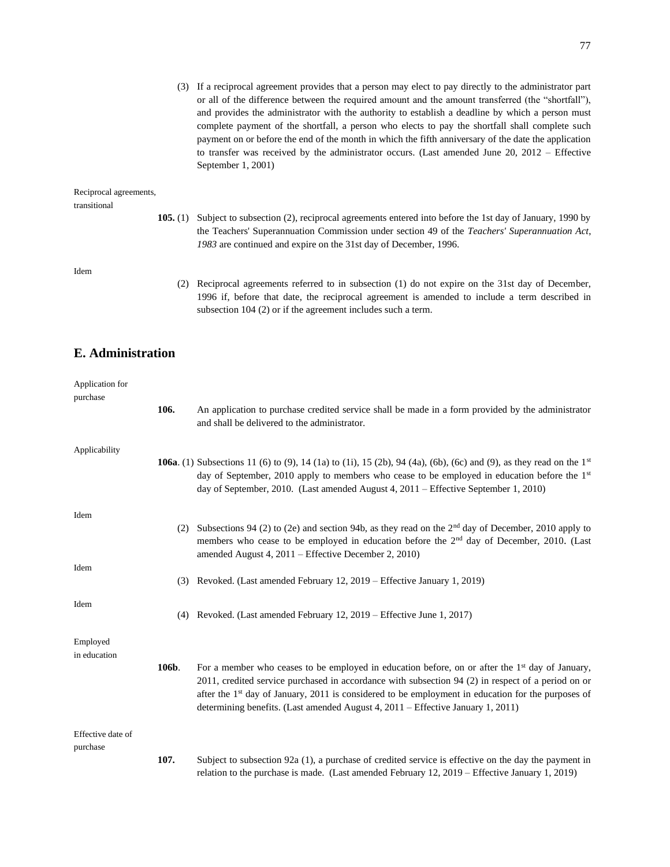(3) If a reciprocal agreement provides that a person may elect to pay directly to the administrator part or all of the difference between the required amount and the amount transferred (the "shortfall"), and provides the administrator with the authority to establish a deadline by which a person must complete payment of the shortfall, a person who elects to pay the shortfall shall complete such payment on or before the end of the month in which the fifth anniversary of the date the application to transfer was received by the administrator occurs. (Last amended June 20, 2012 – Effective September 1, 2001)

#### Reciprocal agreements,

transitional

**105.** (1) Subject to subsection (2), reciprocal agreements entered into before the 1st day of January, 1990 by the Teachers' Superannuation Commission under section 49 of the *Teachers' Superannuation Act*, *1983* are continued and expire on the 31st day of December, 1996.

Idem

(2) Reciprocal agreements referred to in subsection (1) do not expire on the 31st day of December, 1996 if, before that date, the reciprocal agreement is amended to include a term described in subsection 104 (2) or if the agreement includes such a term.

#### **E. Administration**

| Application for          |       |                                                                                                                                                                                                                                                                                                                                                                                                                        |
|--------------------------|-------|------------------------------------------------------------------------------------------------------------------------------------------------------------------------------------------------------------------------------------------------------------------------------------------------------------------------------------------------------------------------------------------------------------------------|
| purchase                 |       |                                                                                                                                                                                                                                                                                                                                                                                                                        |
|                          | 106.  | An application to purchase credited service shall be made in a form provided by the administrator<br>and shall be delivered to the administrator.                                                                                                                                                                                                                                                                      |
| Applicability            |       |                                                                                                                                                                                                                                                                                                                                                                                                                        |
|                          |       | <b>106a</b> . (1) Subsections 11 (6) to (9), 14 (1a) to (1i), 15 (2b), 94 (4a), (6b), (6c) and (9), as they read on the $1st$<br>day of September, 2010 apply to members who cease to be employed in education before the 1 <sup>st</sup><br>day of September, 2010. (Last amended August 4, 2011 – Effective September 1, 2010)                                                                                       |
| Idem                     |       |                                                                                                                                                                                                                                                                                                                                                                                                                        |
|                          |       | (2) Subsections 94 (2) to (2e) and section 94b, as they read on the $2nd$ day of December, 2010 apply to<br>members who cease to be employed in education before the $2nd$ day of December, 2010. (Last<br>amended August 4, 2011 - Effective December 2, 2010)                                                                                                                                                        |
| Idem                     |       |                                                                                                                                                                                                                                                                                                                                                                                                                        |
|                          |       | (3) Revoked. (Last amended February 12, 2019 – Effective January 1, 2019)                                                                                                                                                                                                                                                                                                                                              |
| Idem                     |       | (4) Revoked. (Last amended February 12, 2019 – Effective June 1, 2017)                                                                                                                                                                                                                                                                                                                                                 |
|                          |       |                                                                                                                                                                                                                                                                                                                                                                                                                        |
| Employed<br>in education |       |                                                                                                                                                                                                                                                                                                                                                                                                                        |
|                          | 106b. | For a member who ceases to be employed in education before, on or after the 1 <sup>st</sup> day of January,<br>2011, credited service purchased in accordance with subsection 94 (2) in respect of a period on or<br>after the 1 <sup>st</sup> day of January, 2011 is considered to be employment in education for the purposes of<br>determining benefits. (Last amended August 4, 2011 – Effective January 1, 2011) |
| Effective date of        |       |                                                                                                                                                                                                                                                                                                                                                                                                                        |
| purchase                 |       |                                                                                                                                                                                                                                                                                                                                                                                                                        |
|                          | 107.  | Subject to subsection 92a (1), a purchase of credited service is effective on the day the payment in<br>relation to the purchase is made. (Last amended February $12, 2019$ – Effective January 1, 2019)                                                                                                                                                                                                               |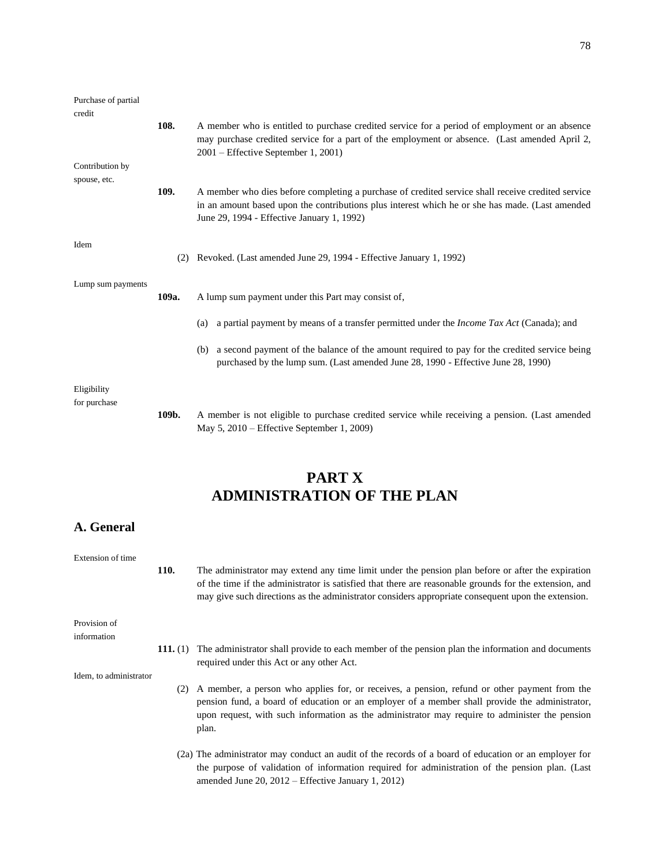| Purchase of partial<br>credit |       |                                                                                                                                                                                                                                                    |
|-------------------------------|-------|----------------------------------------------------------------------------------------------------------------------------------------------------------------------------------------------------------------------------------------------------|
|                               | 108.  | A member who is entitled to purchase credited service for a period of employment or an absence<br>may purchase credited service for a part of the employment or absence. (Last amended April 2,<br>2001 – Effective September 1, 2001)             |
| Contribution by               |       |                                                                                                                                                                                                                                                    |
| spouse, etc.                  | 109.  | A member who dies before completing a purchase of credited service shall receive credited service<br>in an amount based upon the contributions plus interest which he or she has made. (Last amended<br>June 29, 1994 - Effective January 1, 1992) |
| Idem                          | (2)   | Revoked. (Last amended June 29, 1994 - Effective January 1, 1992)                                                                                                                                                                                  |
| Lump sum payments             | 109a. | A lump sum payment under this Part may consist of,                                                                                                                                                                                                 |
|                               |       | a partial payment by means of a transfer permitted under the <i>Income Tax Act</i> (Canada); and<br>(a)                                                                                                                                            |
|                               |       | a second payment of the balance of the amount required to pay for the credited service being<br>(b)<br>purchased by the lump sum. (Last amended June 28, 1990 - Effective June 28, 1990)                                                           |
| Eligibility                   |       |                                                                                                                                                                                                                                                    |
| for purchase                  | 109b. | A member is not eligible to purchase credited service while receiving a pension. (Last amended<br>May $5, 2010$ – Effective September 1, 2009)                                                                                                     |

### **PART X ADMINISTRATION OF THE PLAN**

#### **A. General**

Extension of time

**110.** The administrator may extend any time limit under the pension plan before or after the expiration of the time if the administrator is satisfied that there are reasonable grounds for the extension, and may give such directions as the administrator considers appropriate consequent upon the extension.

Provision of information

> **111.** (1) The administrator shall provide to each member of the pension plan the information and documents required under this Act or any other Act.

Idem, to administrator

- (2) A member, a person who applies for, or receives, a pension, refund or other payment from the pension fund, a board of education or an employer of a member shall provide the administrator, upon request, with such information as the administrator may require to administer the pension plan.
- (2a) The administrator may conduct an audit of the records of a board of education or an employer for the purpose of validation of information required for administration of the pension plan. (Last amended June 20, 2012 – Effective January 1, 2012)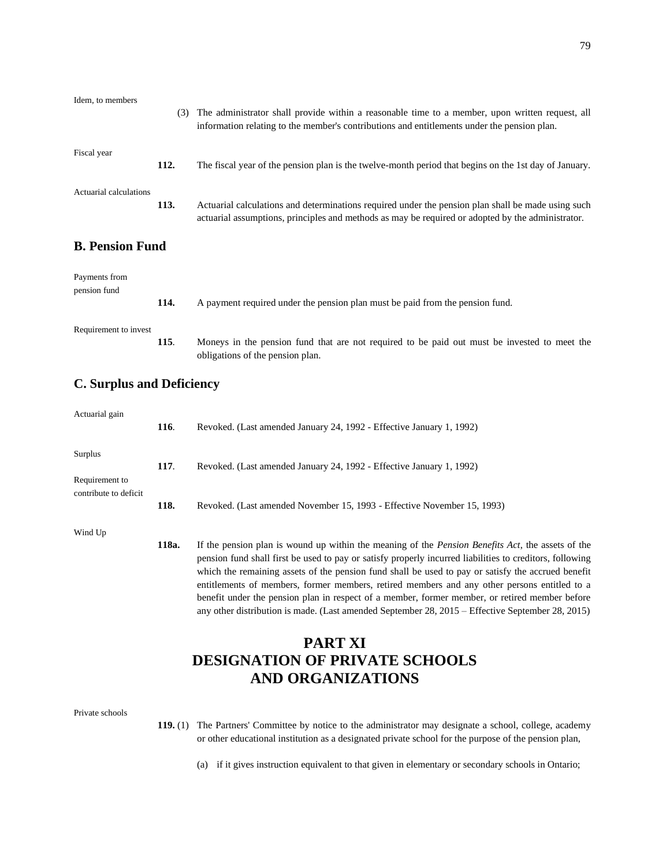| Idem, to members              | (3)  | The administrator shall provide within a reasonable time to a member, upon written request, all<br>information relating to the member's contributions and entitlements under the pension plan.          |
|-------------------------------|------|---------------------------------------------------------------------------------------------------------------------------------------------------------------------------------------------------------|
| Fiscal year                   | 112. | The fiscal year of the pension plan is the twelve-month period that begins on the 1st day of January.                                                                                                   |
| Actuarial calculations        | 113. | Actuarial calculations and determinations required under the pension plan shall be made using such<br>actuarial assumptions, principles and methods as may be required or adopted by the administrator. |
| <b>B. Pension Fund</b>        |      |                                                                                                                                                                                                         |
| Payments from<br>pension fund | 114. | A payment required under the pension plan must be paid from the pension fund.                                                                                                                           |
| Requirement to invest         |      |                                                                                                                                                                                                         |

obligations of the pension plan.

**115**. Moneys in the pension fund that are not required to be paid out must be invested to meet the

**C. Surplus and Deficiency**

| Actuarial gain            | 116.  | Revoked. (Last amended January 24, 1992 - Effective January 1, 1992)                                                                                                                                                                                                                                                                                                                                                                                                                                                                                                                                                              |
|---------------------------|-------|-----------------------------------------------------------------------------------------------------------------------------------------------------------------------------------------------------------------------------------------------------------------------------------------------------------------------------------------------------------------------------------------------------------------------------------------------------------------------------------------------------------------------------------------------------------------------------------------------------------------------------------|
| Surplus<br>Requirement to | 117.  | Revoked. (Last amended January 24, 1992 - Effective January 1, 1992)                                                                                                                                                                                                                                                                                                                                                                                                                                                                                                                                                              |
| contribute to deficit     | 118.  | Revoked. (Last amended November 15, 1993 - Effective November 15, 1993)                                                                                                                                                                                                                                                                                                                                                                                                                                                                                                                                                           |
| Wind Up                   | 118a. | If the pension plan is wound up within the meaning of the <i>Pension Benefits Act</i> , the assets of the<br>pension fund shall first be used to pay or satisfy properly incurred liabilities to creditors, following<br>which the remaining assets of the pension fund shall be used to pay or satisfy the accrued benefit<br>entitlements of members, former members, retired members and any other persons entitled to a<br>benefit under the pension plan in respect of a member, former member, or retired member before<br>any other distribution is made. (Last amended September 28, 2015 – Effective September 28, 2015) |

# **PART XI DESIGNATION OF PRIVATE SCHOOLS AND ORGANIZATIONS**

| Private schools |  |
|-----------------|--|
|-----------------|--|

- **119.** (1) The Partners' Committee by notice to the administrator may designate a school, college, academy or other educational institution as a designated private school for the purpose of the pension plan,
	- (a) if it gives instruction equivalent to that given in elementary or secondary schools in Ontario;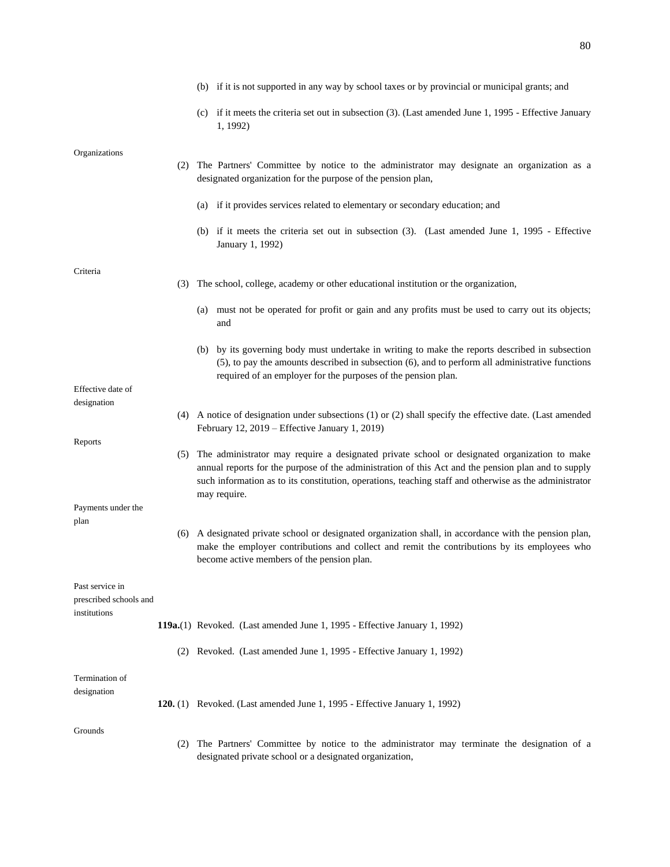|                                        |     | (b) if it is not supported in any way by school taxes or by provincial or municipal grants; and                                                                                                                                                                                                                               |
|----------------------------------------|-----|-------------------------------------------------------------------------------------------------------------------------------------------------------------------------------------------------------------------------------------------------------------------------------------------------------------------------------|
|                                        |     | if it meets the criteria set out in subsection (3). (Last amended June 1, 1995 - Effective January<br>(c)<br>1, 1992)                                                                                                                                                                                                         |
|                                        |     |                                                                                                                                                                                                                                                                                                                               |
| Organizations                          |     | (2) The Partners' Committee by notice to the administrator may designate an organization as a<br>designated organization for the purpose of the pension plan,                                                                                                                                                                 |
|                                        |     | (a) if it provides services related to elementary or secondary education; and                                                                                                                                                                                                                                                 |
|                                        |     | (b) if it meets the criteria set out in subsection (3). (Last amended June 1, 1995 - Effective<br>January 1, 1992)                                                                                                                                                                                                            |
|                                        |     |                                                                                                                                                                                                                                                                                                                               |
| Criteria                               | (3) | The school, college, academy or other educational institution or the organization,                                                                                                                                                                                                                                            |
|                                        |     | must not be operated for profit or gain and any profits must be used to carry out its objects;<br>(a)<br>and                                                                                                                                                                                                                  |
|                                        |     | (b) by its governing body must undertake in writing to make the reports described in subsection<br>(5), to pay the amounts described in subsection (6), and to perform all administrative functions<br>required of an employer for the purposes of the pension plan.                                                          |
| Effective date of                      |     |                                                                                                                                                                                                                                                                                                                               |
| designation                            |     |                                                                                                                                                                                                                                                                                                                               |
|                                        |     | (4) A notice of designation under subsections (1) or (2) shall specify the effective date. (Last amended<br>February 12, 2019 - Effective January 1, 2019)                                                                                                                                                                    |
| Reports                                |     |                                                                                                                                                                                                                                                                                                                               |
|                                        | (5) | The administrator may require a designated private school or designated organization to make<br>annual reports for the purpose of the administration of this Act and the pension plan and to supply<br>such information as to its constitution, operations, teaching staff and otherwise as the administrator<br>may require. |
| Payments under the                     |     |                                                                                                                                                                                                                                                                                                                               |
| plan                                   |     |                                                                                                                                                                                                                                                                                                                               |
|                                        |     | (6) A designated private school or designated organization shall, in accordance with the pension plan,<br>make the employer contributions and collect and remit the contributions by its employees who<br>become active members of the pension plan.                                                                          |
| Past service in                        |     |                                                                                                                                                                                                                                                                                                                               |
| prescribed schools and<br>institutions |     |                                                                                                                                                                                                                                                                                                                               |
|                                        |     | 119a.(1) Revoked. (Last amended June 1, 1995 - Effective January 1, 1992)                                                                                                                                                                                                                                                     |
|                                        |     | (2) Revoked. (Last amended June 1, 1995 - Effective January 1, 1992)                                                                                                                                                                                                                                                          |
| Termination of                         |     |                                                                                                                                                                                                                                                                                                                               |
| designation                            |     |                                                                                                                                                                                                                                                                                                                               |
|                                        |     | 120. (1) Revoked. (Last amended June 1, 1995 - Effective January 1, 1992)                                                                                                                                                                                                                                                     |
| Grounds                                |     |                                                                                                                                                                                                                                                                                                                               |
|                                        | (2) | The Partners' Committee by notice to the administrator may terminate the designation of a<br>designated private school or a designated organization,                                                                                                                                                                          |